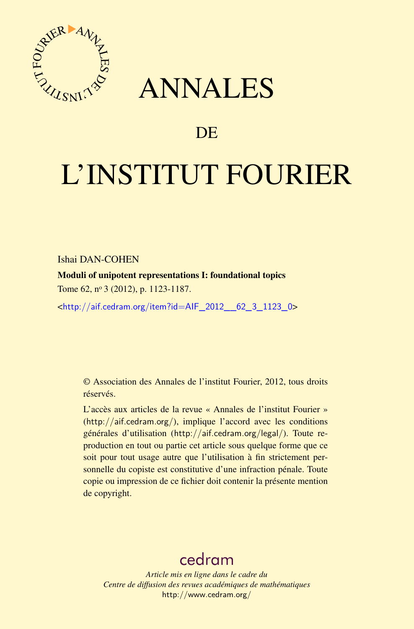

## ANNALES

### **DE**

# L'INSTITUT FOURIER

Ishai DAN-COHEN

Moduli of unipotent representations I: foundational topics Tome 62, nº 3 (2012), p. 1123-1187.

<[http://aif.cedram.org/item?id=AIF\\_2012\\_\\_62\\_3\\_1123\\_0](http://aif.cedram.org/item?id=AIF_2012__62_3_1123_0)>

© Association des Annales de l'institut Fourier, 2012, tous droits réservés.

L'accès aux articles de la revue « Annales de l'institut Fourier » (<http://aif.cedram.org/>), implique l'accord avec les conditions générales d'utilisation (<http://aif.cedram.org/legal/>). Toute reproduction en tout ou partie cet article sous quelque forme que ce soit pour tout usage autre que l'utilisation à fin strictement personnelle du copiste est constitutive d'une infraction pénale. Toute copie ou impression de ce fichier doit contenir la présente mention de copyright.

## [cedram](http://www.cedram.org/)

*Article mis en ligne dans le cadre du Centre de diffusion des revues académiques de mathématiques* <http://www.cedram.org/>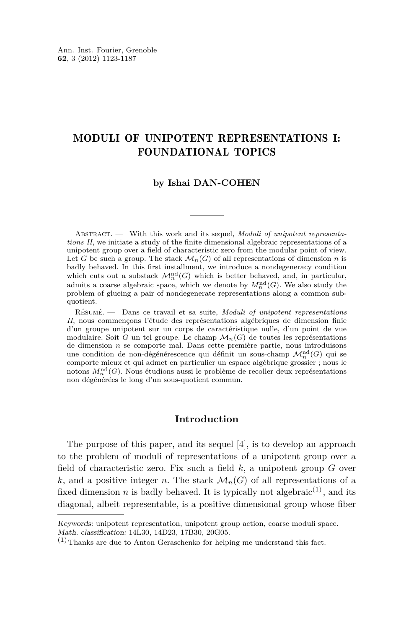#### MODULI OF UNIPOTENT REPRESENTATIONS I: FOUNDATIONAL TOPICS

#### **by Ishai DAN-COHEN**

Abstract. — With this work and its sequel, *Moduli of unipotent representations II*, we initiate a study of the finite dimensional algebraic representations of a unipotent group over a field of characteristic zero from the modular point of view. Let *G* be such a group. The stack  $\mathcal{M}_n(G)$  of all representations of dimension *n* is badly behaved. In this first installment, we introduce a nondegeneracy condition which cuts out a substack  $\mathcal{M}_n^{\mathrm{nd}}(G)$  which is better behaved, and, in particular, admits a coarse algebraic space, which we denote by  $M_n^{\text{nd}}(G)$ . We also study the problem of glueing a pair of nondegenerate representations along a common subquotient.

Résumé. — Dans ce travail et sa suite, *Moduli of unipotent representations II*, nous commençons l'étude des représentations algébriques de dimension finie d'un groupe unipotent sur un corps de caractéristique nulle, d'un point de vue modulaire. Soit *G* un tel groupe. Le champ  $\mathcal{M}_n(G)$  de toutes les représentations de dimension *n* se comporte mal. Dans cette première partie, nous introduisons une condition de non-dégénérescence qui définit un sous-champ  $\mathcal{M}^{\mathrm{nd}}_{n}(G)$  qui se comporte mieux et qui admet en particulier un espace algébrique grossier ; nous le notons  $M^{\mathrm{nd}}_n(G)$ . Nous étudions aussi le problème de recoller deux représentations non dégénérées le long d'un sous-quotient commun.

#### **Introduction**

The purpose of this paper, and its sequel [\[4\]](#page-64-0), is to develop an approach to the problem of moduli of representations of a unipotent group over a field of characteristic zero. Fix such a field *k*, a unipotent group *G* over k, and a positive integer *n*. The stack  $\mathcal{M}_n(G)$  of all representations of a fixed dimension *n* is badly behaved. It is typically not algebraic<sup>(1)</sup>, and its diagonal, albeit representable, is a positive dimensional group whose fiber

Keywords: unipotent representation, unipotent group action, coarse moduli space. Math. classification: 14L30, 14D23, 17B30, 20G05.

 $(1)$  Thanks are due to Anton Geraschenko for helping me understand this fact.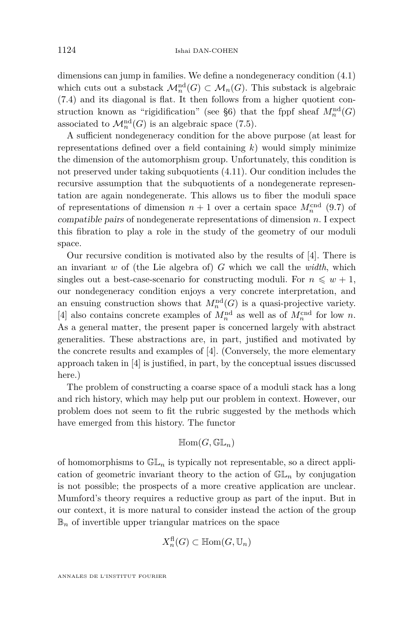dimensions can jump in families. We define a nondegeneracy condition [\(4.1\)](#page-20-0) which cuts out a substack  $\mathcal{M}_n^{\text{nd}}(G) \subset \mathcal{M}_n(G)$ . This substack is algebraic [\(7.4\)](#page-37-0) and its diagonal is flat. It then follows from a higher quotient con-struction known as "rigidification" (see [§6\)](#page-31-0) that the fppf sheaf  $M_n^{\text{nd}}(G)$ associated to  $\mathcal{M}_n^{\text{nd}}(G)$  is an algebraic space [\(7.5\)](#page-38-0).

A sufficient nondegeneracy condition for the above purpose (at least for representations defined over a field containing *k*) would simply minimize the dimension of the automorphism group. Unfortunately, this condition is not preserved under taking subquotients [\(4.11\)](#page-25-0). Our condition includes the recursive assumption that the subquotients of a nondegenerate representation are again nondegenerate. This allows us to fiber the moduli space of representations of dimension  $n + 1$  over a certain space  $M_n^{\text{end}}$  [\(9.7\)](#page-59-0) of compatible pairs of nondegenerate representations of dimension *n*. I expect this fibration to play a role in the study of the geometry of our moduli space.

Our recursive condition is motivated also by the results of [\[4\]](#page-64-0). There is an invariant *w* of (the Lie algebra of) *G* which we call the *width*, which singles out a best-case-scenario for constructing moduli. For  $n \leq w + 1$ , our nondegeneracy condition enjoys a very concrete interpretation, and an ensuing construction shows that  $M_n^{\text{nd}}(G)$  is a quasi-projective variety. [\[4\]](#page-64-0) also contains concrete examples of  $M_n^{\text{nd}}$  as well as of  $M_n^{\text{cnd}}$  for low *n*. As a general matter, the present paper is concerned largely with abstract generalities. These abstractions are, in part, justified and motivated by the concrete results and examples of [\[4\]](#page-64-0). (Conversely, the more elementary approach taken in [\[4\]](#page-64-0) is justified, in part, by the conceptual issues discussed here.)

The problem of constructing a coarse space of a moduli stack has a long and rich history, which may help put our problem in context. However, our problem does not seem to fit the rubric suggested by the methods which have emerged from this history. The functor

$$
\mathbb{H}\text{om}(G,\mathbb{GL}_n)
$$

of homomorphisms to  $\mathbb{GL}_n$  is typically not representable, so a direct application of geometric invariant theory to the action of  $GL_n$  by conjugation is not possible; the prospects of a more creative application are unclear. Mumford's theory requires a reductive group as part of the input. But in our context, it is more natural to consider instead the action of the group  $\mathbb{B}_n$  of invertible upper triangular matrices on the space

$$
X_n^{\text{fl}}(G) \subset \mathbb{H}\text{om}(G, \mathbb{U}_n)
$$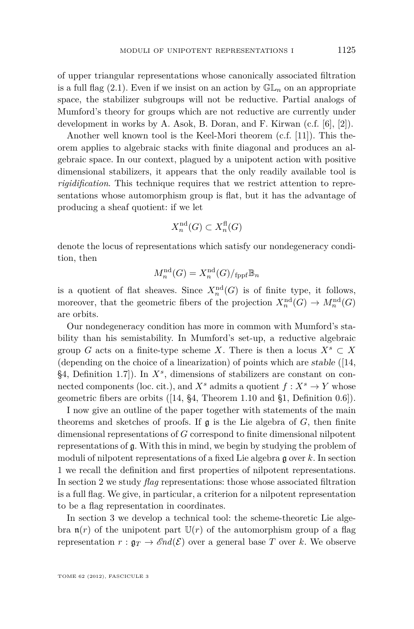of upper triangular representations whose canonically associated filtration is a full flag  $(2.1)$ . Even if we insist on an action by  $\mathbb{GL}_n$  on an appropriate space, the stabilizer subgroups will not be reductive. Partial analogs of Mumford's theory for groups which are not reductive are currently under development in works by A. Asok, B. Doran, and F. Kirwan (c.f. [\[6\]](#page-64-0), [\[2\]](#page-64-0)).

Another well known tool is the Keel-Mori theorem (c.f. [\[11\]](#page-64-0)). This theorem applies to algebraic stacks with finite diagonal and produces an algebraic space. In our context, plagued by a unipotent action with positive dimensional stabilizers, it appears that the only readily available tool is *rigidification*. This technique requires that we restrict attention to representations whose automorphism group is flat, but it has the advantage of producing a sheaf quotient: if we let

$$
X_n^{\mathrm{nd}}(G) \subset X_n^{\mathrm{fl}}(G)
$$

denote the locus of representations which satisfy our nondegeneracy condition, then

$$
M_n^{\mathrm{nd}}(G) = X_n^{\mathrm{nd}}(G)/_{\mathrm{fppf}} \mathbb{B}_n
$$

is a quotient of flat sheaves. Since  $X_n^{\mathrm{nd}}(G)$  is of finite type, it follows, moreover, that the geometric fibers of the projection  $X_n^{\text{nd}}(G) \to M_n^{\text{nd}}(G)$ are orbits.

Our nondegeneracy condition has more in common with Mumford's stability than his semistability. In Mumford's set-up, a reductive algebraic group *G* acts on a finite-type scheme *X*. There is then a locus  $X^s \subset X$ (depending on the choice of a linearization) of points which are stable ([\[14,](#page-64-0) §4, Definition 1.7]). In *X<sup>s</sup>* , dimensions of stabilizers are constant on connected components (loc. cit.), and  $X^s$  admits a quotient  $f: X^s \to Y$  whose geometric fibers are orbits ([\[14,](#page-64-0) §4, Theorem 1.10 and §1, Definition 0.6]).

I now give an outline of the paper together with statements of the main theorems and sketches of proofs. If  $\mathfrak g$  is the Lie algebra of *G*, then finite dimensional representations of *G* correspond to finite dimensional nilpotent representations of g. With this in mind, we begin by studying the problem of moduli of nilpotent representations of a fixed Lie algebra g over *k*. In section [1](#page-10-0) we recall the definition and first properties of nilpotent representations. In section [2](#page-13-0) we study *flag* representations: those whose associated filtration is a full flag. We give, in particular, a criterion for a nilpotent representation to be a flag representation in coordinates.

In section [3](#page-17-0) we develop a technical tool: the scheme-theoretic Lie algebra  $\mathfrak{n}(r)$  of the unipotent part  $\mathbb{U}(r)$  of the automorphism group of a flag representation  $r : \mathfrak{g}_T \to \mathcal{E}nd(\mathcal{E})$  over a general base T over k. We observe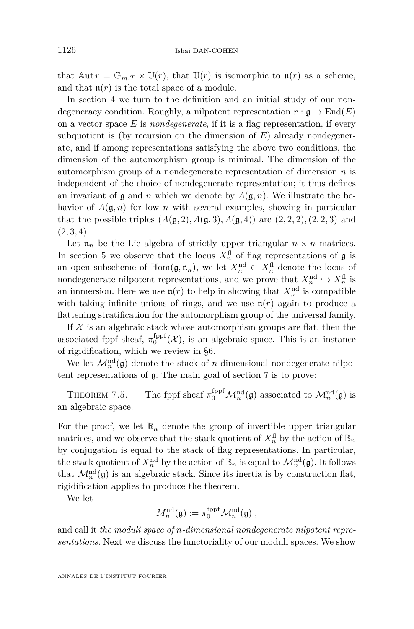that  $\text{Aut } r = \mathbb{G}_{m,T} \times \mathbb{U}(r)$ , that  $\mathbb{U}(r)$  is isomorphic to  $\mathfrak{n}(r)$  as a scheme, and that  $\mathfrak{n}(r)$  is the total space of a module.

In section [4](#page-20-0) we turn to the definition and an initial study of our nondegeneracy condition. Roughly, a nilpotent representation  $r : \mathfrak{g} \to \text{End}(E)$ on a vector space *E* is *nondegenerate*, if it is a flag representation, if every subquotient is (by recursion on the dimension of *E*) already nondegenerate, and if among representations satisfying the above two conditions, the dimension of the automorphism group is minimal. The dimension of the automorphism group of a nondegenerate representation of dimension *n* is independent of the choice of nondegenerate representation; it thus defines an invariant of  $\mathfrak g$  and  $n$  which we denote by  $A(\mathfrak g, n)$ . We illustrate the behavior of  $A(\mathfrak{g}, n)$  for low *n* with several examples, showing in particular that the possible triples  $(A(g, 2), A(g, 3), A(g, 4))$  are  $(2, 2, 2), (2, 2, 3)$  and  $(2, 3, 4)$ .

Let  $\mathfrak{n}_n$  be the Lie algebra of strictly upper triangular  $n \times n$  matrices. In section [5](#page-25-0) we observe that the locus  $X_n^{\text{fl}}$  of flag representations of  $\mathfrak g$  is an open subscheme of  $\mathbb{H}$ om $(\mathfrak{g}, \mathfrak{n}_n)$ , we let  $X_n^{\text{nd}} \subset X_n^{\text{fl}}$  denote the locus of nondegenerate nilpotent representations, and we prove that  $X_n^{\text{nd}} \hookrightarrow X_n^{\text{fl}}$  is an immersion. Here we use  $\mathfrak{n}(r)$  to help in showing that  $X_n^{\text{nd}}$  is compatible with taking infinite unions of rings, and we use  $\mathfrak{n}(r)$  again to produce a flattening stratification for the automorphism group of the universal family.

If  $X$  is an algebraic stack whose automorphism groups are flat, then the associated fppf sheaf,  $\pi_0^{\text{fppf}}(\mathcal{X})$ , is an algebraic space. This is an instance of rigidification, which we review in [§6.](#page-31-0)

We let  $\mathcal{M}_n^{\text{nd}}(\mathfrak{g})$  denote the stack of *n*-dimensional nondegenerate nilpotent representations of g. The main goal of section [7](#page-35-0) is to prove:

THEOREM [7.5.](#page-38-0) — The fppf sheaf  $\pi_0^{\text{fppf}}\mathcal{M}_n^{\text{nd}}(\mathfrak{g})$  associated to  $\mathcal{M}_n^{\text{nd}}(\mathfrak{g})$  is an algebraic space.

For the proof, we let  $\mathbb{B}_n$  denote the group of invertible upper triangular matrices, and we observe that the stack quotient of  $X_n^{\text{fl}}$  by the action of  $\mathbb{B}_n$ by conjugation is equal to the stack of flag representations. In particular, the stack quotient of  $X_n^{\text{nd}}$  by the action of  $\mathbb{B}_n$  is equal to  $\mathcal{M}_n^{\text{nd}}(\mathfrak{g})$ . It follows that  $\mathcal{M}_n^{\text{nd}}(\mathfrak{g})$  is an algebraic stack. Since its inertia is by construction flat, rigidification applies to produce the theorem.

We let

$$
M^{\mathrm{nd}}_{n}(\mathfrak{g}):=\pi^{\mathrm{fppf}}_{0}\mathcal{M}^{\mathrm{nd}}_{n}(\mathfrak{g})\;,
$$

and call it *the moduli space of n-dimensional nondegenerate nilpotent representations*. Next we discuss the functoriality of our moduli spaces. We show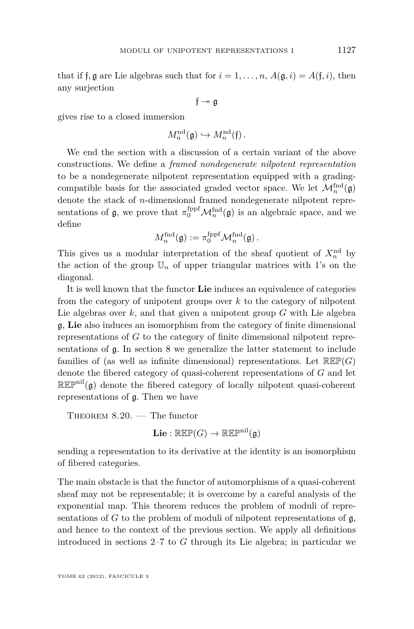that if f, g are Lie algebras such that for  $i = 1, \ldots, n$ ,  $A(g, i) = A(f, i)$ , then any surjection

$$
\mathfrak{f}\twoheadrightarrow\mathfrak{g}
$$

gives rise to a closed immersion

$$
M_n^{\mathrm{nd}}(\mathfrak{g}) \hookrightarrow M_n^{\mathrm{nd}}(\mathfrak{f})\,.
$$

We end the section with a discussion of a certain variant of the above constructions. We define a *framed nondegenerate nilpotent representation* to be a nondegenerate nilpotent representation equipped with a gradingcompatible basis for the associated graded vector space. We let  $\mathcal{M}_n^{\text{find}}(\mathfrak{g})$ denote the stack of *n*-dimensional framed nondegenerate nilpotent representations of  $\mathfrak{g}$ , we prove that  $\pi_0^{\text{fppf}}\mathcal{M}_n^{\text{fnd}}(\mathfrak{g})$  is an algebraic space, and we define

$$
M_n^{\text{find}}(\mathfrak{g}) := \pi_0^{\text{fppf}} \mathcal{M}_n^{\text{find}}(\mathfrak{g})\,.
$$

This gives us a modular interpretation of the sheaf quotient of  $X_n^{\text{nd}}$  by the action of the group  $\mathbb{U}_n$  of upper triangular matrices with 1's on the diagonal.

It is well known that the functor **Lie** induces an equivalence of categories from the category of unipotent groups over *k* to the category of nilpotent Lie algebras over *k*, and that given a unipotent group *G* with Lie algebra g, **Lie** also induces an isomorphism from the category of finite dimensional representations of *G* to the category of finite dimensional nilpotent representations of g. In section [8](#page-44-0) we generalize the latter statement to include families of (as well as infinite dimensional) representations. Let  $\mathbb{R}\mathbb{E}\mathbb{P}(G)$ denote the fibered category of quasi-coherent representations of *G* and let  $\mathbb{R}\mathbb{E}\mathbb{P}^{\text{nil}}(\mathfrak{g})$  denote the fibered category of locally nilpotent quasi-coherent representations of g. Then we have

THEOREM  $8.20.$  – The functor  $\mathbf{Lie} : \mathbb{R}\mathbb{E}\mathbb{P}(G) \to \mathbb{R}\mathbb{E}\mathbb{P}^{\text{nil}}(\mathfrak{g})$ 

sending a representation to its derivative at the identity is an isomorphism of fibered categories.

The main obstacle is that the functor of automorphisms of a quasi-coherent sheaf may not be representable; it is overcome by a careful analysis of the exponential map. This theorem reduces the problem of moduli of representations of  $G$  to the problem of moduli of nilpotent representations of  $\mathfrak{g}$ , and hence to the context of the previous section. We apply all definitions introduced in sections [2–](#page-13-0)[7](#page-35-0) to *G* through its Lie algebra; in particular we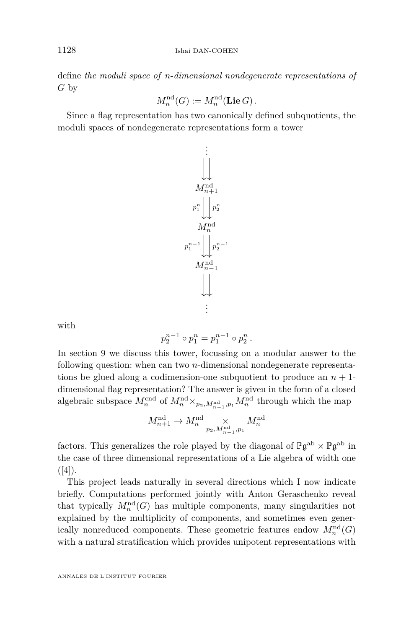define *the moduli space of n*-*dimensional nondegenerate representations of G* by

$$
M_n^{\mathrm{nd}}(G) := M_n^{\mathrm{nd}}(\mathbf{Lie}\, G) .
$$

Since a flag representation has two canonically defined subquotients, the moduli spaces of nondegenerate representations form a tower



with

$$
p_2^{n-1} \circ p_1^n = p_1^{n-1} \circ p_2^n.
$$

In section [9](#page-56-0) we discuss this tower, focussing on a modular answer to the following question: when can two *n*-dimensional nondegenerate representations be glued along a codimension-one subquotient to produce an  $n + 1$ dimensional flag representation? The answer is given in the form of a closed algebraic subspace  $M_n^{\text{end}}$  of  $M_n^{\text{nd}} \times_{p_2, M_{n-1}^{\text{nd}}, p_1} M_n^{\text{nd}}$  through which the map

$$
M_{n+1}^{\mathrm{nd}}\to M_{n}^{\mathrm{nd}}\underset{p_{2},M_{n-1}^{\mathrm{nd}},p_{1}}{\times}M_{n}^{\mathrm{nd}}
$$

factors. This generalizes the role played by the diagonal of  $\mathbb{P}\mathfrak{g}^{\rm ab} \times \mathbb{P}\mathfrak{g}^{\rm ab}$  in the case of three dimensional representations of a Lie algebra of width one  $([4])$  $([4])$  $([4])$ .

This project leads naturally in several directions which I now indicate briefly. Computations performed jointly with Anton Geraschenko reveal that typically  $M_n^{\text{nd}}(G)$  has multiple components, many singularities not explained by the multiplicity of components, and sometimes even generically nonreduced components. These geometric features endow  $M_n^{\text{nd}}(G)$ with a natural stratification which provides unipotent representations with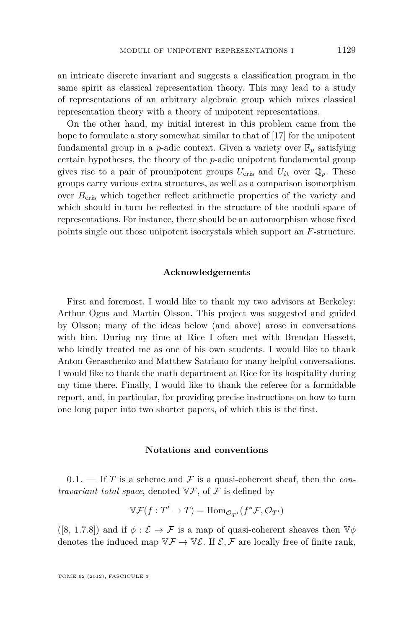<span id="page-7-0"></span>an intricate discrete invariant and suggests a classification program in the same spirit as classical representation theory. This may lead to a study of representations of an arbitrary algebraic group which mixes classical representation theory with a theory of unipotent representations.

On the other hand, my initial interest in this problem came from the hope to formulate a story somewhat similar to that of [\[17\]](#page-65-0) for the unipotent fundamental group in a *p*-adic context. Given a variety over  $\mathbb{F}_n$  satisfying certain hypotheses, the theory of the *p*-adic unipotent fundamental group gives rise to a pair of prounipotent groups  $U_{\text{cris}}$  and  $U_{\text{\'et}}$  over  $\mathbb{Q}_p$ . These groups carry various extra structures, as well as a comparison isomorphism over  $B_{\text{cris}}$  which together reflect arithmetic properties of the variety and which should in turn be reflected in the structure of the moduli space of representations. For instance, there should be an automorphism whose fixed points single out those unipotent isocrystals which support an *F*-structure.

#### **Acknowledgements**

First and foremost, I would like to thank my two advisors at Berkeley: Arthur Ogus and Martin Olsson. This project was suggested and guided by Olsson; many of the ideas below (and above) arose in conversations with him. During my time at Rice I often met with Brendan Hassett, who kindly treated me as one of his own students. I would like to thank Anton Geraschenko and Matthew Satriano for many helpful conversations. I would like to thank the math department at Rice for its hospitality during my time there. Finally, I would like to thank the referee for a formidable report, and, in particular, for providing precise instructions on how to turn one long paper into two shorter papers, of which this is the first.

#### **Notations and conventions**

 $0.1.$  If *T* is a scheme and *F* is a quasi-coherent sheaf, then the *contravariant total space*, denoted  $\nabla \mathcal{F}$ , of  $\mathcal{F}$  is defined by

$$
\mathbb{V}\mathcal{F}(f:T'\rightarrow T)=\mathrm{Hom}_{\mathcal{O}_{T'}}(f^*\mathcal{F},\mathcal{O}_{T'})
$$

([\[8,](#page-64-0) 1.7.8]) and if  $\phi : \mathcal{E} \to \mathcal{F}$  is a map of quasi-coherent sheaves then  $\mathbb{V}\phi$ denotes the induced map  $\nabla \mathcal{F} \to \nabla \mathcal{E}$ . If  $\mathcal{E}, \mathcal{F}$  are locally free of finite rank,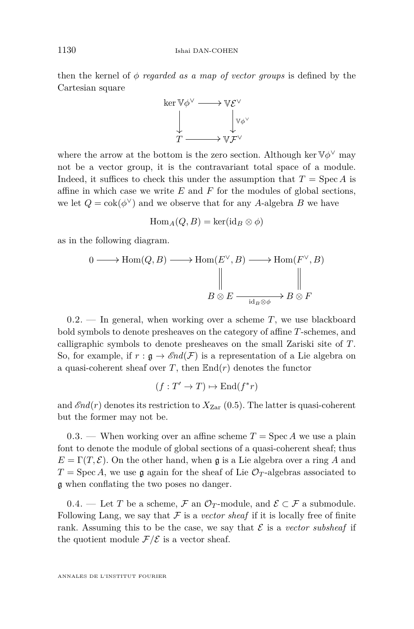<span id="page-8-0"></span>then the kernel of *φ regarded as a map of vector groups* is defined by the Cartesian square



where the arrow at the bottom is the zero section. Although ker  $\mathbb{V} \phi^{\vee}$  may not be a vector group, it is the contravariant total space of a module. Indeed, it suffices to check this under the assumption that  $T = \text{Spec } A$  is affine in which case we write *E* and *F* for the modules of global sections, we let  $Q = \text{cok}(\phi^{\vee})$  and we observe that for any A-algebra B we have

$$
\operatorname{Hom}_A(Q, B) = \ker(\operatorname{id}_B \otimes \phi)
$$

as in the following diagram.

$$
0 \longrightarrow \text{Hom}(Q, B) \longrightarrow \text{Hom}(E^{\vee}, B) \longrightarrow \text{Hom}(F^{\vee}, B)
$$
  

$$
\parallel \qquad \qquad \parallel \qquad \qquad \parallel
$$
  

$$
B \otimes E \xrightarrow{\text{id}_B \otimes \phi} B \otimes F
$$

0.2. — In general, when working over a scheme *T*, we use blackboard bold symbols to denote presheaves on the category of affine *T*-schemes, and calligraphic symbols to denote presheaves on the small Zariski site of *T*. So, for example, if  $r : \mathfrak{g} \to \mathcal{E}nd(\mathcal{F})$  is a representation of a Lie algebra on a quasi-coherent sheaf over  $T$ , then  $\mathbb{E} \text{nd}(r)$  denotes the functor

$$
(f: T' \to T) \mapsto \text{End}(f^*r)
$$

and  $\mathscr{E}nd(r)$  denotes its restriction to  $X_{\text{Zar}}(0.5)$  $X_{\text{Zar}}(0.5)$ . The latter is quasi-coherent but the former may not be.

0.3. — When working over an affine scheme  $T = \text{Spec } A$  we use a plain font to denote the module of global sections of a quasi-coherent sheaf; thus  $E = \Gamma(T, \mathcal{E})$ . On the other hand, when g is a Lie algebra over a ring *A* and  $T = \text{Spec } A$ , we use g again for the sheaf of Lie  $\mathcal{O}_T$ -algebras associated to g when conflating the two poses no danger.

0.4. — Let *T* be a scheme,  $\mathcal F$  an  $\mathcal O_T$ -module, and  $\mathcal E \subset \mathcal F$  a submodule. Following Lang, we say that  $\mathcal F$  is a *vector sheaf* if it is locally free of finite rank. Assuming this to be the case, we say that  $\mathcal E$  is a *vector subsheaf* if the quotient module  $\mathcal{F}/\mathcal{E}$  is a vector sheaf.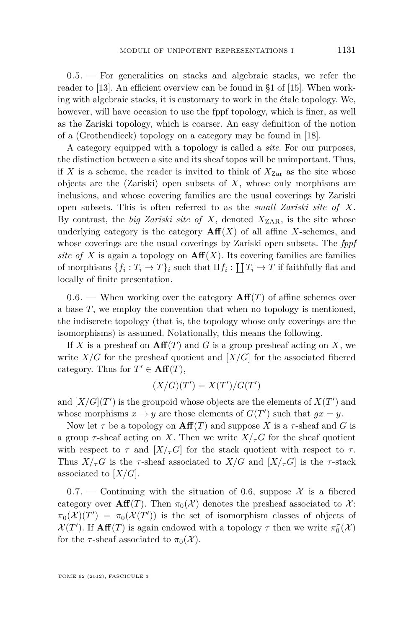<span id="page-9-0"></span>0.5. — For generalities on stacks and algebraic stacks, we refer the reader to [\[13\]](#page-64-0). An efficient overview can be found in §1 of [\[15\]](#page-64-0). When working with algebraic stacks, it is customary to work in the étale topology. We, however, will have occasion to use the fppf topology, which is finer, as well as the Zariski topology, which is coarser. An easy definition of the notion of a (Grothendieck) topology on a category may be found in [\[18\]](#page-65-0).

A category equipped with a topology is called a *site*. For our purposes, the distinction between a site and its sheaf topos will be unimportant. Thus, if X is a scheme, the reader is invited to think of  $X_{\text{Zar}}$  as the site whose objects are the (Zariski) open subsets of *X*, whose only morphisms are inclusions, and whose covering families are the usual coverings by Zariski open subsets. This is often referred to as the *small Zariski site of X*. By contrast, the *big Zariski site of X*, denoted  $X_{ZAR}$ , is the site whose underlying category is the category  $\mathbf{Aff}(X)$  of all affine *X*-schemes, and whose coverings are the usual coverings by Zariski open subsets. The *fppf site of X* is again a topology on  $\text{Aff}(X)$ . Its covering families are families of morphisms  $\{f_i: T_i \to T\}_i$  such that  $\mathcal{I}f_i: \coprod T_i \to T$  if faithfully flat and locally of finite presentation.

0.6. — When working over the category  $\mathbf{Aff}(T)$  of affine schemes over a base *T*, we employ the convention that when no topology is mentioned, the indiscrete topology (that is, the topology whose only coverings are the isomorphisms) is assumed. Notationally, this means the following.

If X is a presheaf on  $\mathbf{Aff}(T)$  and G is a group presheaf acting on X, we write  $X/G$  for the presheaf quotient and  $[X/G]$  for the associated fibered category. Thus for  $T' \in \text{Aff}(T)$ ,

$$
(X/G)(T') = X(T')/G(T')
$$

and  $[X/G](T')$  is the groupoid whose objects are the elements of  $X(T')$  and whose morphisms  $x \to y$  are those elements of  $G(T')$  such that  $gx = y$ .

Now let  $\tau$  be a topology on  $\textbf{Aff}(T)$  and suppose X is a  $\tau$ -sheaf and G is a group  $\tau$ -sheaf acting on X. Then we write  $X/\tau$ <sup>*G*</sup> for the sheaf quotient with respect to  $\tau$  and  $[X/\tau G]$  for the stack quotient with respect to  $\tau$ . Thus  $X/\tau$ <sup>*G*</sup> is the *τ*-sheaf associated to  $X/G$  and  $[X/\tau$ <sup>*G*</sup> is the *τ*-stack associated to [*X/G*].

0.7. — Continuing with the situation of 0.6, suppose  $\mathcal{X}$  is a fibered category over  $\textbf{Aff}(T)$ . Then  $\pi_0(\mathcal{X})$  denotes the presheaf associated to X:  $\pi_0(\mathcal{X})(T') = \pi_0(\mathcal{X}(T'))$  is the set of isomorphism classes of objects of  $\mathcal{X}(T')$ . If  $\text{Aff}(T)$  is again endowed with a topology  $\tau$  then we write  $\pi_0^{\tau}(\mathcal{X})$ for the *τ*-sheaf associated to  $\pi_0(\mathcal{X})$ .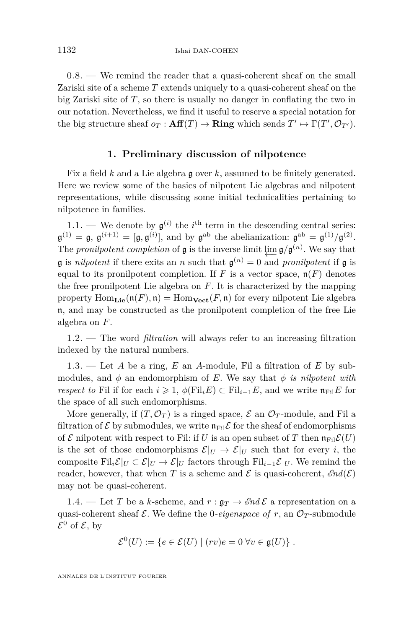<span id="page-10-0"></span>0.8. — We remind the reader that a quasi-coherent sheaf on the small Zariski site of a scheme *T* extends uniquely to a quasi-coherent sheaf on the big Zariski site of *T*, so there is usually no danger in conflating the two in our notation. Nevertheless, we find it useful to reserve a special notation for the big structure sheaf  $o_T : \mathbf{Aff}(T) \to \mathbf{Ring}$  which sends  $T' \mapsto \Gamma(T', \mathcal{O}_{T'})$ .

#### **1. Preliminary discussion of nilpotence**

Fix a field *k* and a Lie algebra g over *k*, assumed to be finitely generated. Here we review some of the basics of nilpotent Lie algebras and nilpotent representations, while discussing some initial technicalities pertaining to nilpotence in families.

1.1. — We denote by  $\mathfrak{g}^{(i)}$  the  $i^{\text{th}}$  term in the descending central series:  $\mathfrak{g}^{(1)} = \mathfrak{g}, \ \mathfrak{g}^{(i+1)} = [\mathfrak{g}, \mathfrak{g}^{(i)}],$  and by  $\mathfrak{g}^{\text{ab}}$  the abelianization:  $\mathfrak{g}^{\text{ab}} = \mathfrak{g}^{(1)}/\mathfrak{g}^{(2)}$ . The *pronilpotent completion* of **g** is the inverse limit  $\varprojlim_{n} g/g^{(n)}$ . We say that  $\mathfrak g$  is *nilpotent* if there exits an *n* such that  $\mathfrak g^{(n)} = 0$  and *pronilpotent* if  $\mathfrak g$  is equal to its pronilpotent completion. If  $F$  is a vector space,  $\mathfrak{n}(F)$  denotes the free pronilpotent Lie algebra on *F*. It is characterized by the mapping property  $\text{Hom}_{\text{Lie}}(\mathfrak{n}(F), \mathfrak{n}) = \text{Hom}_{\text{Vect}}(F, \mathfrak{n})$  for every nilpotent Lie algebra n, and may be constructed as the pronilpotent completion of the free Lie algebra on *F*.

1.2. — The word *filtration* will always refer to an increasing filtration indexed by the natural numbers.

1.3. — Let *A* be a ring, *E* an *A*-module, Fil a filtration of *E* by submodules, and  $\phi$  an endomorphism of *E*. We say that  $\phi$  *is nilpotent with respect to* Fil if for each  $i \geq 1$ ,  $\phi(\text{Fil}_i E) \subset \text{Fil}_{i-1} E$ , and we write  $\mathfrak{n}_{\text{Fil}} E$  for the space of all such endomorphisms.

More generally, if  $(T, \mathcal{O}_T)$  is a ringed space,  $\mathcal E$  an  $\mathcal{O}_T$ -module, and Fil a filtration of  $\mathcal E$  by submodules, we write  $\mathfrak{n}_{\text{Fil}}\mathcal E$  for the sheaf of endomorphisms of  $\mathcal E$  nilpotent with respect to Fil: if U is an open subset of T then  $\mathfrak n_{\text{Fil}}\mathcal E(U)$ is the set of those endomorphisms  $\mathcal{E}|_U \to \mathcal{E}|_U$  such that for every *i*, the composite Fil<sub>i</sub> $\mathcal{E}|_U \subset \mathcal{E}|_U \to \mathcal{E}|_U$  factors through Fil<sub>i</sub><sup>−1</sup>E/*U*. We remind the reader, however, that when *T* is a scheme and  $\mathcal E$  is quasi-coherent,  $\mathcal End(\mathcal E)$ may not be quasi-coherent.

1.4. — Let *T* be a *k*-scheme, and  $r : \mathfrak{g}_T \to \mathcal{E}nd\mathcal{E}$  a representation on a quasi-coherent sheaf  $\mathcal E$ . We define the 0-*eigenspace of*  $r$ , an  $\mathcal O_T$ -submodule  $\mathcal{E}^0$  of  $\mathcal{E}$ , by

$$
\mathcal{E}^0(U) := \{ e \in \mathcal{E}(U) \mid (rv)e = 0 \,\forall v \in \mathfrak{g}(U) \}.
$$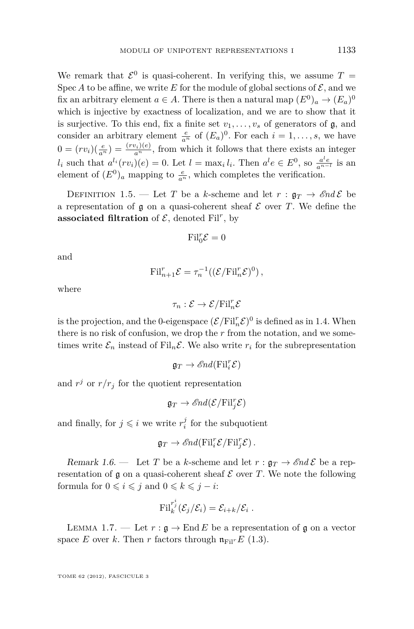<span id="page-11-0"></span>We remark that  $\mathcal{E}^0$  is quasi-coherent. In verifying this, we assume  $T =$ Spec *A* to be affine, we write *E* for the module of global sections of  $\mathcal{E}$ , and we fix an arbitrary element  $a \in A$ . There is then a natural map  $(E^0)_a \to (E_a)^0$ which is injective by exactness of localization, and we are to show that it is surjective. To this end, fix a finite set  $v_1, \ldots, v_s$  of generators of  $\mathfrak{g}$ , and consider an arbitrary element  $\frac{e}{a^n}$  of  $(E_a)^0$ . For each  $i = 1, \ldots, s$ , we have  $0 = (rv_i)(\frac{e}{a^n}) = \frac{(rv_i)(e)}{a^n}$ , from which it follows that there exists an integer  $l_i$  such that  $a^{l_i}(rv_i)(e) = 0$ . Let  $l = \max_i l_i$ . Then  $a^l e \in E^0$ , so  $\frac{a^l e}{a^{n-l}}$  is an element of  $(E^0)_a$  mapping to  $\frac{e}{a^n}$ , which completes the verification.

DEFINITION 1.5. — Let *T* be a *k*-scheme and let  $r : \mathfrak{a}_T \to \mathcal{E}nd\mathcal{E}$  be a representation of  $\mathfrak g$  on a quasi-coherent sheaf  $\mathcal E$  over  $T$ . We define the associated filtration of  $\mathcal{E}$ , denoted Fil<sup>r</sup>, by

$$
\mathrm{Fil}_{0}^{r}\mathcal{E}=0
$$

and

$$
\mathrm{Fil}_{n+1}^r \mathcal{E} = \tau_n^{-1}((\mathcal{E}/\mathrm{Fil}_n^r \mathcal{E})^0),
$$

where

$$
\tau_n: \mathcal{E} \to \mathcal{E}/\text{Fil}_n^r \mathcal{E}
$$

is the projection, and the 0-eigenspace  $(\mathcal{E}/\text{Fil}_{n}^{r}\mathcal{E})^{0}$  is defined as in [1.4.](#page-10-0) When there is no risk of confusion, we drop the *r* from the notation, and we sometimes write  $\mathcal{E}_n$  instead of Fil<sub>n</sub> $\mathcal{E}$ . We also write  $r_i$  for the subrepresentation

$$
\mathfrak{g}_T \to \mathscr{E}\hspace{-0.01cm}nd(\mathrm{Fil}_i^r\mathcal{E})
$$

and  $r^j$  or  $r/r_j$  for the quotient representation

$$
\mathfrak{g}_T \to \mathscr{E}nd(\mathcal{E}/\text{Fil}_j^r\mathcal{E})
$$

and finally, for  $j \leq i$  we write  $r_i^j$  for the subquotient

$$
\mathfrak{g}_T \to \mathscr{E}nd(\mathrm{Fil}_i^r \mathcal{E}/\mathrm{Fil}_j^r \mathcal{E}).
$$

Remark 1.6. — Let *T* be a *k*-scheme and let  $r : \mathfrak{g}_T \to \mathcal{E}nd\mathcal{E}$  be a representation of  $\mathfrak g$  on a quasi-coherent sheaf  $\mathcal E$  over  $T$ . We note the following formula for  $0 \leq i \leq j$  and  $0 \leq k \leq j - i$ :

$$
\mathrm{Fil}_{k}^{r_{j}^{i}}(\mathcal{E}_{j}/\mathcal{E}_{i})=\mathcal{E}_{i+k}/\mathcal{E}_{i}.
$$

LEMMA 1.7. — Let  $r : \mathfrak{g} \to \text{End } E$  be a representation of g on a vector space *E* over *k*. Then *r* factors through  $\mathfrak{n}_{\text{Fil}}$ <sup>*r*</sup>*E* [\(1.3\)](#page-10-0).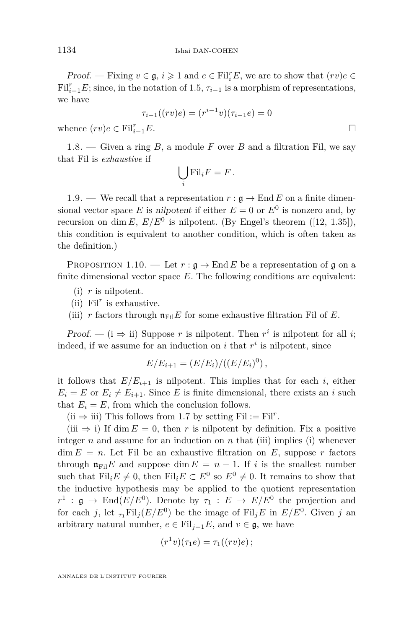<span id="page-12-0"></span>*Proof.* — Fixing  $v \in \mathfrak{g}$ ,  $i \geqslant 1$  and  $e \in \mathrm{Fil}_{i}^{r}E$ , we are to show that  $(rv)e \in \mathfrak{g}$  $\text{Fil}_{i-1}^r E$ ; since, in the notation of [1.5,](#page-11-0)  $\tau_{i-1}$  is a morphism of representations, we have

$$
\tau_{i-1}((rv)e) = (r^{i-1}v)(\tau_{i-1}e) = 0
$$

whence  $(rv)e \in \text{Fil}_{i-1}^r E$ . *<sup>i</sup>*−1*E*.

1.8.  $-$  Given a ring  $B$ , a module  $F$  over  $B$  and a filtration Fil, we say that Fil is *exhaustive* if

$$
\bigcup_i \mathrm{Fil}_i F = F.
$$

1.9. — We recall that a representation  $r : \mathfrak{g} \to \text{End } E$  on a finite dimensional vector space *E* is nilpotent if either  $E = 0$  or  $E^0$  is nonzero and, by recursion on dim *E*,  $E/E^0$  is nilpotent. (By Engel's theorem ([\[12,](#page-64-0) 1.35]), this condition is equivalent to another condition, which is often taken as the definition.)

PROPOSITION 1.10. — Let  $r : \mathfrak{g} \to \text{End } E$  be a representation of g on a finite dimensional vector space *E*. The following conditions are equivalent:

- (i) *r* is nilpotent.
- (ii)  $\text{Fil}^r$  is exhaustive.
- (iii) *r* factors through  $\mathfrak{n}_{\text{Fil}}E$  for some exhaustive filtration Fil of *E*.

Proof. — ( $i \Rightarrow ii$ ) Suppose *r* is nilpotent. Then *r*<sup>*i*</sup> is nilpotent for all *i*; indeed, if we assume for an induction on  $i$  that  $r^i$  is nilpotent, since

$$
E/E_{i+1} = (E/E_i)/((E/E_i)^0),
$$

it follows that  $E/E_{i+1}$  is nilpotent. This implies that for each *i*, either  $E_i = E$  or  $E_i \neq E_{i+1}$ . Since *E* is finite dimensional, there exists an *i* such that  $E_i = E$ , from which the conclusion follows.

(ii  $\Rightarrow$  iii) This follows from [1.7](#page-11-0) by setting Fil := Fil<sup>r</sup>.

(iii  $\Rightarrow$  i) If dim  $E = 0$ , then r is nilpotent by definition. Fix a positive integer *n* and assume for an induction on *n* that (iii) implies (i) whenever  $\dim E = n$ . Let Fil be an exhaustive filtration on E, suppose r factors through  $\mathfrak{n}_{\text{Fil}}E$  and suppose dim  $E = n + 1$ . If *i* is the smallest number such that  $\text{Fil}_i E \neq 0$ , then  $\text{Fil}_i E \subset E^0$  so  $E^0 \neq 0$ . It remains to show that the inductive hypothesis may be applied to the quotient representation  $r^1$  :  $\mathfrak{g} \to \text{End}(E/E^0)$ . Denote by  $\tau_1 : E \to E/E^0$  the projection and for each *j*, let  $_{\tau_1}$ Fil<sub>*j*</sub>( $E/E^0$ ) be the image of Fil<sub>*j*</sub> $E$  in  $E/E^0$ . Given *j* an arbitrary natural number,  $e \in \text{Fil}_{i+1}E$ , and  $v \in \mathfrak{g}$ , we have

$$
(r1v)(\tau_1e)=\tau_1((rv)e);
$$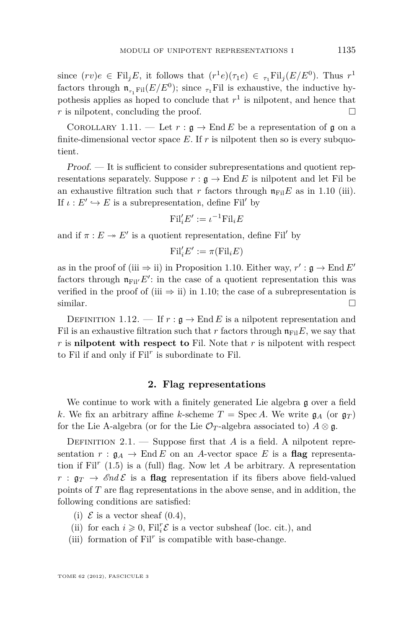<span id="page-13-0"></span>since  $(rv)e \in \text{Fil}_jE$ , it follows that  $(r^1e)(\tau_1e) \in \tau_1\text{Fil}_j(E/E^0)$ . Thus  $r^1$ factors through  $\mathfrak{n}_{\tau_1\text{Fil}}(E/E^0)$ ; since  $\tau_1\text{Fil}$  is exhaustive, the inductive hypothesis applies as hoped to conclude that  $r<sup>1</sup>$  is nilpotent, and hence that  $r$  is nilpotent, concluding the proof.

COROLLARY 1.11. — Let  $r : \mathfrak{g} \to \text{End } E$  be a representation of g on a finite-dimensional vector space  $E$ . If  $r$  is nilpotent then so is every subquotient.

Proof. — It is sufficient to consider subrepresentations and quotient representations separately. Suppose  $r : \mathfrak{g} \to \text{End } E$  is nilpotent and let Fil be an exhaustive filtration such that *r* factors through  $\mathfrak{n}_{\text{Fil}}E$  as in [1.10](#page-12-0) (iii). If  $\iota : E' \hookrightarrow E$  is a subrepresentation, define Fil' by

$$
\mathrm{Fil}_{i}'E':=\iota^{-1}\mathrm{Fil}_{i}E
$$

and if  $\pi : E \to E'$  is a quotient representation, define Fil<sup>'</sup> by

$$
\mathrm{Fil}'_iE':=\pi(\mathrm{Fil}_iE)
$$

as in the proof of (iii  $\Rightarrow$  ii) in Proposition [1.10.](#page-12-0) Either way,  $r' : \mathfrak{g} \to \text{End } E'$ factors through  $\mathfrak{n}_{\text{Fil}}/E'$ : in the case of a quotient representation this was verified in the proof of (iii  $\Rightarrow$  ii) in [1.10;](#page-12-0) the case of a subrepresentation is similar.  $\Box$ 

DEFINITION 1.12. — If  $r : \mathfrak{g} \to \text{End } E$  is a nilpotent representation and Fil is an exhaustive filtration such that *r* factors through  $\mathfrak{n}_{\text{Fil}}E$ , we say that *r* is **nilpotent with respect to** Fil. Note that *r* is nilpotent with respect to Fil if and only if Fil*<sup>r</sup>* is subordinate to Fil.

#### **2. Flag representations**

We continue to work with a finitely generated Lie algebra g over a field *k*. We fix an arbitrary affine *k*-scheme  $T = \text{Spec } A$ . We write  $\mathfrak{g}_A$  (or  $\mathfrak{g}_T$ ) for the Lie A-algebra (or for the Lie  $\mathcal{O}_T$ -algebra associated to)  $A \otimes \mathfrak{g}$ .

DEFINITION  $2.1.$  — Suppose first that *A* is a field. A nilpotent representation  $r : \mathfrak{g}_A \to \text{End } E$  on an *A*-vector space *E* is a **flag** representation if  $\text{Fil}^r$  [\(1.5\)](#page-11-0) is a (full) flag. Now let  $A$  be arbitrary. A representation  $r : \mathfrak{g}_T \to \mathcal{E}nd\mathcal{E}$  is a **flag** representation if its fibers above field-valued points of *T* are flag representations in the above sense, and in addition, the following conditions are satisfied:

- (i)  $\mathcal E$  is a vector sheaf [\(0.4\)](#page-8-0),
- (ii) for each  $i \geqslant 0$ ,  $\mathrm{Fil}_{i}^{r} \mathcal{E}$  is a vector subsheaf (loc. cit.), and
- (iii) formation of  $\text{Fil}^r$  is compatible with base-change.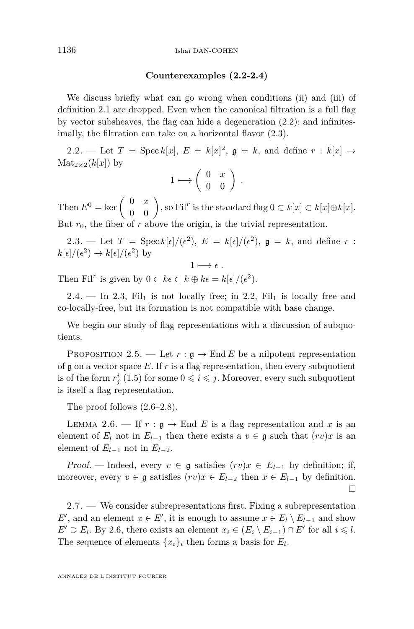#### **Counterexamples (2.2-2.4)**

<span id="page-14-0"></span>We discuss briefly what can go wrong when conditions (ii) and (iii) of definition [2.1](#page-13-0) are dropped. Even when the canonical filtration is a full flag by vector subsheaves, the flag can hide a degeneration (2.2); and infinitesimally, the filtration can take on a horizontal flavor (2.3).

2.2. — Let  $T = \text{Spec } k[x]$ ,  $E = k[x]^2$ ,  $\mathfrak{g} = k$ , and define  $r : k[x] \rightarrow$  $\text{Mat}_{2\times 2}(k[x])$  by

$$
1 \longmapsto \left( \begin{array}{cc} 0 & x \\ 0 & 0 \end{array} \right) .
$$

Then  $E^0 = \ker \begin{pmatrix} 0 & x \ 0 & 0 \end{pmatrix}$ , so Fil<sup>r</sup> is the standard flag  $0 \subset k[x] \subset k[x] \oplus k[x]$ . But  $r_0$ , the fiber of  $r$  above the origin, is the trivial representation.

2.3. — Let  $T = \text{Spec } k[\epsilon]/(\epsilon^2)$ ,  $E = k[\epsilon]/(\epsilon^2)$ ,  $\mathfrak{g} = k$ , and define  $r$ :  $k[\epsilon]/(\epsilon^2) \rightarrow k[\epsilon]/(\epsilon^2)$  by

$$
1 \longmapsto \epsilon.
$$

Then Fil<sup>*r*</sup> is given by  $0 \subset k\epsilon \subset k \oplus k\epsilon = k[\epsilon]/(\epsilon^2)$ .

2.4. — In 2.3, Fil<sub>1</sub> is not locally free; in 2.2, Fil<sub>1</sub> is locally free and co-locally-free, but its formation is not compatible with base change.

We begin our study of flag representations with a discussion of subquotients.

PROPOSITION 2.5. — Let  $r : \mathfrak{g} \to \text{End } E$  be a nilpotent representation of  $\mathfrak g$  on a vector space E. If  $r$  is a flag representation, then every subquotient is of the form  $r_j^i$  [\(1.5\)](#page-11-0) for some  $0 \leqslant i \leqslant j$ . Moreover, every such subquotient is itself a flag representation.

The proof follows (2.6[–2.8\)](#page-15-0).

LEMMA 2.6. — If  $r : \mathfrak{g} \to \text{End } E$  is a flag representation and x is an element of  $E_l$  not in  $E_{l-1}$  then there exists a  $v \in \mathfrak{g}$  such that  $(rv)x$  is an element of  $E_{l-1}$  not in  $E_{l-2}$ .

Proof. — Indeed, every  $v \in \mathfrak{g}$  satisfies  $(rv)x \in E_{l-1}$  by definition; if, moreover, every  $v \in \mathfrak{g}$  satisfies  $(rv)x \in E_{l-2}$  then  $x \in E_{l-1}$  by definition.  $\Box$ 

2.7. — We consider subrepresentations first. Fixing a subrepresentation *E*<sup> $\prime$ </sup>, and an element  $x \in E'$ , it is enough to assume  $x \in E_l \setminus E_{l-1}$  and show  $E' \supset E_l$ . By 2.6, there exists an element  $x_i \in (E_i \setminus E_{i-1}) \cap E'$  for all  $i \leq l$ . The sequence of elements  $\{x_i\}_i$  then forms a basis for  $E_l$ .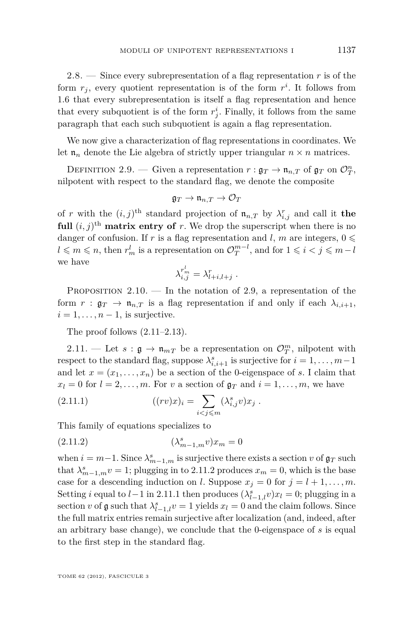<span id="page-15-0"></span>2.8. — Since every subrepresentation of a flag representation *r* is of the form  $r_j$ , every quotient representation is of the form  $r^i$ . It follows from [1.6](#page-11-0) that every subrepresentation is itself a flag representation and hence that every subquotient is of the form  $r_j^i$ . Finally, it follows from the same paragraph that each such subquotient is again a flag representation.

We now give a characterization of flag representations in coordinates. We let  $\mathfrak{n}_n$  denote the Lie algebra of strictly upper triangular  $n \times n$  matrices.

DEFINITION 2.9. — Given a representation  $r : \mathfrak{g}_T \to \mathfrak{n}_{n,T}$  of  $\mathfrak{g}_T$  on  $\mathcal{O}_T^n$ , nilpotent with respect to the standard flag, we denote the composite

$$
\mathfrak{g}_T\to\mathfrak{n}_{n,T}\to\mathcal{O}_T
$$

of *r* with the  $(i, j)$ <sup>th</sup> standard projection of  $\mathfrak{n}_{n,T}$  by  $\lambda_{i,j}^r$  and call it the **full**  $(i, j)$ <sup>th</sup> **matrix entry of** *r*. We drop the superscript when there is no danger of confusion. If *r* is a flag representation and *l*, *m* are integers,  $0 \le$  $l \leq m \leq n$ , then  $r_m^l$  is a representation on  $\mathcal{O}_T^{m-l}$ , and for  $1 \leq i < j \leq m-l$ we have

$$
\lambda_{i,j}^{r_m^l} = \lambda_{l+i,l+j}^r.
$$

PROPOSITION  $2.10.$  — In the notation of 2.9, a representation of the form  $r : \mathfrak{g}_T \to \mathfrak{n}_{n,T}$  is a flag representation if and only if each  $\lambda_{i,i+1}$ ,  $i = 1, \ldots, n-1$ , is surjective.

The proof follows  $(2.11-2.13)$ .

2.11. — Let  $s : \mathfrak{g} \to \mathfrak{n}_{mT}$  be a representation on  $\mathcal{O}_T^m$ , nilpotent with respect to the standard flag, suppose  $\lambda_{i,i+1}^s$  is surjective for  $i = 1, \ldots, m-1$ and let  $x = (x_1, \ldots, x_n)$  be a section of the 0-eigenspace of *s*. I claim that  $x_l = 0$  for  $l = 2, \ldots, m$ . For *v* a section of  $\mathfrak{g}_T$  and  $i = 1, \ldots, m$ , we have

(2.11.1) 
$$
((rv)x)_i = \sum_{i < j \leq m} (\lambda_{i,j}^s v)x_j \; .
$$

This family of equations specializes to

(2.11.2) 
$$
(\lambda_{m-1,m}^s v)x_m = 0
$$

when  $i = m-1$ . Since  $\lambda_{m-1,m}^s$  is surjective there exists a section *v* of  $\mathfrak{g}_T$  such that  $\lambda_{m-1,m}^s v = 1$ ; plugging in to 2.11.2 produces  $x_m = 0$ , which is the base case for a descending induction on *l*. Suppose  $x_j = 0$  for  $j = l + 1, \ldots, m$ . Setting *i* equal to *l* − 1 in 2.11.1 then produces  $(\lambda_{l-1,l}^s v)x_l = 0$ ; plugging in a section *v* of  $\mathfrak g$  such that  $\lambda_{l-1,l}^s v = 1$  yields  $x_l = 0$  and the claim follows. Since the full matrix entries remain surjective after localization (and, indeed, after an arbitrary base change), we conclude that the 0-eigenspace of *s* is equal to the first step in the standard flag.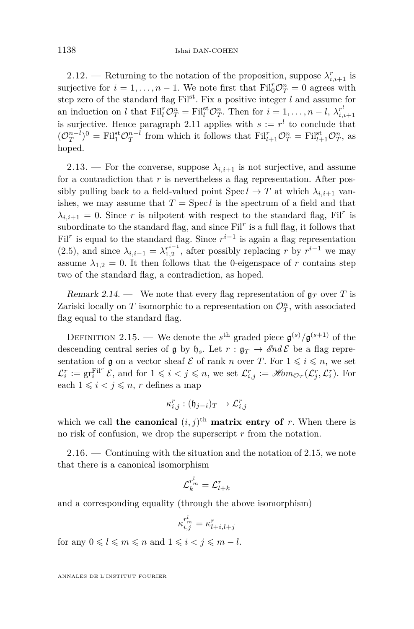<span id="page-16-0"></span>2.12. — Returning to the notation of the proposition, suppose  $\lambda_{i,i+1}^r$  is surjective for  $i = 1, ..., n - 1$ . We note first that  $\text{Fil}_{0}^{r} \mathcal{O}_{T}^{n} = 0$  agrees with step zero of the standard flag  $\text{Fil}^{\text{st}}$ . Fix a positive integer *l* and assume for an induction on *l* that  $\text{Fil}_{l}^{r} \mathcal{O}_{T}^{n} = \text{Fil}_{l}^{\text{st}} \mathcal{O}_{T}^{n}$ . Then for  $i = 1, ..., n - l$ ,  $\lambda_{i,i+1}^{r^{l}}$ is surjective. Hence paragraph [2.11](#page-15-0) applies with  $s := r<sup>l</sup>$  to conclude that  $(\mathcal{O}_T^{n-l})^0 = \text{Fil}_1^{\text{st}} \mathcal{O}_T^{n-l}$  from which it follows that  $\text{Fil}_{l+1}^r \mathcal{O}_T^n = \text{Fil}_{l+1}^{\text{st}} \mathcal{O}_T^n$ , as hoped.

2.13. — For the converse, suppose  $\lambda_{i,i+1}$  is not surjective, and assume for a contradiction that *r* is nevertheless a flag representation. After possibly pulling back to a field-valued point  $\text{Spec } l \to T$  at which  $\lambda_{i,i+1}$  vanishes, we may assume that  $T = \text{Spec } l$  is the spectrum of a field and that  $\lambda_{i,i+1} = 0$ . Since *r* is nilpotent with respect to the standard flag, Fil<sup>*r*</sup> is subordinate to the standard flag, and since Fil<sup>r</sup> is a full flag, it follows that Fil<sup>*r*</sup> is equal to the standard flag. Since  $r^{i-1}$  is again a flag representation [\(2.5\)](#page-14-0), and since  $\lambda_{i,i-1} = \lambda_{1,2}^{r^{i-1}}$ , after possibly replacing *r* by  $r^{i-1}$  we may assume  $\lambda_{1,2} = 0$ . It then follows that the 0-eigenspace of *r* contains step two of the standard flag, a contradiction, as hoped.

Remark 2.14. — We note that every flag representation of  $\mathfrak{g}_T$  over T is Zariski locally on  $T$  isomorphic to a representation on  $\mathcal{O}_T^n$ , with associated flag equal to the standard flag.

DEFINITION 2.15. — We denote the  $s^{\text{th}}$  graded piece  $\mathfrak{g}^{(s)}/\mathfrak{g}^{(s+1)}$  of the descending central series of g by  $\mathfrak{h}_s$ . Let  $r : \mathfrak{g}_T \to \mathcal{E}nd\mathcal{E}$  be a flag representation of g on a vector sheaf  $\mathcal E$  of rank *n* over *T*. For  $1 \leq i \leq n$ , we set  $\mathcal{L}_i^r := \operatorname{gr}_i^{\mathrm{Fil}^r} \mathcal{E}$ , and for  $1 \leqslant i < j \leqslant n$ , we set  $\mathcal{L}_{i,j}^r := \mathscr{H}\!{\it om}_{\mathcal{O}_T}(\mathcal{L}_j^r,\mathcal{L}_i^r)$ . For each  $1 \leq i \leq j \leq n$ , *r* defines a map

$$
\kappa_{i,j}^r : (\mathfrak{h}_{j-i})_T \to \mathcal{L}_{i,j}^r
$$

which we call **the canonical**  $(i, j)$ <sup>th</sup> **matrix entry of** *r*. When there is no risk of confusion, we drop the superscript *r* from the notation.

 $2.16.$  — Continuing with the situation and the notation of 2.15, we note that there is a canonical isomorphism

$$
\mathcal{L}_k^{r_m^l} = \mathcal{L}_{l+k}^r
$$

and a corresponding equality (through the above isomorphism)

$$
\kappa_{i,j}^{r_m^l} = \kappa_{l+i,l+j}^r
$$

for any  $0 \leq l \leq m \leq n$  and  $1 \leq i < j \leq m - l$ .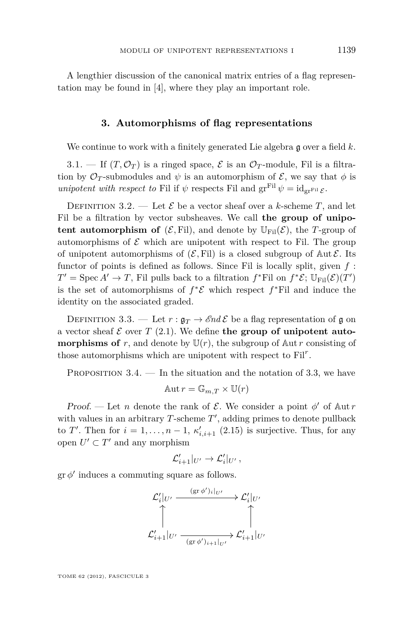<span id="page-17-0"></span>A lengthier discussion of the canonical matrix entries of a flag representation may be found in [\[4\]](#page-64-0), where they play an important role.

#### **3. Automorphisms of flag representations**

We continue to work with a finitely generated Lie algebra **q** over a field k.

3.1. — If  $(T, \mathcal{O}_T)$  is a ringed space,  $\mathcal E$  is an  $\mathcal{O}_T$ -module, Fil is a filtration by  $\mathcal{O}_T$ -submodules and  $\psi$  is an automorphism of  $\mathcal{E}$ , we say that  $\phi$  is *unipotent with respect to* Fil if  $\psi$  respects Fil and  $gr<sup>Fil</sup> \psi = id<sub>gr<sup>Fil</sup> \varepsilon</sub>$ .

DEFINITION 3.2. — Let  $\mathcal{E}$  be a vector sheaf over a *k*-scheme *T*, and let Fil be a filtration by vector subsheaves. We call **the group of unipotent automorphism of**  $(\mathcal{E}, \text{Fil})$ , and denote by  $\mathbb{U}_{\text{Fil}}(\mathcal{E})$ , the *T*-group of automorphisms of  $\mathcal E$  which are unipotent with respect to Fil. The group of unipotent automorphisms of  $(\mathcal{E}, \text{Fil})$  is a closed subgroup of Aut  $\mathcal{E}$ . Its functor of points is defined as follows. Since Fil is locally split, given *f* :  $T' = \text{Spec } A' \to T$ , Fil pulls back to a filtration  $f^*$ Fil on  $f^*E$ ;  $\mathbb{U}_{\text{Fil}}(\mathcal{E})(T')$ is the set of automorphisms of  $f^*{\mathcal{E}}$  which respect  $f^*$ Fil and induce the identity on the associated graded.

DEFINITION 3.3. — Let  $r : \mathfrak{g}_T \to \mathcal{E}nd\mathcal{E}$  be a flag representation of g on a vector sheaf  $\mathcal E$  over  $T$  [\(2.1\)](#page-13-0). We define the group of unipotent auto**morphisms of**  $r$ , and denote by  $U(r)$ , the subgroup of  $\mathbb{A}$ ut  $r$  consisting of those automorphisms which are unipotent with respect to Fil*<sup>r</sup>* .

PROPOSITION  $3.4.$  — In the situation and the notation of 3.3, we have

$$
Aut r = \mathbb{G}_{m,T} \times \mathbb{U}(r)
$$

Proof. — Let *n* denote the rank of  $\mathcal{E}$ . We consider a point  $\phi'$  of Aut *r* with values in an arbitrary  $T$ -scheme  $T'$ , adding primes to denote pullback to *T*'. Then for  $i = 1, ..., n - 1$ ,  $\kappa'_{i,i+1}$  [\(2.15\)](#page-16-0) is surjective. Thus, for any open  $U' \subset T'$  and any morphism

$$
\mathcal{L}'_{i+1}|_{U'} \to \mathcal{L}'_i|_{U'}\,,
$$

 $\operatorname{gr} \phi'$  induces a commuting square as follows.

$$
\mathcal{L}'_i|_{U'} \xrightarrow{\quad (\text{gr }\phi')_i|_{U'}} \mathcal{L}'_i|_{U'}
$$
\n
$$
\uparrow \qquad \qquad \downarrow \qquad \qquad \downarrow
$$
\n
$$
\mathcal{L}'_{i+1}|_{U'} \xrightarrow{\quad (\text{gr }\phi')_{i+1}|_{U'}} \mathcal{L}'_{i+1}|_{U'}
$$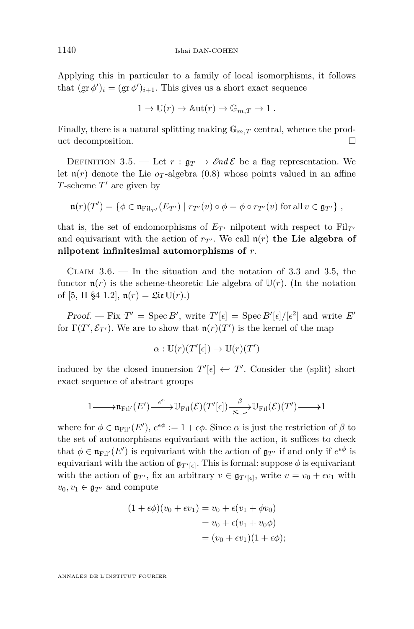Applying this in particular to a family of local isomorphisms, it follows that  $(\text{gr } \phi')_i = (\text{gr } \phi')_{i+1}$ . This gives us a short exact sequence

$$
1 \to \mathbb{U}(r) \to \mathbb{A}\mathrm{ut}(r) \to \mathbb{G}_{m,T} \to 1.
$$

Finally, there is a natural splitting making  $\mathbb{G}_{m,T}$  central, whence the product decomposition.

DEFINITION 3.5. — Let  $r : \mathfrak{g}_T \to \mathcal{E}nd\mathcal{E}$  be a flag representation. We let  $\mathfrak{n}(r)$  denote the Lie  $o<sub>T</sub>$ -algebra [\(0.8\)](#page-10-0) whose points valued in an affine *T*-scheme  $T'$  are given by

$$
\mathfrak{n}(r)(T') = \{ \phi \in \mathfrak{n}_{\mathrm{Fil}_{T'}}(E_{T'}) \mid r_{T'}(v) \circ \phi = \phi \circ r_{T'}(v) \text{ for all } v \in \mathfrak{g}_{T'} \},
$$

that is, the set of endomorphisms of  $E_{T}$  nilpotent with respect to Fil<sub>T</sub><sup> $0$ </sup> and equivariant with the action of  $r_T$ . We call  $n(r)$  the Lie algebra of **nilpotent infinitesimal automorphisms of** *r*.

CLAIM  $3.6.$  — In the situation and the notation of [3.3](#page-17-0) and 3.5, the functor  $\mathfrak{n}(r)$  is the scheme-theoretic Lie algebra of  $\mathbb{U}(r)$ . (In the notation of [\[5,](#page-64-0) II §4 1.2],  $n(r) =$  Lie  $U(r)$ .)

*Proof.* — Fix  $T' = \text{Spec } B'$ , write  $T'[\epsilon] = \text{Spec } B'[\epsilon]/[\epsilon^2]$  and write  $E'$ for  $\Gamma(T', \mathcal{E}_{T'})$ . We are to show that  $\mathfrak{n}(r)(T')$  is the kernel of the map

$$
\alpha: \mathbb{U}(r)(T'[\epsilon]) \to \mathbb{U}(r)(T')
$$

induced by the closed immersion  $T'[\epsilon] \leftrightarrow T'$ . Consider the (split) short exact sequence of abstract groups

$$
1 \longrightarrow \mathfrak{n}_{\mathrm{Fil}'}(E') \xrightarrow{e^{\epsilon}} \mathbb{U}_{\mathrm{Fil}}(\mathcal{E})(T'[\epsilon]) \xrightarrow[\kappa]{} \mathcal{B} \longrightarrow \mathbb{U}_{\mathrm{Fil}}(\mathcal{E})(T') \longrightarrow 1
$$

where for  $\phi \in \mathfrak{n}_{\text{Fil}}(E')$ ,  $e^{\epsilon \phi} := 1 + \epsilon \phi$ . Since  $\alpha$  is just the restriction of  $\beta$  to the set of automorphisms equivariant with the action, it suffices to check that  $\phi \in \mathfrak{n}_{\text{Fil}}(E')$  is equivariant with the action of  $\mathfrak{g}_{T'}$  if and only if  $e^{\epsilon\phi}$  is equivariant with the action of  $\mathfrak{g}_{T'[\epsilon]}$ . This is formal: suppose  $\phi$  is equivariant with the action of  $\mathfrak{g}_{T}$ , fix an arbitrary  $v \in \mathfrak{g}_{T'[\epsilon]}$ , write  $v = v_0 + \epsilon v_1$  with  $v_0, v_1 \in \mathfrak{g}_{T}$  and compute

$$
(1 + \epsilon \phi)(v_0 + \epsilon v_1) = v_0 + \epsilon (v_1 + \phi v_0)
$$
  
=  $v_0 + \epsilon (v_1 + v_0 \phi)$   
=  $(v_0 + \epsilon v_1)(1 + \epsilon \phi);$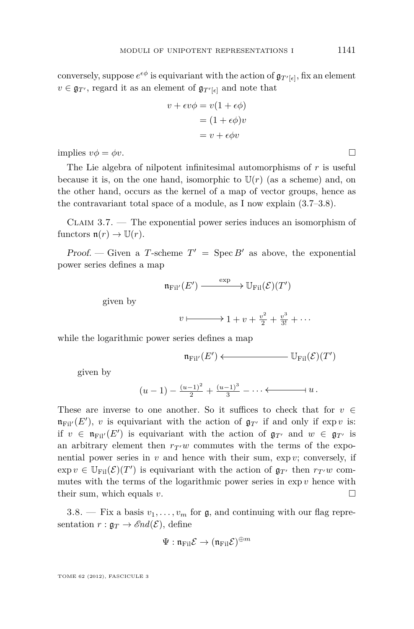<span id="page-19-0"></span>conversely, suppose  $e^{\epsilon \phi}$  is equivariant with the action of  $\mathfrak{g}_{T'[\epsilon]}$ , fix an element  $v \in \mathfrak{g}_{T}$ , regard it as an element of  $\mathfrak{g}_{T'[\epsilon]}$  and note that

$$
v + \epsilon v \phi = v(1 + \epsilon \phi)
$$

$$
= (1 + \epsilon \phi)v
$$

$$
= v + \epsilon \phi v
$$

implies  $v\phi = \phi v$ .

The Lie algebra of nilpotent infinitesimal automorphisms of *r* is useful because it is, on the one hand, isomorphic to  $U(r)$  (as a scheme) and, on the other hand, occurs as the kernel of a map of vector groups, hence as the contravariant total space of a module, as I now explain (3.7–3.8).

Claim 3.7. — The exponential power series induces an isomorphism of functors  $\mathfrak{n}(r) \to \mathbb{U}(r)$ .

Proof. — Given a *T*-scheme  $T' = \text{Spec } B'$  as above, the exponential power series defines a map

$$
\mathfrak{n}_{\mathrm{Fil}'}(E') \xrightarrow{\quad \ \ \exp\quad \ \ } \mathbb{U}_{\mathrm{Fil}}(\mathcal{E})(T')
$$

given by

$$
v \longmapsto 1 + v + \frac{v^2}{2} + \frac{v^3}{3!} + \cdots
$$

while the logarithmic power series defines a map

$$
\mathfrak{n}_{\mathrm{Fil}'}(E') \longleftarrow \qquad \qquad \mathbb{U}_{\mathrm{Fil}}(\mathcal{E})(T')
$$

given by

$$
(u-1) - \frac{(u-1)^2}{2} + \frac{(u-1)^3}{3} - \dots \longleftarrow u.
$$

These are inverse to one another. So it suffices to check that for  $v \in$  $\mathfrak{n}_{\text{Fil}'}(E')$ , *v* is equivariant with the action of  $\mathfrak{g}_{T'}$  if and only if exp *v* is: if  $v \in \mathfrak{n}_{\text{Fil}}(E')$  is equivariant with the action of  $\mathfrak{g}_{T'}$  and  $w \in \mathfrak{g}_{T'}$  is an arbitrary element then  $r_{T}w$  commutes with the terms of the exponential power series in  $v$  and hence with their sum,  $\exp v$ ; conversely, if  $\exp v \in \mathbb{U}_{\text{Fil}}(\mathcal{E})(T')$  is equivariant with the action of  $\mathfrak{g}_{T'}$  then  $r_{T'}w$  commutes with the terms of the logarithmic power series in  $\exp v$  hence with their sum, which equals *v*.

3.8. — Fix a basis  $v_1, \ldots, v_m$  for  $\mathfrak{g}$ , and continuing with our flag representation  $r : \mathfrak{g}_T \to \mathcal{E}nd(\mathcal{E})$ , define

$$
\Psi: \mathfrak{n}_{\mathrm{Fil}}\mathcal{E} \to (\mathfrak{n}_{\mathrm{Fil}}\mathcal{E})^{\oplus m}
$$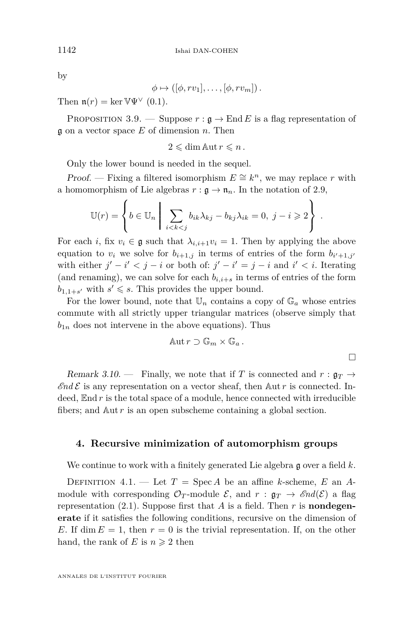<span id="page-20-0"></span>by

$$
\phi \mapsto (\left[\phi, rv_1\right], \ldots, \left[\phi, rv_m\right]).
$$

Then  $\mathfrak{n}(r) = \ker \mathbb{V} \Psi^{\vee}$  [\(0.1\)](#page-7-0).

PROPOSITION 3.9. — Suppose  $r : \mathfrak{g} \to \text{End } E$  is a flag representation of g on a vector space *E* of dimension *n*. Then

$$
2\leqslant \dim \mathop{\rm Aut}\nolimits r\leqslant n\,.
$$

Only the lower bound is needed in the sequel.

*Proof.* — Fixing a filtered isomorphism  $E \cong k^n$ , we may replace *r* with a homomorphism of Lie algebras  $r : \mathfrak{g} \to \mathfrak{n}_n$ . In the notation of [2.9,](#page-15-0)

$$
\mathbb{U}(r) = \left\{ b \in \mathbb{U}_n \mid \sum_{i < k < j} b_{ik} \lambda_{kj} - b_{kj} \lambda_{ik} = 0, \ j - i \geqslant 2 \right\} \ .
$$

For each *i*, fix  $v_i \in \mathfrak{g}$  such that  $\lambda_{i,i+1}v_i = 1$ . Then by applying the above equation to  $v_i$  we solve for  $b_{i+1,j}$  in terms of entries of the form  $b_{i'+1,j'}$ with either  $j' - i' < j - i$  or both of:  $j' - i' = j - i$  and  $i' < i$ . Iterating (and renaming), we can solve for each  $b_{i,i+s}$  in terms of entries of the form  $b_{1,1+s'}$  with  $s' \leqslant s$ . This provides the upper bound.

For the lower bound, note that  $\mathbb{U}_n$  contains a copy of  $\mathbb{G}_a$  whose entries commute with all strictly upper triangular matrices (observe simply that  $b_{1n}$  does not intervene in the above equations). Thus

$$
\mathbb{A}\mathrm{ut}\, r\supset \mathbb{G}_m\times \mathbb{G}_a\, .
$$

Remark 3.10. — Finally, we note that if *T* is connected and  $r : \mathfrak{g}_T \to$  $\mathscr{E}nd\mathscr{E}$  is any representation on a vector sheaf, then  $\mathbb{A}$ ut *r* is connected. Indeed,  $\text{End } r$  is the total space of a module, hence connected with irreducible fibers; and Aut *r* is an open subscheme containing a global section.

#### **4. Recursive minimization of automorphism groups**

We continue to work with a finitely generated Lie algebra g over a field *k*.

DEFINITION 4.1. — Let  $T = \text{Spec } A$  be an affine *k*-scheme, *E* an *A*module with corresponding  $\mathcal{O}_T$ -module  $\mathcal{E}$ , and  $r : \mathfrak{g}_T \to \mathcal{E}nd(\mathcal{E})$  a flag representation  $(2.1)$ . Suppose first that *A* is a field. Then *r* is **nondegenerate** if it satisfies the following conditions, recursive on the dimension of *E*. If dim  $E = 1$ , then  $r = 0$  is the trivial representation. If, on the other hand, the rank of *E* is  $n \geq 2$  then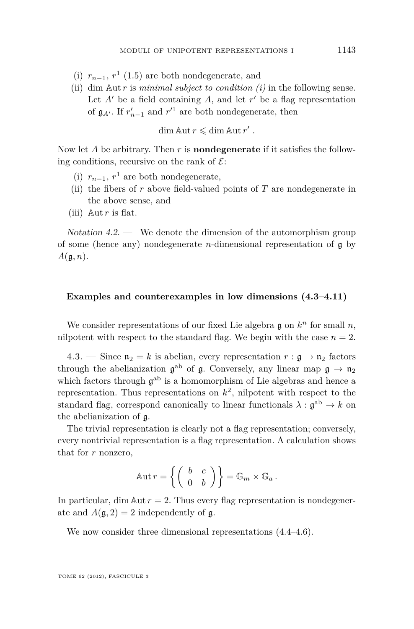- (i)  $r_{n-1}$ ,  $r^1$  [\(1.5\)](#page-11-0) are both nondegenerate, and
- (ii) dim Aut *r* is *minimal subject to condition (i)* in the following sense. Let  $A'$  be a field containing  $A$ , and let  $r'$  be a flag representation of  $\mathfrak{g}_{A'}$ . If  $r'_{n-1}$  and  $r'^{1}$  are both nondegenerate, then

$$
\dim \mathbb{A}ut r \leqslant \dim \mathbb{A}ut r' .
$$

Now let *A* be arbitrary. Then *r* is **nondegenerate** if it satisfies the following conditions, recursive on the rank of  $\mathcal{E}$ :

- (i)  $r_{n-1}$ ,  $r^1$  are both nondegenerate,
- (ii) the fibers of *r* above field-valued points of *T* are nondegenerate in the above sense, and
- (iii)  $\mathbb{A}$ ut *r* is flat.

 $Notation 4.2.$  We denote the dimension of the automorphism group of some (hence any) nondegenerate *n*-dimensional representation of  $\boldsymbol{\mathfrak{g}}$  by *A*(g*, n*).

#### **Examples and counterexamples in low dimensions (4.3[–4.11\)](#page-25-0)**

We consider representations of our fixed Lie algebra  $\mathfrak g$  on  $k^n$  for small  $n$ , nilpotent with respect to the standard flag. We begin with the case  $n = 2$ .

4.3. — Since  $\mathfrak{n}_2 = k$  is abelian, every representation  $r : \mathfrak{g} \to \mathfrak{n}_2$  factors through the abelianization  $\mathfrak{g}^{\text{ab}}$  of  $\mathfrak{g}$ . Conversely, any linear map  $\mathfrak{g} \to \mathfrak{n}_2$ which factors through  $\mathfrak{g}^{\rm ab}$  is a homomorphism of Lie algebras and hence a representation. Thus representations on  $k^2$ , nilpotent with respect to the standard flag, correspond canonically to linear functionals  $\lambda : \mathfrak{g}^{\text{ab}} \to k$  on the abelianization of g.

The trivial representation is clearly not a flag representation; conversely, every nontrivial representation is a flag representation. A calculation shows that for *r* nonzero,

$$
\mathbb{A} \mathrm{ut} \, r = \left\{ \left( \begin{array}{cc} b & c \\ 0 & b \end{array} \right) \right\} = \mathbb{G}_m \times \mathbb{G}_a \, .
$$

In particular, dim  $\text{Aut } r = 2$ . Thus every flag representation is nondegenerate and  $A(\mathfrak{g},2)=2$  independently of  $\mathfrak{g}$ .

We now consider three dimensional representations  $(4.4-4.6)$ .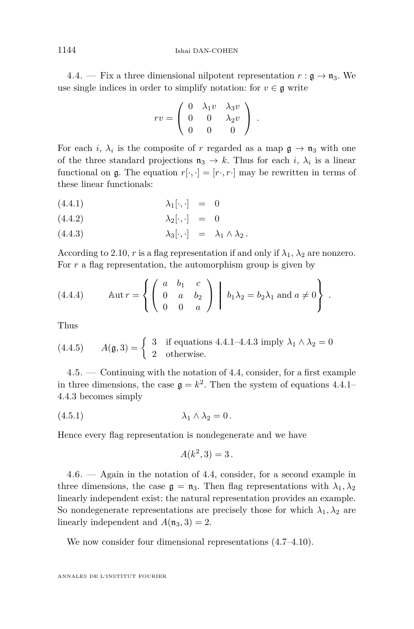<span id="page-22-0"></span>4.4. — Fix a three dimensional nilpotent representation  $r : \mathfrak{g} \to \mathfrak{n}_3$ . We use single indices in order to simplify notation: for  $v \in \mathfrak{g}$  write

$$
rv = \left(\begin{array}{ccc} 0 & \lambda_1 v & \lambda_3 v \\ 0 & 0 & \lambda_2 v \\ 0 & 0 & 0 \end{array}\right) .
$$

For each *i*,  $\lambda_i$  is the composite of *r* regarded as a map  $\mathfrak{g} \to \mathfrak{n}_3$  with one of the three standard projections  $\mathfrak{n}_3 \to k$ . Thus for each *i*,  $\lambda_i$  is a linear functional on  $\mathfrak{g}$ . The equation  $r[\cdot, \cdot] = [r \cdot, r \cdot]$  may be rewritten in terms of these linear functionals:

- $(4.4.1)$   $\lambda_1[\cdot,\cdot] = 0$
- $(4.4.2)$   $\lambda_2[\cdot, \cdot] = 0$
- (4.4.3)  $\lambda_3[\cdot, \cdot] = \lambda_1 \wedge \lambda_2.$

According to [2.10,](#page-15-0) *r* is a flag representation if and only if  $\lambda_1$ ,  $\lambda_2$  are nonzero. For r a flag representation, the automorphism group is given by

(4.4.4) 
$$
\text{Aut } r = \left\{ \left( \begin{array}{ccc} a & b_1 & c \\ 0 & a & b_2 \\ 0 & 0 & a \end{array} \right) \middle| b_1 \lambda_2 = b_2 \lambda_1 \text{ and } a \neq 0 \right\}.
$$

Thus

(4.4.5) 
$$
A(\mathfrak{g},3) = \begin{cases} 3 & \text{if equations } 4.4.1-4.4.3 \text{ imply } \lambda_1 \wedge \lambda_2 = 0 \\ 2 & \text{otherwise.} \end{cases}
$$

4.5. — Continuing with the notation of 4.4, consider, for a first example in three dimensions, the case  $\mathfrak{g} = k^2$ . Then the system of equations 4.4.1– 4.4.3 becomes simply

(4.5.1) *λ*<sup>1</sup> ∧ *λ*<sup>2</sup> = 0 *.*

Hence every flag representation is nondegenerate and we have

$$
A(k^2,3) = 3.
$$

4.6. — Again in the notation of 4.4, consider, for a second example in three dimensions, the case  $\mathfrak{g} = \mathfrak{n}_3$ . Then flag representations with  $\lambda_1, \lambda_2$ linearly independent exist: the natural representation provides an example. So nondegenerate representations are precisely those for which  $\lambda_1, \lambda_2$  are linearly independent and  $A(\mathfrak{n}_3,3) = 2$ .

We now consider four dimensional representations  $(4.7-4.10)$  $(4.7-4.10)$ .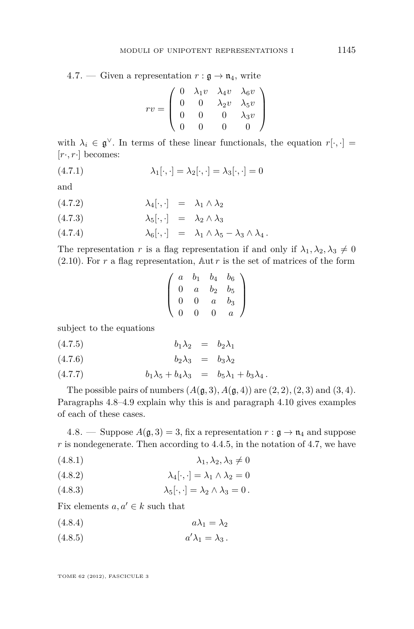<span id="page-23-0"></span>4.7. — Given a representation  $r : \mathfrak{g} \to \mathfrak{n}_4$ , write

$$
rv = \left(\begin{array}{cccc} 0 & \lambda_1 v & \lambda_4 v & \lambda_6 v \\ 0 & 0 & \lambda_2 v & \lambda_5 v \\ 0 & 0 & 0 & \lambda_3 v \\ 0 & 0 & 0 & 0 \end{array}\right)
$$

with  $\lambda_i \in \mathfrak{g}^{\vee}$ . In terms of these linear functionals, the equation  $r[\cdot, \cdot] =$ [*r*·*, r*·] becomes:

$$
\lambda_1[\cdot, \cdot] = \lambda_2[\cdot, \cdot] = \lambda_3[\cdot, \cdot] = 0
$$

and

$$
(4.7.2) \qquad \qquad \lambda_4[\cdot,\cdot] \quad = \quad \lambda_1 \wedge \lambda_2
$$

$$
(4.7.3) \qquad \qquad \lambda_5[\cdot,\cdot] \quad = \quad \lambda_2 \wedge \lambda_3
$$

$$
(4.7.4) \qquad \qquad \lambda_6[\cdot,\cdot] \quad = \quad \lambda_1 \wedge \lambda_5 - \lambda_3 \wedge \lambda_4 \, .
$$

The representation *r* is a flag representation if and only if  $\lambda_1, \lambda_2, \lambda_3 \neq 0$  $(2.10)$ . For *r* a flag representation,  $\Delta$ ut *r* is the set of matrices of the form

$$
\left(\begin{array}{cccc} a & b_1 & b_4 & b_6 \\ 0 & a & b_2 & b_5 \\ 0 & 0 & a & b_3 \\ 0 & 0 & 0 & a \end{array}\right)
$$

subject to the equations

$$
(4.7.5) \t\t\t b_1\lambda_2 = b_2\lambda_1
$$

$$
(4.7.6) \t\t\t b_2\lambda_3 = b_3\lambda_2
$$

(4.7.7) 
$$
b_1 \lambda_5 + b_4 \lambda_3 = b_5 \lambda_1 + b_3 \lambda_4.
$$

The possible pairs of numbers  $(A(g, 3), A(g, 4))$  are  $(2, 2), (2, 3)$  and  $(3, 4)$ . Paragraphs 4.8[–4.9](#page-24-0) explain why this is and paragraph [4.10](#page-25-0) gives examples of each of these cases.

4.8. — Suppose  $A(\mathfrak{g},3) = 3$ , fix a representation  $r : \mathfrak{g} \to \mathfrak{n}_4$  and suppose *r* is nondegenerate. Then according to [4.4.5,](#page-22-0) in the notation of 4.7, we have

$$
(4.8.1) \qquad \qquad \lambda_1, \lambda_2, \lambda_3 \neq 0
$$

(4.8.2) 
$$
\lambda_4[\cdot,\cdot] = \lambda_1 \wedge \lambda_2 = 0
$$

(4.8.3)  $\lambda_5[\cdot,\cdot] = \lambda_2 \wedge \lambda_3 = 0$ .

Fix elements  $a, a' \in k$  such that

$$
(4.8.4) \t\t a\lambda_1 = \lambda_2
$$

(4.8.5)  $a' \lambda_1 = \lambda_3$ .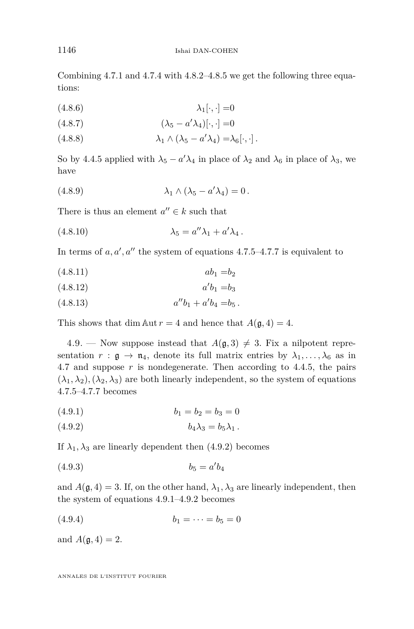Combining [4.7.1](#page-23-0) and [4.7.4](#page-23-0) with [4.8.2–4.8.5](#page-23-0) we get the following three equations:

$$
\lambda_1[\cdot, \cdot] = 0
$$

$$
(4.8.7) \qquad \qquad (\lambda_5 - a'\lambda_4)[\cdot, \cdot] = 0
$$

(4.8.8)  $\lambda_1 \wedge (\lambda_5 - a'\lambda_4) = \lambda_6[\cdot, \cdot].$ 

So by [4.4.5](#page-22-0) applied with  $\lambda_5 - a'\lambda_4$  in place of  $\lambda_2$  and  $\lambda_6$  in place of  $\lambda_3$ , we have

(4.8.9) 
$$
\lambda_1 \wedge (\lambda_5 - a'\lambda_4) = 0.
$$

There is thus an element  $a'' \in k$  such that

$$
\lambda_5 = a''\lambda_1 + a'\lambda_4.
$$

In terms of  $a, a', a''$  the system of equations [4.7.5–4.7.7](#page-23-0) is equivalent to

$$
(4.8.11) \t\t ab1 = b2
$$

$$
(4.8.12) \t a'b_1 = b_3
$$

$$
(4.8.13) \t a''b_1 + a'b_4 = b_5.
$$

This shows that dim Aut  $r = 4$  and hence that  $A(\mathfrak{g}, 4) = 4$ .

4.9. — Now suppose instead that  $A(\mathfrak{g},3) \neq 3$ . Fix a nilpotent representation  $r : \mathfrak{g} \to \mathfrak{n}_4$ , denote its full matrix entries by  $\lambda_1, \ldots, \lambda_6$  as in [4.7](#page-23-0) and suppose *r* is nondegenerate. Then according to [4.4.5,](#page-22-0) the pairs  $(\lambda_1, \lambda_2), (\lambda_2, \lambda_3)$  are both linearly independent, so the system of equations [4.7.5–4.7.7](#page-23-0) becomes

$$
(4.9.1) \t\t b1 = b2 = b3 = 0
$$

$$
(4.9.2) \t\t b4\lambda3 = b5\lambda1.
$$

If  $\lambda_1, \lambda_3$  are linearly dependent then (4.9.2) becomes

$$
(4.9.3) \t\t b_5 = a'b_4
$$

and  $A(\mathfrak{g}, 4) = 3$ . If, on the other hand,  $\lambda_1, \lambda_3$  are linearly independent, then the system of equations 4.9.1–4.9.2 becomes

$$
(4.9.4) \t\t b_1 = \cdots = b_5 = 0
$$

and  $A(\mathfrak{g}, 4) = 2$ .

<span id="page-24-0"></span>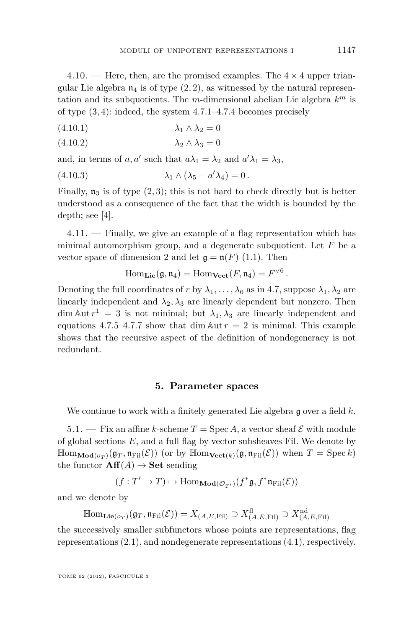<span id="page-25-0"></span>4.10. — Here, then, are the promised examples. The  $4 \times 4$  upper triangular Lie algebra  $n_4$  is of type  $(2, 2)$ , as witnessed by the natural representation and its subquotients. The *m*-dimensional abelian Lie algebra *k <sup>m</sup>* is of type (3*,* 4): indeed, the system [4.7.1–4.7.4](#page-23-0) becomes precisely

$$
(4.10.1) \qquad \qquad \lambda_1 \wedge \lambda_2 = 0
$$

$$
(4.10.2) \qquad \qquad \lambda_2 \wedge \lambda_3 = 0
$$

and, in terms of *a*, *a'* such that  $a\lambda_1 = \lambda_2$  and  $a'\lambda_1 = \lambda_3$ ,

(4.10.3) 
$$
\lambda_1 \wedge (\lambda_5 - a'\lambda_4) = 0.
$$

Finally,  $\mathfrak{n}_3$  is of type  $(2,3)$ ; this is not hard to check directly but is better understood as a consequence of the fact that the width is bounded by the depth; see [\[4\]](#page-64-0).

 $4.11.$  — Finally, we give an example of a flag representation which has minimal automorphism group, and a degenerate subquotient. Let *F* be a vector space of dimension 2 and let  $\mathfrak{g} = \mathfrak{n}(F)$  [\(1.1\)](#page-10-0). Then

$$
\mathrm{Hom}_{\mathbf{Lie}}(\mathfrak{g},\mathfrak{n}_4)=\mathrm{Hom}_{\mathbf{Vect}}(F,\mathfrak{n}_4)=F^{\vee 6}.
$$

Denoting the full coordinates of *r* by  $\lambda_1, \ldots, \lambda_6$  as in [4.7,](#page-23-0) suppose  $\lambda_1, \lambda_2$  are linearly independent and  $\lambda_2, \lambda_3$  are linearly dependent but nonzero. Then  $\dim \text{Aut } r^1 = 3$  is not minimal; but  $\lambda_1, \lambda_3$  are linearly independent and equations [4.7.5–4.7.7](#page-23-0) show that dim  $\text{Aut } r = 2$  is minimal. This example shows that the recursive aspect of the definition of nondegeneracy is not redundant.

#### **5. Parameter spaces**

We continue to work with a finitely generated Lie algebra g over a field *k*.

5.1. — Fix an affine *k*-scheme  $T = \text{Spec } A$ , a vector sheaf  $\mathcal E$  with module of global sections *E*, and a full flag by vector subsheaves Fil. We denote by  $\mathbb{H}\text{om}_{\mathbf{Mod}(o_T)}(\mathfrak{g}_T, \mathfrak{n}_{\text{Fil}}(\mathcal{E}))$  (or by  $\mathbb{H}\text{om}_{\mathbf{Vect}(k)}(\mathfrak{g}, \mathfrak{n}_{\text{Fil}}(\mathcal{E}))$  when  $T = \text{Spec } k$ ) the functor  $\textbf{Aff}(A) \rightarrow \textbf{Set}$  sending

$$
(f:T'\to T)\mapsto \mathrm{Hom}_{\mathbf{Mod}(\mathcal{O}_{T'})}(f^*\mathfrak{g},f^*\mathfrak{n}_{\mathrm{Fil}}(\mathcal{E}))
$$

and we denote by

$$
\mathbb{H}\text{om}_{\mathbf{Lie}(o_T)}(\mathfrak{g}_T, \mathfrak{n}_{\mathrm{Fil}}(\mathcal{E})) = X_{(A, E, \mathrm{Fil})} \supset X^{\mathrm{fl}}_{(A, E, \mathrm{Fil})} \supset X^{\mathrm{nd}}_{(A, E, \mathrm{Fil})}
$$

the successively smaller subfunctors whose points are representations, flag representations [\(2.1\)](#page-13-0), and nondegenerate representations [\(4.1\)](#page-20-0), respectively.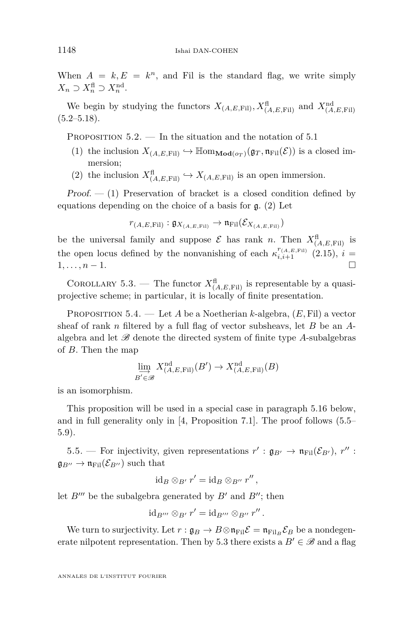<span id="page-26-0"></span>When  $A = k$ ,  $E = k^n$ , and Fil is the standard flag, we write simply  $X_n \supset X_n^{\text{fl}} \supset X_n^{\text{nd}}$ .

We begin by studying the functors  $X_{(A, E, \text{Fil})}, X_{(A, E, \text{Fil})}^{\text{fl}}$  and  $X_{(A, E, \text{Fil})}^{\text{nd}}$  $(5.2–5.18).$  $(5.2–5.18).$  $(5.2–5.18).$ 

PROPOSITION  $5.2.$  — In the situation and the notation of  $5.1$ 

- (1) the inclusion  $X_{(A,E,\text{Fil})} \hookrightarrow \mathbb{H}\text{om}_{\mathbf{Mod}(o_T)}(\mathfrak{g}_T, \mathfrak{n}_{\text{Fil}}(\mathcal{E}))$  is a closed immersion;
- (2) the inclusion  $X_{(A,E,\text{Fil})}^{\text{fl}} \hookrightarrow X_{(A,E,\text{Fil})}$  is an open immersion.

 $Proof. - (1)$  Preservation of bracket is a closed condition defined by equations depending on the choice of a basis for g. (2) Let

$$
r_{(A,E,\mathrm{Fil})}: \mathfrak{g}_{X_{(A,E,\mathrm{Fil})}} \to \mathfrak{n}_{\mathrm{Fil}}(\mathcal{E}_{X_{(A,E,\mathrm{Fil})}})
$$

be the universal family and suppose  $\mathcal{E}$  has rank *n*. Then  $X_{(A,E,\text{Fil})}^{\text{fl}}$  is the open locus defined by the nonvanishing of each  $\kappa_{i,i+1}^{r_{(A,E,\text{Fil})}}(2.15)$  $\kappa_{i,i+1}^{r_{(A,E,\text{Fil})}}(2.15)$ ,  $i=$ 1*, . . . , n* − 1.

COROLLARY 5.3. — The functor  $X_{(A, E, \mathrm{Fil})}^{\text{fl}}$  is representable by a quasiprojective scheme; in particular, it is locally of finite presentation.

Proposition 5.4. — Let *A* be a Noetherian *k*-algebra, (*E,* Fil) a vector sheaf of rank *n* filtered by a full flag of vector subsheavs, let *B* be an *A*algebra and let  $\mathscr{B}$  denote the directed system of finite type A-subalgebras of *B*. Then the map

$$
\varinjlim_{B' \in \mathcal{B}} X^{\mathrm{nd}}_{(A,E,\mathrm{Fil})}(B') \to X^{\mathrm{nd}}_{(A,E,\mathrm{Fil})}(B)
$$

is an isomorphism.

This proposition will be used in a special case in paragraph [5.16](#page-31-0) below, and in full generality only in [\[4,](#page-64-0) Proposition 7.1]. The proof follows  $(5.5-$ [5.9\)](#page-29-0).

5.5. — For injectivity, given representations  $r' : \mathfrak{g}_{B'} \to \mathfrak{n}_{\text{Fil}}(\mathcal{E}_{B'})$ ,  $r''$ :  $\mathfrak{g}_{B''} \to \mathfrak{n}_{\text{Fil}}(\mathcal{E}_{B''})$  such that

$$
\mathrm{id}_B \otimes_{B'} r' = \mathrm{id}_B \otimes_{B''} r'',
$$

let  $B^{\prime\prime\prime}$  be the subalgebra generated by  $B^{\prime}$  and  $B^{\prime\prime}$ ; then

$$
\mathrm{id}_{B'''}\otimes_{B'}r'=\mathrm{id}_{B'''}\otimes_{B''}r''.
$$

We turn to surjectivity. Let  $r : \mathfrak{g}_B \to B \otimes \mathfrak{n}_{\text{Fil}} \mathcal{E} = \mathfrak{n}_{\text{Fil}_B} \mathcal{E}_B$  be a nondegenerate nilpotent representation. Then by 5.3 there exists a  $B' \in \mathscr{B}$  and a flag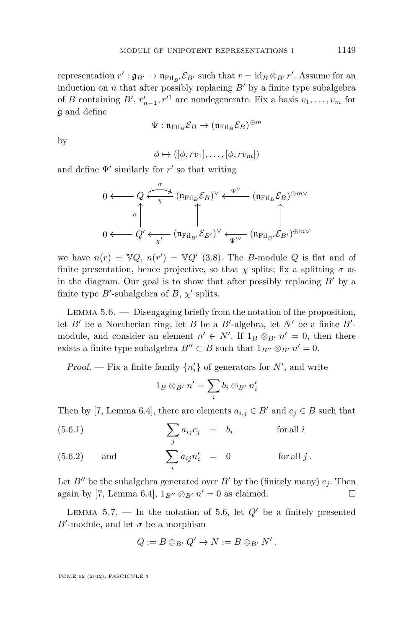<span id="page-27-0"></span>representation  $r': \mathfrak{g}_{B'} \to \mathfrak{n}_{\text{Fil}_{B'}} \mathcal{E}_{B'}$  such that  $r = \text{id}_B \otimes_{B'} r'$ . Assume for an induction on  $n$  that after possibly replacing  $B'$  by a finite type subalgebra of *B* containing *B*<sup> $\prime$ </sup>,  $r'_{n-1}$ ,  $r'^{1}$  are nondegenerate. Fix a basis  $v_1, \ldots, v_m$  for g and define

$$
\Psi: \mathfrak{n}_{\mathrm{Fil}_B} \mathcal{E}_B \rightarrow (\mathfrak{n}_{\mathrm{Fil}_B} \mathcal{E}_B)^{\oplus m}
$$

by

$$
\phi \mapsto ([\phi, rv_1], \dots, [\phi, rv_m])
$$

and define  $\Psi'$  similarly for  $r'$  so that writing

$$
0 \longleftarrow Q \xleftarrow{\sigma} (\mathfrak{n}_{\mathrm{Fil}_B} \mathcal{E}_B)^\vee \longleftarrow (\mathfrak{n}_{\mathrm{Fil}_B} \mathcal{E}_B)^{\oplus m \vee}
$$
  

$$
0 \longleftarrow Q' \longleftarrow (\mathfrak{n}_{\mathrm{Fil}_{B'}} \mathcal{E}_{B'})^\vee \longleftarrow (\mathfrak{n}_{\mathrm{Fil}_{B'}} \mathcal{E}_{B'})^{\oplus m \vee}
$$

we have  $n(r) = \mathbb{V}Q$ ,  $n(r') = \mathbb{V}Q'$  [\(3.8\)](#page-19-0). The *B*-module *Q* is flat and of finite presentation, hence projective, so that  $\chi$  splits; fix a splitting  $\sigma$  as in the diagram. Our goal is to show that after possibly replacing  $B'$  by a finite type  $B'$ -subalgebra of  $B$ ,  $\chi'$  splits.

Lemma 5.6. — Disengaging briefly from the notation of the proposition, let  $B'$  be a Noetherian ring, let  $B$  be a  $B'$ -algebra, let  $N'$  be a finite  $B'$ module, and consider an element  $n' \in N'$ . If  $1_B \otimes_{B'} n' = 0$ , then there exists a finite type subalgebra  $B'' \subset B$  such that  $1_{B''} \otimes_{B'} n' = 0$ .

Proof. — Fix a finite family  $\{n'_i\}$  of generators for  $N'$ , and write

$$
1_B \otimes_{B'} n' = \sum_i b_i \otimes_{B'} n'_i
$$

Then by [\[7,](#page-64-0) Lemma 6.4], there are elements  $a_{i,j} \in B'$  and  $c_j \in B$  such that

(5.6.1) 
$$
\sum_{j} a_{ij} c_j = b_i \quad \text{for all } i
$$

(5.6.2) and 
$$
\sum_{i} a_{ij} n'_i = 0 \quad \text{for all } j.
$$

Let *B<sup>n</sup>* be the subalgebra generated over *B*<sup>*'*</sup> by the (finitely many)  $c_j$ . Then again by [\[7,](#page-64-0) Lemma 6.4],  $1_{B''} \otimes_{B'} n' = 0$  as claimed.

LEMMA 5.7. — In the notation of 5.6, let  $Q'$  be a finitely presented  $B'$ -module, and let  $\sigma$  be a morphism

$$
Q := B \otimes_{B'} Q' \to N := B \otimes_{B'} N'.
$$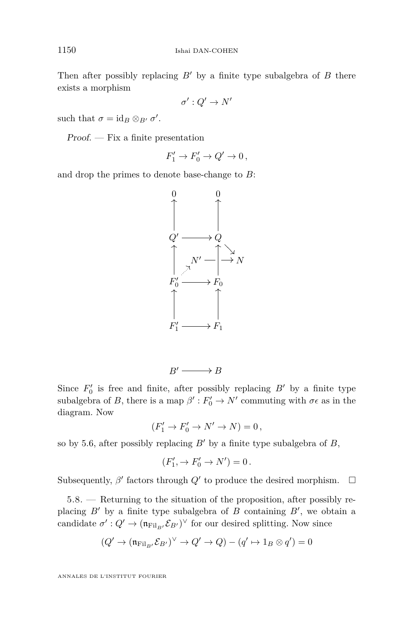Then after possibly replacing  $B'$  by a finite type subalgebra of  $B$  there exists a morphism

$$
\sigma':Q'\to N'
$$

such that  $\sigma = \text{id}_B \otimes_{B'} \sigma'$ .

 $Proof. - Fix a finite presentation$ 

$$
F_1' \to F_0' \to Q' \to 0,
$$

and drop the primes to denote base-change to *B*:



 $B' \longrightarrow B$ 

Since  $F'_0$  is free and finite, after possibly replacing  $B'$  by a finite type subalgebra of *B*, there is a map  $\beta': F'_0 \to N'$  commuting with  $\sigma \epsilon$  as in the diagram. Now

$$
(F_1' \to F_0' \to N' \to N) = 0,
$$

so by [5.6,](#page-27-0) after possibly replacing  $B'$  by a finite type subalgebra of  $B$ ,

$$
(F'_1, \to F'_0 \to N') = 0.
$$

Subsequently,  $\beta'$  factors through  $Q'$  to produce the desired morphism.  $\Box$ 

5.8. — Returning to the situation of the proposition, after possibly replacing  $B'$  by a finite type subalgebra of  $B$  containing  $B'$ , we obtain a candidate  $\sigma' : Q' \to (\mathfrak{n}_{\text{Fil}_B}, \mathcal{E}_{B'})^{\vee}$  for our desired splitting. Now since

$$
(Q' \to (\mathfrak{n}_{\mathrm{Fil}_{B'}} \mathcal{E}_{B'})^{\vee} \to Q' \to Q) - (q' \mapsto 1_B \otimes q') = 0
$$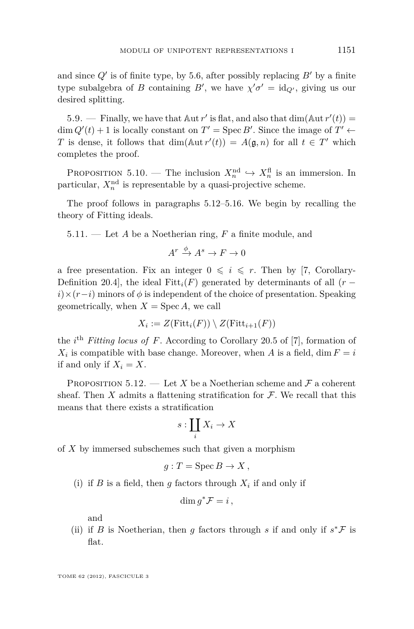<span id="page-29-0"></span>and since  $Q'$  is of finite type, by [5.6,](#page-27-0) after possibly replacing  $B'$  by a finite type subalgebra of *B* containing *B'*, we have  $\chi' \sigma' = id_{Q'}$ , giving us our desired splitting.

5.9. — Finally, we have that  $\mathbb{A}$ ut *r'* is flat, and also that  $\dim(\mathbb{A}ut r'(t)) =$  $\dim Q'(t) + 1$  is locally constant on  $T' = \text{Spec } B'$ . Since the image of  $T' \leftarrow$ *T* is dense, it follows that  $\dim(\text{Aut } r'(t)) = A(\mathfrak{g}, n)$  for all  $t \in T'$  which completes the proof.

PROPOSITION 5.10. — The inclusion  $X_n^{\text{nd}} \hookrightarrow X_n^{\text{fl}}$  is an immersion. In particular,  $X_n^{\text{nd}}$  is representable by a quasi-projective scheme.

The proof follows in paragraphs 5.12[–5.16.](#page-31-0) We begin by recalling the theory of Fitting ideals.

5.11. — Let *A* be a Noetherian ring, *F* a finite module, and

$$
A^r \xrightarrow{\phi} A^s \to F \to 0
$$

a free presentation. Fix an integer  $0 \leq i \leq r$ . Then by [\[7,](#page-64-0) Corollary-Definition 20.4], the ideal Fitt<sub>i</sub> $(F)$  generated by determinants of all  $(r$  $i \times (r - i)$  minors of  $\phi$  is independent of the choice of presentation. Speaking geometrically, when  $X = \text{Spec } A$ , we call

$$
X_i := Z(\mathrm{Fitt}_i(F)) \setminus Z(\mathrm{Fitt}_{i+1}(F))
$$

the *i*<sup>th</sup> *Fitting locus of F*. According to Corollary 20.5 of [\[7\]](#page-64-0), formation of  $X_i$  is compatible with base change. Moreover, when *A* is a field, dim  $F = i$ if and only if  $X_i = X$ .

PROPOSITION 5.12. — Let *X* be a Noetherian scheme and  $\mathcal F$  a coherent sheaf. Then  $X$  admits a flattening stratification for  $\mathcal F$ . We recall that this means that there exists a stratification

$$
s:\coprod_i X_i\to X
$$

of *X* by immersed subschemes such that given a morphism

$$
g: T = \operatorname{Spec} B \to X,
$$

(i) if *B* is a field, then *g* factors through  $X_i$  if and only if

$$
\dim g^* \mathcal{F} = i \,,
$$

and

(ii) if *B* is Noetherian, then *g* factors through *s* if and only if  $s^*$ F is flat.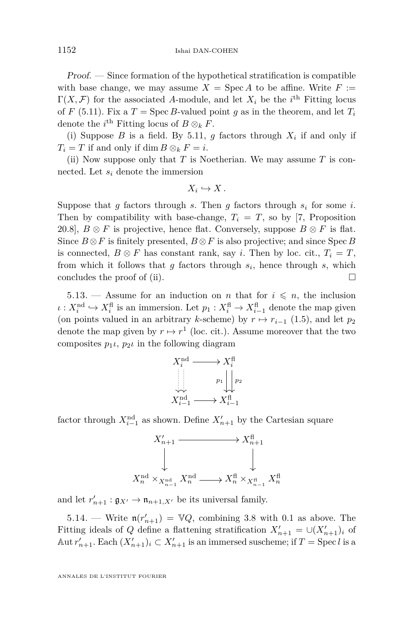Proof. — Since formation of the hypothetical stratification is compatible with base change, we may assume  $X = \text{Spec } A$  to be affine. Write  $F :=$  $\Gamma(X, \mathcal{F})$  for the associated A-module, and let  $X_i$  be the *i*<sup>th</sup> Fitting locus of *F* [\(5.11\)](#page-29-0). Fix a *T* = Spec *B*-valued point *q* as in the theorem, and let  $T_i$ denote the  $i^{\text{th}}$  Fitting locus of  $B \otimes_k F$ .

(i) Suppose *B* is a field. By [5.11,](#page-29-0) *g* factors through  $X_i$  if and only if  $T_i = T$  if and only if dim  $B \otimes_k F = i$ .

(ii) Now suppose only that *T* is Noetherian. We may assume *T* is connected. Let *s<sup>i</sup>* denote the immersion

$$
X_i\hookrightarrow X.
$$

Suppose that  $g$  factors through  $s$ . Then  $g$  factors through  $s_i$  for some  $i$ . Then by compatibility with base-change,  $T_i = T$ , so by [\[7,](#page-64-0) Proposition 20.8],  $B \otimes F$  is projective, hence flat. Conversely, suppose  $B \otimes F$  is flat. Since  $B \otimes F$  is finitely presented,  $B \otimes F$  is also projective; and since Spec *B* is connected,  $B \otimes F$  has constant rank, say *i*. Then by loc. cit.,  $T_i = T$ , from which it follows that *g* factors through *s<sup>i</sup>* , hence through *s*, which concludes the proof of (ii).  $\Box$ 

5.13. — Assume for an induction on *n* that for  $i \leq n$ , the inclusion  $\iota: X_i^{\text{nd}} \hookrightarrow X_i^{\text{fl}}$  is an immersion. Let  $p_1: X_i^{\text{fl}} \to X_{i-1}^{\text{fl}}$  denote the map given (on points valued in an arbitrary *k*-scheme) by  $r \mapsto r_{i-1}$  [\(1.5\)](#page-11-0), and let  $p_2$ denote the map given by  $r \mapsto r^1$  (loc. cit.). Assume moreover that the two composites  $p_1 \iota$ ,  $p_2 \iota$  in the following diagram



factor through  $X_{i-1}^{\text{nd}}$  as shown. Define  $X'_{n+1}$  by the Cartesian square



and let  $r'_{n+1} : \mathfrak{g}_{X'} \to \mathfrak{n}_{n+1,X'}$  be its universal family.

5.14. — Write  $\mathfrak{n}(r'_{n+1}) = \mathbb{V}Q$ , combining [3.8](#page-19-0) with [0.1](#page-7-0) as above. The Fitting ideals of *Q* define a flattening stratification  $X'_{n+1} = \bigcup (X'_{n+1})_i$  of  $\text{Aut } r'_{n+1}$ . Each  $(X'_{n+1})_i \subset X'_{n+1}$  is an immersed suscheme; if  $T = \text{Spec } l$  is a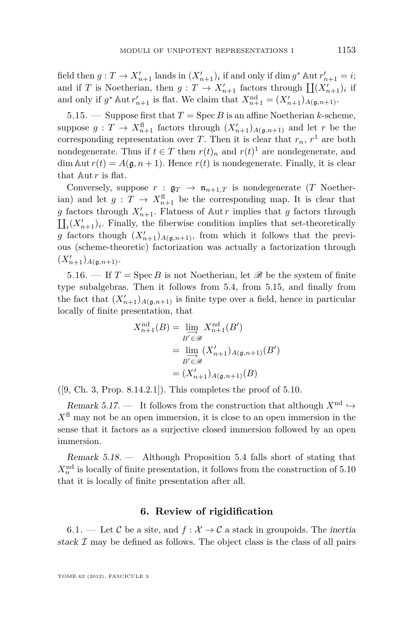<span id="page-31-0"></span>field then  $g: T \to X'_{n+1}$  lands in  $(X'_{n+1})_i$  if and only if dim  $g^*$  Aut  $r'_{n+1} = i$ ; and if *T* is Noetherian, then  $g: T \to X'_{n+1}$  factors through  $\prod (X'_{n+1})_i$  if and only if  $g^*$  Aut  $r'_{n+1}$  is flat. We claim that  $X_{n+1}^{\text{nd}} = (X'_{n+1})_{A(g,n+1)}$ .

5.15. — Suppose first that  $T = \text{Spec } B$  is an affine Noetherian *k*-scheme, suppose  $g: T \to X_{n+1}^{\text{fl}}$  factors through  $(X'_{n+1})_{A(\mathfrak{g},n+1)}$  and let *r* be the corresponding representation over *T*. Then it is clear that  $r_n$ ,  $r^1$  are both nondegenerate. Thus if  $t \in T$  then  $r(t)_n$  and  $r(t)^1$  are nondegenerate, and  $\dim \text{Aut } r(t) = A(\mathfrak{g}, n+1)$ . Hence  $r(t)$  is nondegenerate. Finally, it is clear that Aut *r* is flat.

Conversely, suppose  $r : \mathfrak{g}_T \to \mathfrak{n}_{n+1,T}$  is nondegenerate (*T* Noether- $\lim$  and let  $g: T \to X_{n+1}^{\text{fl}}$  be the corresponding map. It is clear that *g* factors through  $X'_{n+1}$ . Flatness of Aut *r* implies that *g* factors through  $\prod_i (X_{n+1}')_i$ . Finally, the fiberwise condition implies that set-theoretically g factors though  $(X'_{n+1})_{A(\mathfrak{g},n+1)}$ , from which it follows that the previous (scheme-theoretic) factorization was actually a factorization through  $(X'_{n+1})_{A(\mathfrak{g},n+1)}$ .

5.16. — If  $T = \text{Spec } B$  is not Noetherian, let  $\mathscr{B}$  be the system of finite type subalgebras. Then it follows from [5.4,](#page-26-0) from 5.15, and finally from the fact that  $(X'_{n+1})_{A(\mathfrak{g},n+1)}$  is finite type over a field, hence in particular locally of finite presentation, that

$$
X_{n+1}^{nd}(B) = \varinjlim_{B' \in \mathcal{B}} X_{n+1}^{nd}(B')
$$

$$
= \varinjlim_{B' \in \mathcal{B}} (X'_{n+1})_{A(\mathfrak{g}, n+1)}(B')
$$

$$
= (X'_{n+1})_{A(\mathfrak{g}, n+1)}(B)
$$

 $([9, Ch. 3, Prop. 8.14.2.1])$  $([9, Ch. 3, Prop. 8.14.2.1])$  $([9, Ch. 3, Prop. 8.14.2.1])$ . This completes the proof of [5.10.](#page-29-0)

Remark 5.17. — It follows from the construction that although  $X^{\text{nd}} \hookrightarrow$  $X<sup>fl</sup>$  may not be an open immersion, it is close to an open immersion in the sense that it factors as a surjective closed immersion followed by an open immersion.

Remark 5.18. — Although Proposition [5.4](#page-26-0) falls short of stating that  $X_n^{\text{nd}}$  is locally of finite presentation, it follows from the construction of [5.10](#page-29-0) that it is locally of finite presentation after all.

#### **6. Review of rigidification**

6.1. — Let C be a site, and  $f: \mathcal{X} \to \mathcal{C}$  a stack in groupoids. The inertia stack  $\mathcal I$  may be defined as follows. The object class is the class of all pairs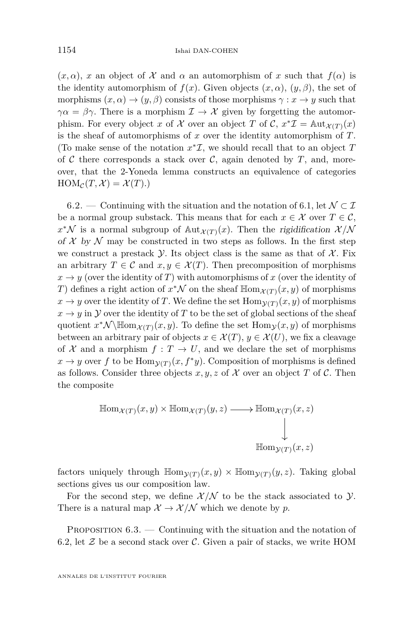<span id="page-32-0"></span> $(x, \alpha)$ , *x* an object of X and  $\alpha$  an automorphism of *x* such that  $f(\alpha)$  is the identity automorphism of  $f(x)$ . Given objects  $(x, \alpha)$ ,  $(y, \beta)$ , the set of morphisms  $(x, \alpha) \rightarrow (y, \beta)$  consists of those morphisms  $\gamma : x \rightarrow y$  such that  $\gamma \alpha = \beta \gamma$ . There is a morphism  $\mathcal{I} \to \mathcal{X}$  given by forgetting the automorphism. For every object *x* of *X* over an object *T* of *C*,  $x^* \mathcal{I} = \text{Aut}_{\mathcal{X}(T)}(x)$ is the sheaf of automorphisms of *x* over the identity automorphism of *T*. (To make sense of the notation  $x^* \mathcal{I}$ , we should recall that to an object  $T$ of  $\mathcal C$  there corresponds a stack over  $\mathcal C$ , again denoted by  $T$ , and, moreover, that the 2-Yoneda lemma constructs an equivalence of categories  $HOM_{\mathcal{C}}(T,\mathcal{X}) = \mathcal{X}(T).$ 

6.2. — Continuing with the situation and the notation of [6.1,](#page-31-0) let  $\mathcal{N} \subset \mathcal{I}$ be a normal group substack. This means that for each  $x \in \mathcal{X}$  over  $T \in \mathcal{C}$ ,  $x^*N$  is a normal subgroup of  $\text{Aut}_{\mathcal{X}(T)}(x)$ . Then the rigidification  $\mathcal{X}/N$ of  $X$  by  $N$  may be constructed in two steps as follows. In the first step we construct a prestack  $\mathcal Y$ . Its object class is the same as that of  $\mathcal X$ . Fix an arbitrary  $T \in \mathcal{C}$  and  $x, y \in \mathcal{X}(T)$ . Then precomposition of morphisms  $x \to y$  (over the identity of *T*) with automorphisms of *x* (over the identity of *T*) defines a right action of  $x^*\mathcal{N}$  on the sheaf  $\mathbb{H}_{\text{OM}_{\mathcal{X}(T)}}(x, y)$  of morphisms  $x \to y$  over the identity of *T*. We define the set  $\text{Hom}_{\mathcal{V}(T)}(x, y)$  of morphisms  $x \to y$  in Y over the identity of T to be the set of global sections of the sheaf quotient  $x^*\mathcal{N}\backslash \mathbb{H}_{\text{om}_{\mathcal{X}(T)}}(x,y)$ . To define the set  $\text{Hom}_{\mathcal{Y}}(x,y)$  of morphisms between an arbitrary pair of objects  $x \in \mathcal{X}(T)$ ,  $y \in \mathcal{X}(U)$ , we fix a cleavage of  $X$  and a morphism  $f: T \to U$ , and we declare the set of morphisms  $x \to y$  over *f* to be Hom $y(T)(x, f^*y)$ . Composition of morphisms is defined as follows. Consider three objects  $x, y, z$  of  $\mathcal X$  over an object  $T$  of  $\mathcal C$ . Then the composite

$$
\mathbb{H}\text{om}_{\mathcal{X}(T)}(x,y) \times \mathbb{H}\text{om}_{\mathcal{X}(T)}(y,z) \longrightarrow \mathbb{H}\text{om}_{\mathcal{X}(T)}(x,z)
$$
\n
$$
\downarrow
$$
\n
$$
\mathbb{H}\text{om}_{\mathcal{Y}(T)}(x,z)
$$

factors uniquely through  $\mathbb{Hom}_{\mathcal{Y}(T)}(x, y) \times \mathbb{Hom}_{\mathcal{Y}(T)}(y, z)$ . Taking global sections gives us our composition law.

For the second step, we define  $\mathcal{X}/\mathcal{N}$  to be the stack associated to  $\mathcal{Y}$ . There is a natural map  $\mathcal{X} \to \mathcal{X}/\mathcal{N}$  which we denote by p.

PROPOSITION  $6.3.$  — Continuing with the situation and the notation of 6.2, let  $\mathcal Z$  be a second stack over  $\mathcal C$ . Given a pair of stacks, we write HOM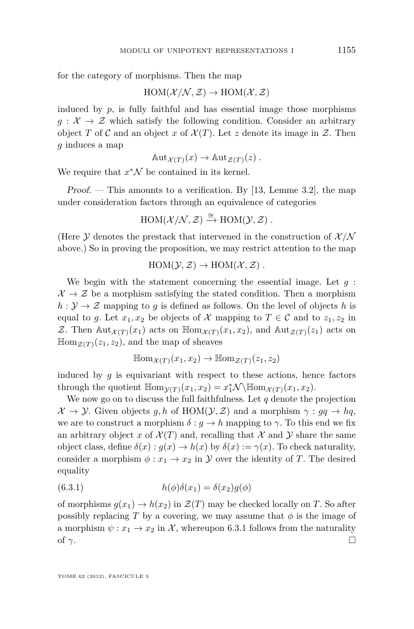for the category of morphisms. Then the map

 $HOM(\mathcal{X}/\mathcal{N}, \mathcal{Z}) \rightarrow HOM(\mathcal{X}, \mathcal{Z})$ 

induced by  $p$ , is fully faithful and has essential image those morphisms  $g: \mathcal{X} \to \mathcal{Z}$  which satisfy the following condition. Consider an arbitrary object *T* of *C* and an object *x* of  $\mathcal{X}(T)$ . Let *z* denote its image in  $\mathcal{Z}$ . Then *g* induces a map

 $\text{Aut}_{\mathcal{X}(T)}(x) \to \text{Aut}_{\mathcal{Z}(T)}(z)$ .

We require that  $x^*\mathcal{N}$  be contained in its kernel.

Proof. — This amounts to a verification. By [\[13,](#page-64-0) Lemme 3.2], the map under consideration factors through an equivalence of categories

$$
HOM(\mathcal{X}/\mathcal{N}, \mathcal{Z}) \xrightarrow{\cong} HOM(\mathcal{Y}, \mathcal{Z}) .
$$

(Here  $\mathcal Y$  denotes the prestack that intervened in the construction of  $\mathcal X/N$ above.) So in proving the proposition, we may restrict attention to the map

 $HOM(Y, Z) \to HOM(X, Z)$ .

We begin with the statement concerning the essential image. Let *g* :  $\mathcal{X} \to \mathcal{Z}$  be a morphism satisfying the stated condition. Then a morphism  $h: \mathcal{Y} \to \mathcal{Z}$  mapping to *q* is defined as follows. On the level of objects *h* is equal to g. Let  $x_1, x_2$  be objects of X mapping to  $T \in \mathcal{C}$  and to  $z_1, z_2$  in Z. Then  $\text{Aut}_{\mathcal{X}(T)}(x_1)$  acts on  $\text{Hom}_{\mathcal{X}(T)}(x_1, x_2)$ , and  $\text{Aut}_{\mathcal{Z}(T)}(z_1)$  acts on  $\mathbb{H}\text{om}_{\mathcal{Z}(T)}(z_1, z_2)$ , and the map of sheaves

$$
\mathbb{H}\mathrm{om}_{\mathcal{X}(T)}(x_1,x_2)\to \mathbb{H}\mathrm{om}_{\mathcal{Z}(T)}(z_1,z_2)
$$

induced by  $g$  is equivariant with respect to these actions, hence factors through the quotient  $\mathbb{H}_{\text{om}_{\mathcal{Y}(T)}}(x_1, x_2) = x_1^* \mathcal{N} \setminus \mathbb{H}_{\text{om}_{\mathcal{X}(T)}}(x_1, x_2)$ .

We now go on to discuss the full faithfulness. Let *q* denote the projection  $\mathcal{X} \to \mathcal{Y}$ . Given objects g, h of HOM( $\mathcal{Y}, \mathcal{Z}$ ) and a morphism  $\gamma : gq \to hq$ , we are to construct a morphism  $\delta : g \to h$  mapping to  $\gamma$ . To this end we fix an arbitrary object *x* of  $\mathcal{X}(T)$  and, recalling that X and Y share the same object class, define  $\delta(x) : g(x) \to h(x)$  by  $\delta(x) := \gamma(x)$ . To check naturality, consider a morphism  $\phi: x_1 \to x_2$  in Y over the identity of T. The desired equality

(6.3.1) 
$$
h(\phi)\delta(x_1) = \delta(x_2)g(\phi)
$$

of morphisms  $g(x_1) \to h(x_2)$  in  $\mathcal{Z}(T)$  may be checked locally on *T*. So after possibly replacing *T* by a covering, we may assume that  $\phi$  is the image of a morphism  $\psi: x_1 \to x_2$  in X, whereupon 6.3.1 follows from the naturality of  $\gamma$ .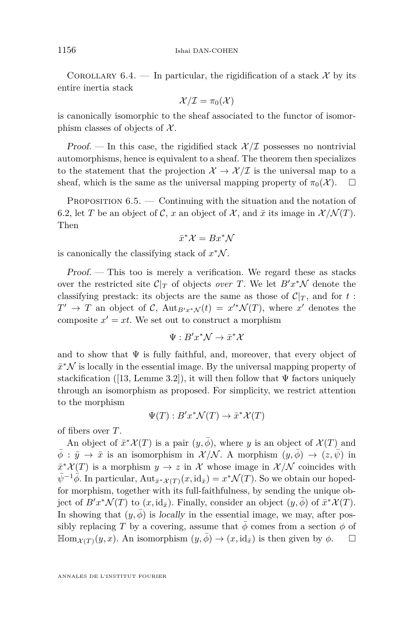<span id="page-34-0"></span>COROLLARY 6.4. — In particular, the rigidification of a stack  $\mathcal{X}$  by its entire inertia stack

$$
\mathcal{X}/\mathcal{I}=\pi_0(\mathcal{X})
$$

is canonically isomorphic to the sheaf associated to the functor of isomorphism classes of objects of  $\mathcal{X}$ .

Proof. — In this case, the rigidified stack  $\mathcal{X}/\mathcal{I}$  possesses no nontrivial automorphisms, hence is equivalent to a sheaf. The theorem then specializes to the statement that the projection  $\mathcal{X} \to \mathcal{X}/\mathcal{I}$  is the universal map to a sheaf, which is the same as the universal mapping property of  $\pi_0(\mathcal{X})$ .  $\square$ 

PROPOSITION  $6.5.$  — Continuing with the situation and the notation of [6.2,](#page-32-0) let *T* be an object of *C*, *x* an object of *X*, and  $\bar{x}$  its image in  $\mathcal{X}/\mathcal{N}(T)$ . Then

$$
\bar{x}^*\mathcal{X} = Bx^*\mathcal{N}
$$

is canonically the classifying stack of  $x^*\mathcal{N}$ .

Proof. — This too is merely a verification. We regard these as stacks over the restricted site  $C|_T$  of objects *over T*. We let  $B'x^*\mathcal{N}$  denote the classifying prestack: its objects are the same as those of  $\mathcal{C}|_{\mathcal{T}}$ , and for  $t$ :  $T' \rightarrow T$  an object of C,  $\text{Aut}_{B'x^*\mathcal{N}}(t) = x'^*\mathcal{N}(T)$ , where  $x'$  denotes the composite  $x' = xt$ . We set out to construct a morphism

$$
\Psi:B'x^*\mathcal{N}\to\bar{x}^*\mathcal{X}
$$

and to show that  $\Psi$  is fully faithful, and, moreover, that every object of  $\bar{x}^*\mathcal{N}$  is locally in the essential image. By the universal mapping property of stackification ([\[13,](#page-64-0) Lemme 3.2]), it will then follow that  $\Psi$  factors uniquely through an isomorphism as proposed. For simplicity, we restrict attention to the morphism

$$
\Psi(T) : B'x^*\mathcal{N}(T) \to \bar{x}^*\mathcal{X}(T)
$$

of fibers over *T*.

An object of  $\bar{x}^* \mathcal{X}(T)$  is a pair  $(y, \bar{\phi})$ , where *y* is an object of  $\mathcal{X}(T)$  and  $\phi : \bar{y} \to \bar{x}$  is an isomorphism in  $\mathcal{X}/\mathcal{N}$ . A morphism  $(y, \phi) \to (z, \psi)$  in  $\bar{x}^* \mathcal{X}(T)$  is a morphism  $y \to z$  in X whose image in  $\mathcal{X}/\mathcal{N}$  coincides with  $\bar{\psi}^{-1}\bar{\phi}$ . In particular, Aut<sub> $\bar{x}^*\mathcal{X}(T)(x,\mathrm{id}_{\bar{x}})=x^*\mathcal{N}(T)$ . So we obtain our hoped-</sub> for morphism, together with its full-faithfulness, by sending the unique object of  $B'x^*\mathcal{N}(T)$  to  $(x, id_{\bar{x}})$ . Finally, consider an object  $(y, \bar{\phi})$  of  $\bar{x}^*\mathcal{X}(T)$ . In showing that  $(y, \bar{\phi})$  is locally in the essential image, we may, after possibly replacing *T* by a covering, assume that  $\phi$  comes from a section  $\phi$  of  $\mathbb{H}_{\text{om}_{\mathcal{X}(T)}(y,x)}$ . An isomorphism  $(y,\phi) \to (x,\text{id}_{\bar{x}})$  is then given by  $\phi$ .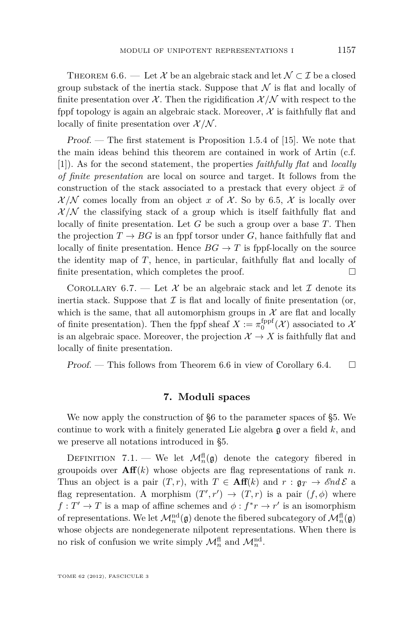<span id="page-35-0"></span>THEOREM 6.6. — Let X be an algebraic stack and let  $\mathcal{N} \subset \mathcal{I}$  be a closed group substack of the inertia stack. Suppose that  $\mathcal N$  is flat and locally of finite presentation over  $\mathcal{X}$ . Then the rigidification  $\mathcal{X}/\mathcal{N}$  with respect to the fppf topology is again an algebraic stack. Moreover,  $\mathcal X$  is faithfully flat and locally of finite presentation over  $\mathcal{X}/\mathcal{N}$ .

Proof. — The first statement is Proposition 1.5.4 of [\[15\]](#page-64-0). We note that the main ideas behind this theorem are contained in work of Artin (c.f. [\[1\]](#page-64-0)). As for the second statement, the properties *faithfully flat* and *locally of finite presentation* are local on source and target. It follows from the construction of the stack associated to a prestack that every object  $\bar{x}$  of  $\mathcal{X}/\mathcal{N}$  comes locally from an object *x* of  $\mathcal{X}$ . So by [6.5,](#page-34-0)  $\mathcal{X}$  is locally over  $\mathcal{X}/\mathcal{N}$  the classifying stack of a group which is itself faithfully flat and locally of finite presentation. Let *G* be such a group over a base *T*. Then the projection  $T \to BG$  is an fppf torsor under G, hance faithfully flat and locally of finite presentation. Hence  $BG \to T$  is fppf-locally on the source the identity map of *T*, hence, in particular, faithfully flat and locally of finite presentation, which completes the proof.  $\Box$ 

COROLLARY 6.7. — Let X be an algebraic stack and let  $\mathcal I$  denote its inertia stack. Suppose that  $\mathcal I$  is flat and locally of finite presentation (or, which is the same, that all automorphism groups in  $\mathcal X$  are flat and locally of finite presentation). Then the fppf sheaf  $X := \pi_0^{\text{fppf}}(\mathcal{X})$  associated to  $\mathcal{X}$ is an algebraic space. Moreover, the projection  $\mathcal{X} \to X$  is faithfully flat and locally of finite presentation.

Proof. — This follows from Theorem 6.6 in view of Corollary [6.4.](#page-34-0)  $\Box$ 

#### **7. Moduli spaces**

We now apply the construction of [§6](#page-31-0) to the parameter spaces of [§5.](#page-25-0) We continue to work with a finitely generated Lie algebra g over a field *k*, and we preserve all notations introduced in [§5.](#page-25-0)

DEFINITION 7.1. — We let  $\mathcal{M}_n^{\text{fl}}(\mathfrak{g})$  denote the category fibered in groupoids over  $\mathbf{Aff}(k)$  whose objects are flag representations of rank *n*. Thus an object is a pair  $(T, r)$ , with  $T \in Aff(k)$  and  $r : \mathfrak{g}_T \to \mathcal{E}nd\mathcal{E}$  a flag representation. A morphism  $(T', r') \rightarrow (T, r)$  is a pair  $(f, \phi)$  where  $f: T' \to T$  is a map of affine schemes and  $\phi: f^*r \to r'$  is an isomorphism of representations. We let  $\mathcal{M}^{\text{nd}}_n(\mathfrak{g})$  denote the fibered subcategory of  $\mathcal{M}^{\text{fl}}_n(\mathfrak{g})$ whose objects are nondegenerate nilpotent representations. When there is no risk of confusion we write simply  $\mathcal{M}_n^{\text{fl}}$  and  $\mathcal{M}_n^{\text{nd}}$ .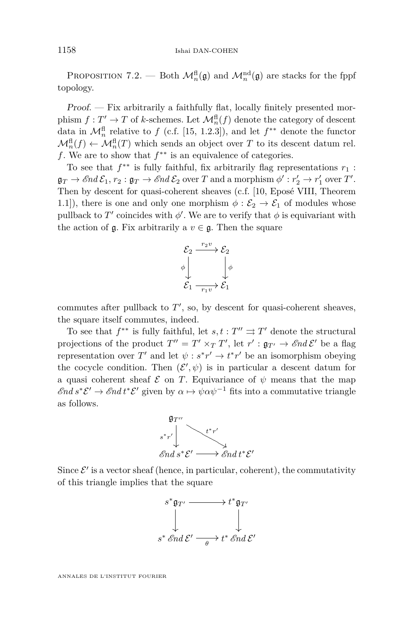<span id="page-36-0"></span>PROPOSITION 7.2. — Both  $\mathcal{M}_n^{\text{fl}}(\mathfrak{g})$  and  $\mathcal{M}_n^{\text{nd}}(\mathfrak{g})$  are stacks for the fppf topology.

Proof. — Fix arbitrarily a faithfully flat, locally finitely presented morphism  $f: T' \to T$  of *k*-schemes. Let  $\mathcal{M}_n^{\text{fl}}(f)$  denote the category of descent data in  $\mathcal{M}_n^{\text{fl}}$  relative to *f* (c.f. [\[15,](#page-64-0) 1.2.3]), and let  $f^{**}$  denote the functor  $\mathcal{M}_n^{\text{fl}}(f) \leftarrow \mathcal{M}_n^{\text{fl}}(T)$  which sends an object over *T* to its descent datum rel. *f*. We are to show that  $f^{**}$  is an equivalence of categories.

To see that  $f^{**}$  is fully faithful, fix arbitrarily flag representations  $r_1$ :  $\mathfrak{g}_T \to \mathscr{E}nd\,\mathcal{E}_1, r_2: \mathfrak{g}_T \to \mathscr{E}nd\,\mathcal{E}_2$  over  $T$  and a morphism  $\phi': r_2' \to r_1'$  over  $T'.$ Then by descent for quasi-coherent sheaves (c.f. [\[10,](#page-64-0) Eposé VIII, Theorem 1.1]), there is one and only one morphism  $\phi : \mathcal{E}_2 \to \mathcal{E}_1$  of modules whose pullback to  $T'$  coincides with  $\phi'$ . We are to verify that  $\phi$  is equivariant with the action of  $\mathfrak{g}$ . Fix arbitrarily a  $v \in \mathfrak{g}$ . Then the square



commutes after pullback to  $T'$ , so, by descent for quasi-coherent sheaves, the square itself commutes, indeed.

To see that  $f^{**}$  is fully faithful, let  $s, t : T'' \implies T'$  denote the structural projections of the product  $T'' = T' \times_T T'$ , let  $r' : \mathfrak{g}_{T'} \to \mathscr{E}nd\mathscr{E}'$  be a flag representation over  $T'$  and let  $\psi : s^*r' \to t^*r'$  be an isomorphism obeying the cocycle condition. Then  $(\mathcal{E}', \psi)$  is in particular a descent datum for a quasi coherent sheaf  $\mathcal E$  on *T*. Equivariance of  $\psi$  means that the map  $\mathscr{E}nd\ s^*\mathcal{E}' \to \mathscr{E}nd\ t^*\mathcal{E}'$  given by  $\alpha \mapsto \psi \alpha \psi^{-1}$  fits into a commutative triangle as follows.



Since  $\mathcal{E}'$  is a vector sheaf (hence, in particular, coherent), the commutativity of this triangle implies that the square

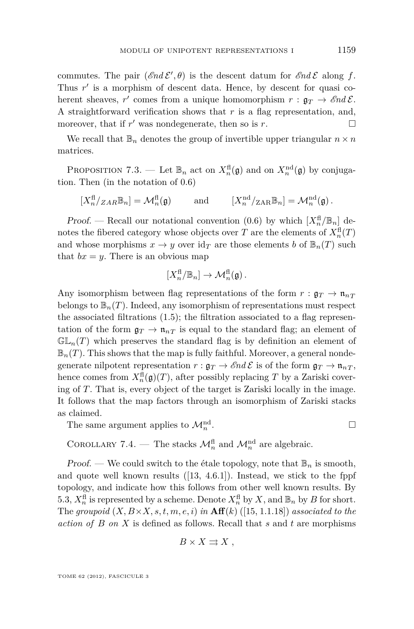<span id="page-37-0"></span>commutes. The pair  $(\mathcal{E}nd \mathcal{E}', \theta)$  is the descent datum for  $\mathcal{E}nd \mathcal{E}$  along f. Thus r' is a morphism of descent data. Hence, by descent for quasi coherent sheaves,  $r'$  comes from a unique homomorphism  $r : \mathfrak{g}_T \to \mathcal{E}nd\mathcal{E}$ . A straightforward verification shows that *r* is a flag representation, and, moreover, that if  $r'$  was nondegenerate, then so is  $r$ .

We recall that  $\mathbb{B}_n$  denotes the group of invertible upper triangular  $n \times n$ matrices.

PROPOSITION 7.3. — Let  $\mathbb{B}_n$  act on  $X_n^{\text{fl}}(\mathfrak{g})$  and on  $X_n^{\text{nd}}(\mathfrak{g})$  by conjugation. Then (in the notation of [0.6\)](#page-9-0)

 $[X_n^{\text{fl}}/ZAR\mathbb{B}_n] = \mathcal{M}_n^{\text{fl}}(\mathfrak{g})$  and  $[X_n^{\text{nd}}/ZAR\mathbb{B}_n] = \mathcal{M}_n^{\text{nd}}(\mathfrak{g})$ .

*Proof.* — Recall our notational convention [\(0.6\)](#page-9-0) by which  $[X_n^{\text{fl}}/\mathbb{B}_n]$  denotes the fibered category whose objects over *T* are the elements of  $X^{\text{fl}}_n(T)$ and whose morphisms  $x \to y$  over  $\mathrm{id}_T$  are those elements *b* of  $\mathbb{B}_n(T)$  such that  $bx = y$ . There is an obvious map

$$
[X_n^{\text{fl}}/\mathbb{B}_n] \to \mathcal{M}_n^{\text{fl}}(\mathfrak{g})\,.
$$

Any isomorphism between flag representations of the form  $r : \mathfrak{g}_T \to \mathfrak{n}_{nT}$ belongs to  $\mathbb{B}_n(T)$ . Indeed, any isomorphism of representations must respect the associated filtrations [\(1.5\)](#page-11-0); the filtration associated to a flag representation of the form  $\mathfrak{g}_T \to \mathfrak{n}_{nT}$  is equal to the standard flag; an element of  $\mathbb{GL}_n(T)$  which preserves the standard flag is by definition an element of  $\mathbb{B}_n(T)$ . This shows that the map is fully faithful. Moreover, a general nondegenerate nilpotent representation  $r : \mathfrak{g}_T \to \mathcal{E}nd\mathcal{E}$  is of the form  $\mathfrak{g}_T \to \mathfrak{n}_{nT}$ , hence comes from  $X_n^{\text{fl}}(\mathfrak{g})(T)$ , after possibly replacing *T* by a Zariski covering of *T*. That is, every object of the target is Zariski locally in the image. It follows that the map factors through an isomorphism of Zariski stacks as claimed.

The same argument applies to  $\mathcal{M}_n^{\text{nd}}$ .

COROLLARY 7.4. — The stacks  $\mathcal{M}_n^{\text{fl}}$  and  $\mathcal{M}_n^{\text{nd}}$  are algebraic.

Proof. — We could switch to the étale topology, note that  $\mathbb{B}_n$  is smooth, and quote well known results ([\[13,](#page-64-0) 4.6.1]). Instead, we stick to the fppf topology, and indicate how this follows from other well known results. By [5.3,](#page-26-0)  $X_n^{\text{fl}}$  is represented by a scheme. Denote  $X_n^{\text{fl}}$  by  $X$ , and  $\mathbb{B}_n$  by  $B$  for short. The groupoid  $(X, B \times X, s, t, m, e, i)$  in  $\textbf{Aff}(k)$  ([\[15,](#page-64-0) 1.1.18]) associated to the *action of B on X* is defined as follows. Recall that *s* and *t* are morphisms

$$
B \times X \rightrightarrows X ,
$$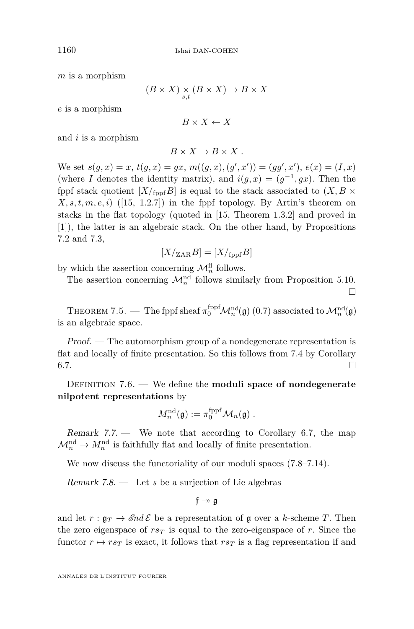<span id="page-38-0"></span>*m* is a morphism

$$
(B \times X) \underset{s,t}{\times} (B \times X) \to B \times X
$$

*e* is a morphism

 $B \times X \leftarrow X$ 

and *i* is a morphism

$$
B \times X \to B \times X .
$$

We set  $s(g, x) = x$ ,  $t(g, x) = gx$ ,  $m((g, x), (g', x')) = (gg', x')$ ,  $e(x) = (I, x)$ (where *I* denotes the identity matrix), and  $i(g, x) = (g^{-1}, gx)$ . Then the fppf stack quotient  $[X/\text{f}_{\text{top}}B]$  is equal to the stack associated to  $(X, B \times$  $X, s, t, m, e, i)$  ([\[15,](#page-64-0) 1.2.7]) in the fppf topology. By Artin's theorem on stacks in the flat topology (quoted in [\[15,](#page-64-0) Theorem 1.3.2] and proved in [\[1\]](#page-64-0)), the latter is an algebraic stack. On the other hand, by Propositions [7.2](#page-36-0) and 7*.*[3,](#page-37-0)

$$
[X/\mathrm{ZAR}B] = [X/\mathrm{fppf}B]
$$

by which the assertion concerning  $\mathcal{M}_n^{\text{fl}}$  follows.

The assertion concerning  $\mathcal{M}_n^{\text{nd}}$  follows similarly from Proposition [5.10.](#page-29-0)

 $\Box$ 

THEOREM 7.5. — The fppf sheaf  $\pi_0^{\text{fppf}}\mathcal{M}_n^{\text{nd}}(\mathfrak{g})$  [\(0.7\)](#page-9-0) associated to  $\mathcal{M}_n^{\text{nd}}(\mathfrak{g})$ is an algebraic space.

Proof. — The automorphism group of a nondegenerate representation is flat and locally of finite presentation. So this follows from [7.4](#page-37-0) by Corollary  $6.7.$ 

DEFINITION 7.6. — We define the **moduli space of nondegenerate nilpotent representations** by

$$
M_n^{\mathrm{nd}}(\mathfrak{g}) := \pi_0^{\mathrm{fppf}} \mathcal{M}_n(\mathfrak{g}) \ .
$$

Remark  $7.7.$  We note that according to Corollary [6.7,](#page-35-0) the map  $\mathcal{M}_n^{\text{nd}} \to M_n^{\text{nd}}$  is faithfully flat and locally of finite presentation.

We now discuss the functoriality of our moduli spaces  $(7.8-7.14)$ .

Remark 7.8. — Let *s* be a surjection of Lie algebras

 $f \rightarrow \alpha$ 

and let  $r : \mathfrak{g}_T \to \mathcal{E}nd\mathcal{E}$  be a representation of g over a *k*-scheme *T*. Then the zero eigenspace of  $rs<sub>T</sub>$  is equal to the zero-eigenspace of r. Since the functor  $r \mapsto rs_T$  is exact, it follows that  $rs_T$  is a flag representation if and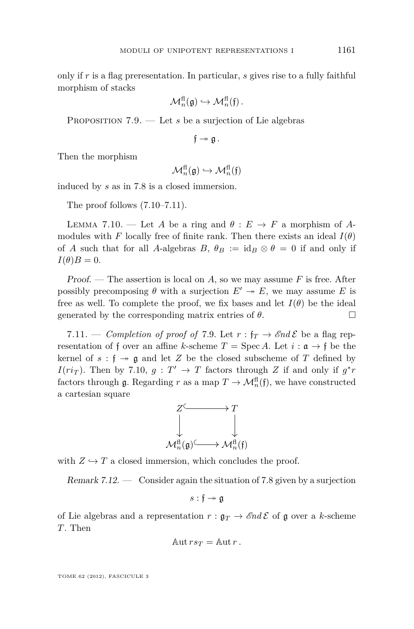<span id="page-39-0"></span>only if *r* is a flag preresentation. In particular, *s* gives rise to a fully faithful morphism of stacks

$$
\mathcal{M}_n^{\text{fl}}(\mathfrak{g}) \hookrightarrow \mathcal{M}_n^{\text{fl}}(\mathfrak{f})\,.
$$

PROPOSITION 7.9. — Let *s* be a surjection of Lie algebras

$$
\mathfrak{f}\twoheadrightarrow \mathfrak{g}\,.
$$

Then the morphism

$$
\mathcal{M}_n^{\text{fl}}(\mathfrak{g}) \hookrightarrow \mathcal{M}_n^{\text{fl}}(\mathfrak{f})
$$

induced by *s* as in [7.8](#page-38-0) is a closed immersion.

The proof follows (7.10–7.11).

LEMMA 7.10. — Let *A* be a ring and  $\theta : E \to F$  a morphism of *A*modules with *F* locally free of finite rank. Then there exists an ideal  $I(\theta)$ of *A* such that for all *A*-algebras *B*,  $\theta_B := id_B \otimes \theta = 0$  if and only if  $I(\theta)B=0.$ 

Proof. — The assertion is local on *A*, so we may assume *F* is free. After possibly precomposing  $\theta$  with a surjection  $E' \rightarrow E$ , we may assume *E* is free as well. To complete the proof, we fix bases and let  $I(\theta)$  be the ideal generated by the corresponding matrix entries of  $\theta$ .

7.11. — *Completion of proof of* 7.9. Let  $r : f_T \to \mathcal{E}nd\mathcal{E}$  be a flag representation of f over an affine *k*-scheme  $T = \text{Spec } A$ . Let  $i : \mathfrak{a} \to \mathfrak{f}$  be the kernel of  $s : \mathfrak{f} \to \mathfrak{g}$  and let Z be the closed subscheme of T defined by *I*( $ri_T$ ). Then by 7.10,  $g: T' \to T$  factors through *Z* if and only if  $g^*r$ factors through  $\mathfrak{g}$ . Regarding *r* as a map  $T \to \mathcal{M}_n^{\text{fl}}(\mathfrak{f})$ , we have constructed a cartesian square



with  $Z \hookrightarrow T$  a closed immersion, which concludes the proof.

Remark 7.12. — Consider again the situation of [7.8](#page-38-0) given by a surjection

$$
s:\mathfrak{f}\twoheadrightarrow\mathfrak{g}
$$

of Lie algebras and a representation  $r : \mathfrak{g}_T \to \mathcal{E}nd\mathcal{E}$  of  $\mathfrak{g}$  over a *k*-scheme *T*. Then

$$
Aut\,rs_T=\mathrm{Aut}\,r\,.
$$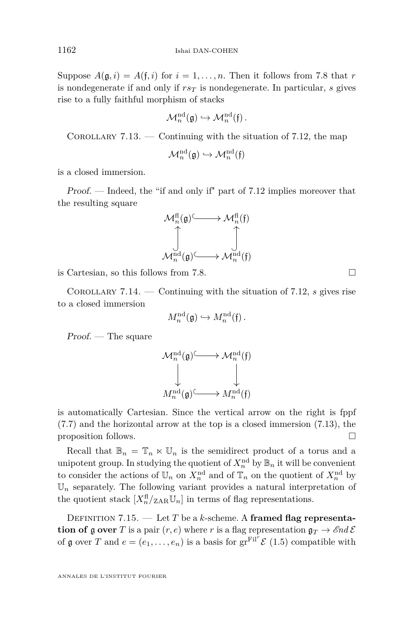<span id="page-40-0"></span>Suppose  $A(\mathfrak{g},i) = A(\mathfrak{f},i)$  for  $i = 1,\ldots,n$ . Then it follows from [7.8](#page-38-0) that *r* is nondegenerate if and only if  $rs<sub>T</sub>$  is nondegenerate. In particular, *s* gives rise to a fully faithful morphism of stacks

$$
\mathcal{M}_n^{\mathrm{nd}}(\mathfrak{g}) \hookrightarrow \mathcal{M}_n^{\mathrm{nd}}(\mathfrak{f})\,.
$$

COROLLARY  $7.13.$  — Continuing with the situation of [7.12,](#page-39-0) the map

$$
\mathcal{M}^{\mathrm{nd}}_{n}(\mathfrak{g}) \hookrightarrow \mathcal{M}^{\mathrm{nd}}_{n}(\mathfrak{f})
$$

is a closed immersion.

Proof. — Indeed, the "if and only if" part of [7.12](#page-39-0) implies moreover that the resulting square



is Cartesian, so this follows from [7.8.](#page-38-0)

Corollary 7.14. — Continuing with the situation of [7.12,](#page-39-0) *s* gives rise to a closed immersion

$$
M_n^{\mathrm{nd}}(\mathfrak{g}) \hookrightarrow M_n^{\mathrm{nd}}(\mathfrak{f})\,.
$$

Proof. — The square

$$
\begin{array}{ccc} \mathcal{M}_{n}^{\mathrm{nd}}(\mathfrak{g}) & \longrightarrow \mathcal{M}_{n}^{\mathrm{nd}}(\mathfrak{f}) \\ \downarrow & & \downarrow \\ M_{n}^{\mathrm{nd}}(\mathfrak{g}) & \longrightarrow M_{n}^{\mathrm{nd}}(\mathfrak{f}) \end{array}
$$

is automatically Cartesian. Since the vertical arrow on the right is fppf [\(7.7\)](#page-38-0) and the horizontal arrow at the top is a closed immersion (7.13), the proposition follows.

Recall that  $\mathbb{B}_n = \mathbb{T}_n \ltimes \mathbb{U}_n$  is the semidirect product of a torus and a unipotent group. In studying the quotient of  $X_n^{\text{nd}}$  by  $\mathbb{B}_n$  it will be convenient to consider the actions of  $\mathbb{U}_n$  on  $X_n^{\text{nd}}$  and of  $\mathbb{T}_n$  on the quotient of  $X_n^{\text{nd}}$  by  $\mathbb{U}_n$  separately. The following variant provides a natural interpretation of the quotient stack  $[X_n^{\text{fl}}/_{\text{ZAR}}\mathbb{U}_n]$  in terms of flag representations.

DEFINITION 7.15. — Let *T* be a *k*-scheme. A framed flag representa**tion of** g over *T* is a pair  $(r, e)$  where *r* is a flag representation  $g_T \rightarrow \mathcal{E}nd\mathcal{E}$ of  $\mathfrak g$  over  $T$  and  $e = (e_1, \ldots, e_n)$  is a basis for  $gr^{\text{Fil}^*}\mathcal E$  [\(1.5\)](#page-11-0) compatible with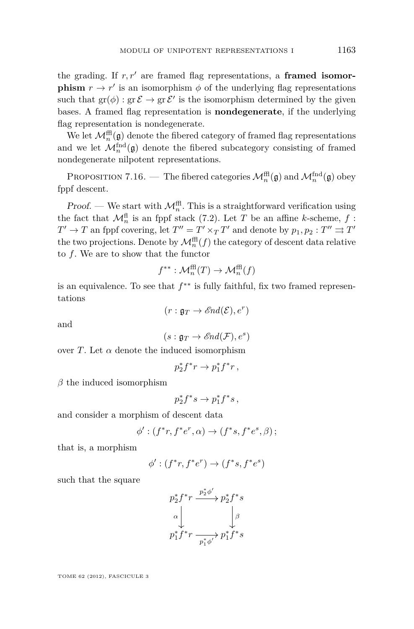<span id="page-41-0"></span>the grading. If  $r, r'$  are framed flag representations, a **framed isomorphism**  $r \to r'$  is an isomorphism  $\phi$  of the underlying flag representations such that  $gr(\phi) : gr \mathcal{E} \to gr \mathcal{E}'$  is the isomorphism determined by the given bases. A framed flag representation is **nondegenerate**, if the underlying flag representation is nondegenerate.

We let  $\mathcal{M}_n^{\text{ff}}(\mathfrak{g})$  denote the fibered category of framed flag representations and we let  $\mathcal{M}_n^{\text{find}}(\mathfrak{g})$  denote the fibered subcategory consisting of framed nondegenerate nilpotent representations.

PROPOSITION 7.16. — The fibered categories  $\mathcal{M}_n^{\text{ff}}(\mathfrak{g})$  and  $\mathcal{M}_n^{\text{fnd}}(\mathfrak{g})$  obey fppf descent.

Proof. — We start with  $\mathcal{M}_n^{\text{ff}}$ . This is a straightforward verification using the fact that  $\mathcal{M}_n^{\text{fl}}$  is an fppf stack [\(7.2\)](#page-36-0). Let *T* be an affine *k*-scheme, *f* :  $T' \to T$  an fppf covering, let  $T'' = T' \times_T T'$  and denote by  $p_1, p_2 : T'' \rightrightarrows T'$ the two projections. Denote by  $\mathcal{M}_n^{\text{ff}}(f)$  the category of descent data relative to *f*. We are to show that the functor

$$
f^{**}: \mathcal{M}_n^{\text{ff}}(T) \to \mathcal{M}_n^{\text{ff}}(f)
$$

is an equivalence. To see that *f* ∗∗ is fully faithful, fix two framed representations

 $(r: \mathfrak{g}_T \to \mathcal{E}nd(\mathcal{E}), e^r)$ 

and

$$
(s:\mathfrak{g}_T\rightarrow \mathscr{E}\!\mathit{nd}(\mathcal{F}),e^s)
$$

over *T*. Let  $\alpha$  denote the induced isomorphism

$$
p_2^* f^* r \to p_1^* f^* r \,,
$$

*β* the induced isomorphism

$$
p_2^* f^* s \to p_1^* f^* s,
$$

and consider a morphism of descent data

$$
\phi': (f^*r, f^*e^r, \alpha) \rightarrow (f^*s, f^*e^s, \beta);
$$

that is, a morphism

$$
\phi': (f^*r, f^*e^r) \rightarrow (f^*s, f^*e^s)
$$

such that the square

$$
p_2^* f^* r \xrightarrow{p_2^* \phi'} p_2^* f^* s
$$
  
\n
$$
\downarrow \qquad \qquad \downarrow \qquad \qquad \downarrow
$$
  
\n
$$
p_1^* f^* r \xrightarrow{p_1^* \phi'} p_1^* f^* s
$$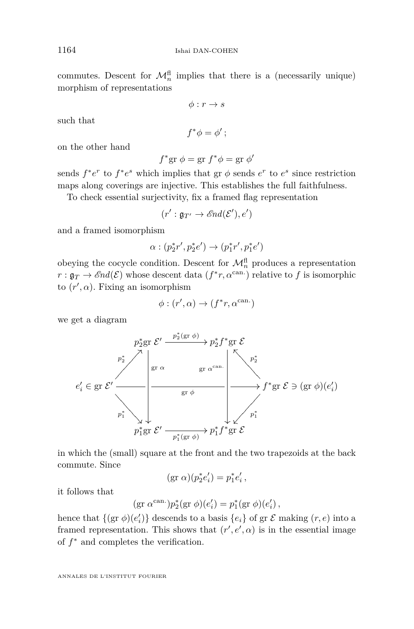commutes. Descent for  $\mathcal{M}_n^{\text{fl}}$  implies that there is a (necessarily unique) morphism of representations

 $\phi: r \to s$ 

such that

 $f^*\phi = \phi'$ ;

on the other hand

$$
f^* \text{gr } \phi = \text{gr } f^* \phi = \text{gr } \phi'
$$

sends  $f^*e^r$  to  $f^*e^s$  which implies that gr  $\phi$  sends  $e^r$  to  $e^s$  since restriction maps along coverings are injective. This establishes the full faithfulness.

To check essential surjectivity, fix a framed flag representation

$$
(r': \mathfrak{g}_{T'} \to \mathscr{E}nd(\mathcal{E}'), e')
$$

and a framed isomorphism

$$
\alpha: (p_2^{*}r', p_2^{*}e') \to (p_1^{*}r', p_1^{*}e')
$$

obeying the cocycle condition. Descent for  $\mathcal{M}_n^{\text{fl}}$  produces a representation  $r: \mathfrak{g}_T \to \mathscr{E}nd(\mathcal{E})$  whose descent data  $(f^*r, \alpha^{\text{can.}})$  relative to  $f$  is isomorphic to  $(r', \alpha)$ . Fixing an isomorphism

$$
\phi: (r', \alpha) \to (f^*r, \alpha^{\text{can.}})
$$

we get a diagram



in which the (small) square at the front and the two trapezoids at the back commute. Since

$$
(\text{gr }\alpha)(p_2^*e'_i) = p_1^*e'_i \,,
$$

it follows that

$$
(\text{gr }\alpha^{\text{can.}})p_2^*(\text{gr }\phi)(e_i')=p_1^*(\text{gr }\phi)(e_i')\,,
$$

hence that  $\{(\text{gr }\phi)(e_i')\}$  descends to a basis  $\{e_i\}$  of  $\text{gr }\mathcal{E}$  making  $(r, e)$  into a framed representation. This shows that  $(r', e', \alpha)$  is in the essential image of *f* <sup>∗</sup> and completes the verification.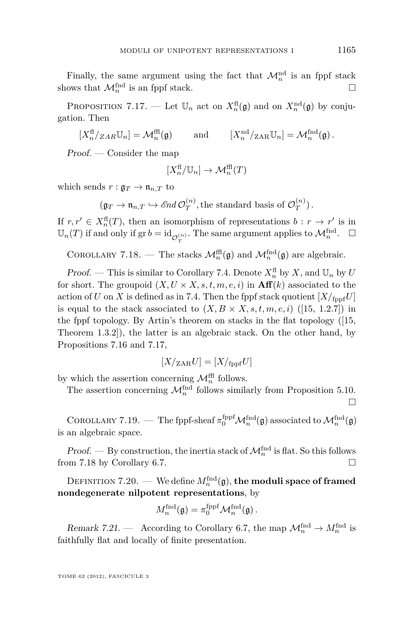Finally, the same argument using the fact that  $\mathcal{M}_n^{\text{nd}}$  is an fppf stack shows that  $\mathcal{M}_n^{\text{find}}$  is an fppf stack.

PROPOSITION 7.17. — Let  $\mathbb{U}_n$  act on  $X_n^{\text{fl}}(\mathfrak{g})$  and on  $X_n^{\text{nd}}(\mathfrak{g})$  by conjugation. Then

 $[X_n^{\text{fl}}/ZAR\mathbb{U}_n] = \mathcal{M}_n^{\text{fll}}(\mathfrak{g})$  and  $[X_n^{\text{nd}}/ZAR\mathbb{U}_n] = \mathcal{M}_n^{\text{fnd}}(\mathfrak{g})$ .

Proof. — Consider the map

$$
[X_n^{\text{fl}}/\mathbb{U}_n] \to \mathcal{M}_n^{\text{fl}}(T)
$$

which sends  $r : \mathfrak{g}_T \to \mathfrak{n}_{n,T}$  to

 $(\mathfrak{g}_T \to \mathfrak{n}_{n,T} \hookrightarrow \mathscr{E}nd \mathcal{O}_T^{(n)}$  $T^{(n)}$ , the standard basis of  $\mathcal{O}_T^{(n)}$  $T^{(n)}$ ).

If  $r, r' \in X_n^{\text{fl}}(T)$ , then an isomorphism of representations  $b : r \to r'$  is in  $\mathbb{U}_n(T)$  if and only if  $\operatorname{gr} b = \operatorname{id}_{\mathcal{O}_T^{(n)}}$ . The same argument applies to  $\mathcal{M}_n^{\text{find}}$ .  $\Box$ 

COROLLARY 7.18. — The stacks  $\mathcal{M}_n^{\text{ffl}}(\mathfrak{g})$  and  $\mathcal{M}_n^{\text{fnd}}(\mathfrak{g})$  are algebraic.

*Proof.* — This is similar to Corollary [7.4.](#page-37-0) Denote  $X_n^{\text{fl}}$  by X, and  $\mathbb{U}_n$  by U for short. The groupoid  $(X, U \times X, s, t, m, e, i)$  in  $\textbf{Aff}(k)$  associated to the action of *U* on *X* is defined as in [7.4.](#page-37-0) Then the fppf stack quotient  $[X/\text{fppf}$ *U*] is equal to the stack associated to  $(X, B \times X, s, t, m, e, i)$  ([\[15,](#page-64-0) 1.2.7]) in the fppf topology. By Artin's theorem on stacks in the flat topology ([\[15,](#page-64-0) Theorem 1.3.2]), the latter is an algebraic stack. On the other hand, by Propositions [7.16](#page-41-0) and 7*.*17,

$$
[X/\mathrm{_{ZAR}}U] = [X/\mathrm{_{fppf}}U]
$$

by which the assertion concerning  $\mathcal{M}_n^{\text{ffl}}$  follows.

The assertion concerning  $\mathcal{M}_n^{\text{find}}$  follows similarly from Proposition [5.10.](#page-29-0)  $\Box$ 

COROLLARY 7.19. — The fppf-sheaf  $\pi_0^{\text{fppf}}\mathcal{M}_n^{\text{fnd}}(\mathfrak{g})$  associated to  $\mathcal{M}_n^{\text{fnd}}(\mathfrak{g})$ is an algebraic space.

Proof. — By construction, the inertia stack of  $\mathcal{M}_n^{\text{fnd}}$  is flat. So this follows from 7.18 by Corollary [6.7.](#page-35-0)

 $\mathrm{DEFINITION}$   $7.20.$  — We define  $M_n^{\mathrm{find}}(\mathfrak{g}),$  the moduli space of framed **nondegenerate nilpotent representations**, by

$$
M_n^{\text{find}}(\mathfrak{g}) = \pi_0^{\text{fppf}} \mathcal{M}_n^{\text{find}}(\mathfrak{g})\,.
$$

Remark 7.21. — According to Corollary [6.7,](#page-35-0) the map  $\mathcal{M}_n^{\text{find}} \to \mathcal{M}_n^{\text{find}}$  is faithfully flat and locally of finite presentation.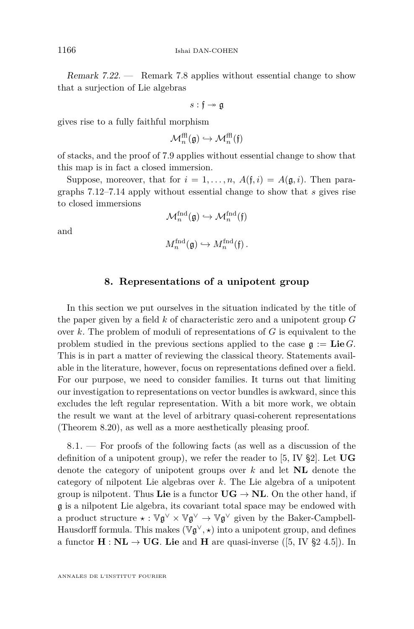<span id="page-44-0"></span>Remark 7.22. — Remark [7.8](#page-38-0) applies without essential change to show that a surjection of Lie algebras

$$
s:\mathfrak{f}\twoheadrightarrow\mathfrak{g}
$$

gives rise to a fully faithful morphism

$$
\mathcal{M}^{\mathrm{ffl}}_n(\mathfrak{g}) \hookrightarrow \mathcal{M}^{\mathrm{ffl}}_n(\mathfrak{f})
$$

of stacks, and the proof of [7.9](#page-39-0) applies without essential change to show that this map is in fact a closed immersion.

Suppose, moreover, that for  $i = 1, \ldots, n$ ,  $A(f, i) = A(g, i)$ . Then paragraphs [7.12–](#page-39-0)[7.14](#page-40-0) apply without essential change to show that *s* gives rise to closed immersions

 $\mathcal{M}^{\text{find}}_n(\mathfrak{g}) \hookrightarrow \mathcal{M}^{\text{find}}_n(\mathfrak{f})$ 

and

$$
M_n^{\text{find}}(\mathfrak{g}) \hookrightarrow M_n^{\text{find}}(\mathfrak{f})\,.
$$

#### **8. Representations of a unipotent group**

In this section we put ourselves in the situation indicated by the title of the paper given by a field *k* of characteristic zero and a unipotent group *G* over *k*. The problem of moduli of representations of *G* is equivalent to the problem studied in the previous sections applied to the case  $g := \mathbf{Lie } G$ . This is in part a matter of reviewing the classical theory. Statements available in the literature, however, focus on representations defined over a field. For our purpose, we need to consider families. It turns out that limiting our investigation to representations on vector bundles is awkward, since this excludes the left regular representation. With a bit more work, we obtain the result we want at the level of arbitrary quasi-coherent representations (Theorem [8.20\)](#page-54-0), as well as a more aesthetically pleasing proof.

8.1. — For proofs of the following facts (as well as a discussion of the definition of a unipotent group), we refer the reader to [\[5,](#page-64-0) IV §2]. Let **UG** denote the category of unipotent groups over *k* and let **NL** denote the category of nilpotent Lie algebras over *k*. The Lie algebra of a unipotent group is nilpotent. Thus **Lie** is a functor  $\mathbf{UG} \to \mathbf{NL}$ . On the other hand, if g is a nilpotent Lie algebra, its covariant total space may be endowed with a product structure  $\star : \mathbb{V} \mathfrak{g}^{\vee} \times \mathbb{V} \mathfrak{g}^{\vee} \to \mathbb{V} \mathfrak{g}^{\vee}$  given by the Baker-Campbell-Hausdorff formula. This makes  $(\mathbb{V}\mathfrak{g}^{\vee},\star)$  into a unipotent group, and defines a functor  $H : NL \rightarrow UG$ . Lie and H are quasi-inverse ([\[5,](#page-64-0) IV §2 4.5]). In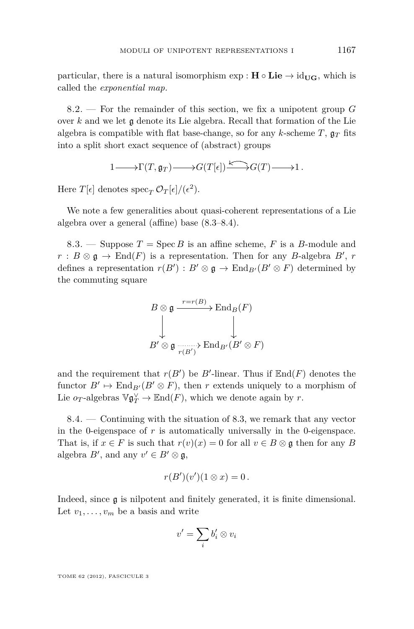<span id="page-45-0"></span>particular, there is a natural isomorphism  $\exp : H \circ Lie \rightarrow id_{\mathbf{UG}}$ , which is called the *exponential map.*

8.2. — For the remainder of this section, we fix a unipotent group *G* over *k* and we let g denote its Lie algebra. Recall that formation of the Lie algebra is compatible with flat base-change, so for any *k*-scheme  $T$ ,  $\mathfrak{g}_T$  fits into a split short exact sequence of (abstract) groups

$$
1 \longrightarrow \Gamma(T, \mathfrak{g}_T) \longrightarrow G(T[\epsilon]) \longrightarrow G(T) \longrightarrow 1.
$$

Here  $T[\epsilon]$  denotes  $\operatorname{spec}_T \mathcal{O}_T[\epsilon]/(\epsilon^2)$ .

We note a few generalities about quasi-coherent representations of a Lie algebra over a general (affine) base (8.3–8.4).

8.3. — Suppose  $T = \text{Spec } B$  is an affine scheme, F is a B-module and  $r : B \otimes \mathfrak{g} \to \text{End}(F)$  is a representation. Then for any *B*-algebra *B'*, *r* defines a representation  $r(B') : B' \otimes \mathfrak{g} \to \text{End}_{B'}(B' \otimes F)$  determined by the commuting square

$$
B \otimes \mathfrak{g} \xrightarrow{r=r(B)} \operatorname{End}_B(F)
$$
  

$$
\downarrow \qquad \qquad \downarrow
$$
  

$$
B' \otimes \mathfrak{g} \xrightarrow[r(B')]{}
$$

$$
\operatorname{End}_{B'}(B' \otimes F)
$$

and the requirement that  $r(B')$  be *B*'-linear. Thus if  $\mathbb{E}nd(F)$  denotes the functor  $B' \mapsto \text{End}_{B'}(B' \otimes F)$ , then *r* extends uniquely to a morphism of Lie  $o_T$ -algebras  $\mathbb{V}\mathfrak{g}_T^{\vee} \to \mathbb{E}{\rm nd}(F)$ , which we denote again by *r*.

8.4. — Continuing with the situation of 8.3, we remark that any vector in the 0-eigenspace of  $r$  is automatically universally in the 0-eigenspace. That is, if  $x \in F$  is such that  $r(v)(x) = 0$  for all  $v \in B \otimes \mathfrak{g}$  then for any *B* algebra  $B'$ , and any  $v' \in B' \otimes \mathfrak{g}$ ,

$$
r(B')(v')(1\otimes x)=0.
$$

Indeed, since g is nilpotent and finitely generated, it is finite dimensional. Let  $v_1, \ldots, v_m$  be a basis and write

$$
v'=\sum_i b_i'\otimes v_i
$$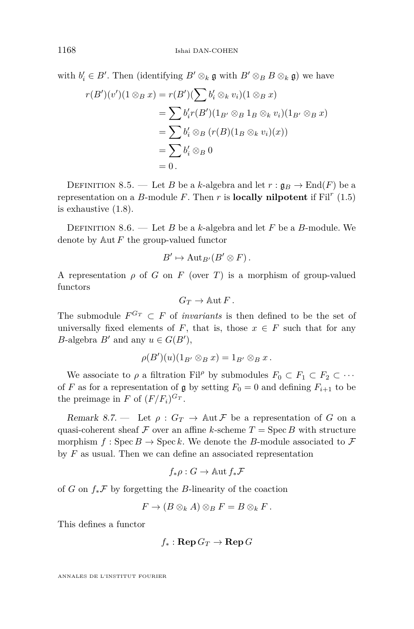<span id="page-46-0"></span>with  $b'_i \in B'$ . Then (identifying  $B' \otimes_k \mathfrak{g}$  with  $B' \otimes_B B \otimes_k \mathfrak{g}$ ) we have

$$
r(B')(v')(1 \otimes_B x) = r(B')(\sum b'_i \otimes_k v_i)(1 \otimes_B x)
$$
  
=  $\sum b'_i r(B')(1_{B'} \otimes_B 1_B \otimes_k v_i)(1_{B'} \otimes_B x)$   
=  $\sum b'_i \otimes_B (r(B)(1_B \otimes_k v_i)(x))$   
=  $\sum b'_i \otimes_B 0$   
= 0.

DEFINITION 8.5. — Let *B* be a *k*-algebra and let  $r : \mathfrak{g}_B \to \text{End}(F)$  be a representation on a *B*-module *F*. Then  $r$  is **locally nilpotent** if  $\text{Fil}^r(1.5)$  $\text{Fil}^r(1.5)$ is exhaustive [\(1.8\)](#page-12-0).

DEFINITION 8.6. — Let *B* be a *k*-algebra and let *F* be a *B*-module. We denote by Aut *F* the group-valued functor

$$
B' \mapsto \mathrm{Aut}_{B'}(B' \otimes F).
$$

A representation  $\rho$  of *G* on *F* (over *T*) is a morphism of group-valued functors

$$
G_T \to \mathbb{A}\mathrm{ut}\, F\, .
$$

The submodule  $F^{G_T} \subset F$  of *invariants* is then defined to be the set of universally fixed elements of *F*, that is, those  $x \in F$  such that for any *B*-algebra *B*<sup> $\prime$ </sup> and any  $u \in G(B')$ ,

$$
\rho(B')(u)(1_{B'} \otimes_B x) = 1_{B'} \otimes_B x.
$$

We associate to  $\rho$  a filtration Fil<sup> $\rho$ </sup> by submodules  $F_0 \subset F_1 \subset F_2 \subset \cdots$ of *F* as for a representation of g by setting  $F_0 = 0$  and defining  $F_{i+1}$  to be the preimage in *F* of  $(F/F_i)^{G_T}$ .

Remark 8.7. — Let  $\rho: G_T \to \text{Aut } \mathcal{F}$  be a representation of *G* on a quasi-coherent sheaf  $\mathcal F$  over an affine *k*-scheme  $T = \text{Spec } B$  with structure morphism  $f : \text{Spec } B \to \text{Spec } k$ . We denote the *B*-module associated to  $\mathcal F$ by *F* as usual. Then we can define an associated representation

$$
f_*\rho:G\to \operatorname{Aut} f_*\mathcal F
$$

of *G* on *f*∗F by forgetting the *B*-linearity of the coaction

$$
F \to (B \otimes_k A) \otimes_B F = B \otimes_k F.
$$

This defines a functor

$$
f_* : \operatorname{\mathbf{Rep}} G_T \rightarrow \operatorname{\mathbf{Rep}} G
$$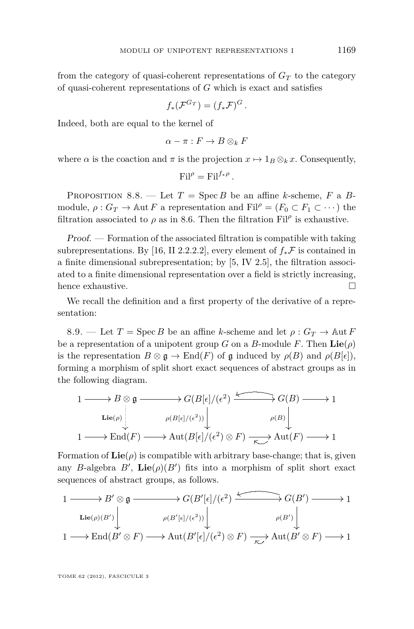<span id="page-47-0"></span>from the category of quasi-coherent representations of  $G_T$  to the category of quasi-coherent representations of *G* which is exact and satisfies

$$
f_*({\mathcal F}^{G_T})=(f_*{\mathcal F})^G.
$$

Indeed, both are equal to the kernel of

$$
\alpha - \pi : F \to B \otimes_k F
$$

where  $\alpha$  is the coaction and  $\pi$  is the projection  $x \mapsto 1_B \otimes_k x$ . Consequently,

$$
\mathrm{Fil}^{\rho} = \mathrm{Fil}^{f_{\ast}\rho}.
$$

PROPOSITION 8.8. — Let  $T = \text{Spec } B$  be an affine *k*-scheme,  $F$  a  $B$ module,  $\rho: G_T \to \mathbb{A}$ ut *F* a representation and Fil $\rho = (F_0 \subset F_1 \subset \cdots)$  the filtration associated to  $\rho$  as in [8.6.](#page-46-0) Then the filtration  $\text{Fil}^{\rho}$  is exhaustive.

Proof. — Formation of the associated filtration is compatible with taking subrepresentations. By [\[16,](#page-64-0) II 2.2.2.2], every element of  $f_*\mathcal{F}$  is contained in a finite dimensional subrepresentation; by [\[5,](#page-64-0) IV 2.5], the filtration associated to a finite dimensional representation over a field is strictly increasing, hence exhaustive.

We recall the definition and a first property of the derivative of a representation:

8.9. — Let  $T = \text{Spec } B$  be an affine *k*-scheme and let  $\rho : G_T \to \text{Aut } F$ be a representation of a unipotent group *G* on a *B*-module *F*. Then  $\text{Lie}(\rho)$ is the representation  $B \otimes \mathfrak{g} \to \text{End}(F)$  of  $\mathfrak{g}$  induced by  $\rho(B)$  and  $\rho(B[\epsilon]),$ forming a morphism of split short exact sequences of abstract groups as in the following diagram.

$$
\begin{array}{ccc}\n1 & \longrightarrow B \otimes \mathfrak{g} & \longrightarrow G(B[\epsilon]/(\epsilon^2) & \longrightarrow G(B) \longrightarrow 1 \\
\downarrow \text{Lie}(\rho) & & \rho(B[\epsilon]/(\epsilon^2)) \downarrow & \rho(B) \downarrow \\
1 & \longrightarrow \text{End}(F) \longrightarrow \text{Aut}(B[\epsilon]/(\epsilon^2) \otimes F) & \longrightarrow \text{Aut}(F) \longrightarrow 1\n\end{array}
$$

Formation of  $\text{Lie}(\rho)$  is compatible with arbitrary base-change; that is, given any *B*-algebra *B'*,  $\text{Lie}(\rho)(B')$  fits into a morphism of split short exact sequences of abstract groups, as follows.

$$
\begin{array}{ccc}\n1 & \longrightarrow B' \otimes \mathfrak{g} & \longrightarrow G(B'[\epsilon]/(\epsilon^2) & \longrightarrow G(B') & \longrightarrow 1 \\
\downarrow \text{Lie}(\rho)(B') & & \rho(B'[\epsilon]/(\epsilon^2)) & & \rho(B') \\
1 & \longrightarrow \text{End}(B' \otimes F) & \longrightarrow \text{Aut}(B'[\epsilon]/(\epsilon^2) \otimes F) & \longrightarrow \text{Aut}(B' \otimes F) & \longrightarrow 1\n\end{array}
$$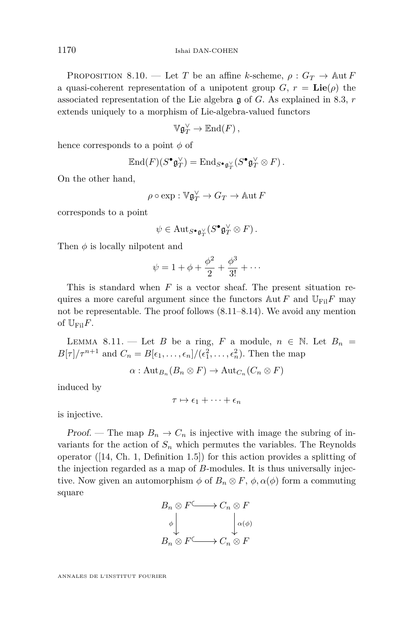<span id="page-48-0"></span>PROPOSITION 8.10. — Let *T* be an affine *k*-scheme,  $\rho: G_T \to \text{Aut } F$ a quasi-coherent representation of a unipotent group  $G, r = \text{Lie}(\rho)$  the associated representation of the Lie algebra g of *G*. As explained in [8.3,](#page-45-0) *r* extends uniquely to a morphism of Lie-algebra-valued functors

$$
\mathbb{V}\mathfrak{g}_T^{\vee} \to \mathbb{E}{\rm nd}(F)\,,
$$

hence corresponds to a point *φ* of

$$
\operatorname{End}(F)(S^{\bullet}\mathfrak{g}_T^{\vee})=\operatorname{End}_{S^{\bullet}\mathfrak{g}_T^{\vee}}(S^{\bullet}\mathfrak{g}_T^{\vee}\otimes F).
$$

On the other hand,

$$
\rho \circ \exp : \mathbb{V}\mathfrak{g}_T^\vee \to G_T \to \mathbb{A}\mathrm{ut}\, F
$$

corresponds to a point

$$
\psi \in \mathrm{Aut}_{S^{\bullet}\mathfrak{g}_T^{\vee}}(S^{\bullet}\mathfrak{g}_T^{\vee} \otimes F).
$$

Then *φ* is locally nilpotent and

$$
\psi = 1 + \phi + \frac{\phi^2}{2} + \frac{\phi^3}{3!} + \cdots
$$

This is standard when *F* is a vector sheaf. The present situation requires a more careful argument since the functors  $\mathbb{A}$ ut *F* and  $\mathbb{U}_{\text{Fil}}F$  may not be representable. The proof follows (8.11[–8.14\)](#page-51-0). We avoid any mention of  $\mathbb{U}_{\text{Fil}}F$ .

LEMMA 8.11. — Let *B* be a ring, *F* a module,  $n \in \mathbb{N}$ . Let  $B_n =$  $B[\tau]/\tau^{n+1}$  and  $C_n = B[\epsilon_1, \ldots, \epsilon_n]/(\epsilon_1^2, \ldots, \epsilon_n^2)$ . Then the map

 $\alpha$ : Aut<sub>*B<sub>n</sub>*</sub> $(B_n \otimes F) \to$  Aut<sub>*C<sub>n</sub>*</sub> $(C_n \otimes F)$ 

induced by

$$
\tau \mapsto \epsilon_1 + \cdots + \epsilon_n
$$

is injective.

Proof. — The map  $B_n \to C_n$  is injective with image the subring of invariants for the action of  $S_n$  which permutes the variables. The Reynolds operator  $(14, Ch. 1, Definition 1.5)$  for this action provides a splitting of the injection regarded as a map of *B*-modules. It is thus universally injective. Now given an automorphism  $\phi$  of  $B_n \otimes F$ ,  $\phi$ ,  $\alpha(\phi)$  form a commuting square

$$
B_n \otimes F \longrightarrow C_n \otimes F
$$
  
\n
$$
\phi \downarrow \qquad \qquad \downarrow \alpha(\phi)
$$
  
\n
$$
B_n \otimes F \longrightarrow C_n \otimes F
$$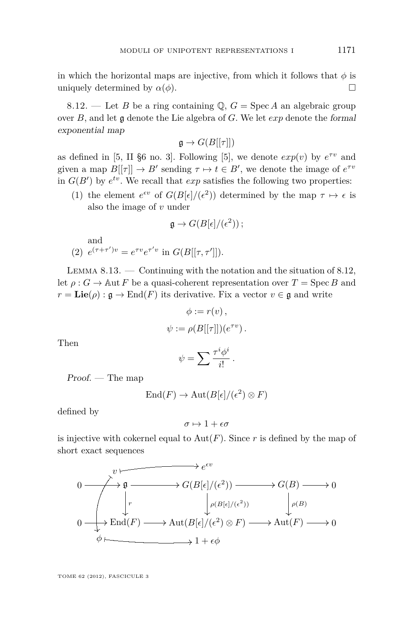<span id="page-49-0"></span>in which the horizontal maps are injective, from which it follows that  $\phi$  is uniquely determined by  $\alpha(\phi)$ .

8.12. — Let *B* be a ring containing  $\mathbb{Q}$ ,  $G = \text{Spec } A$  an algebraic group over *B*, and let g denote the Lie algebra of *G*. We let *exp* denote the formal exponential map

$$
\mathfrak{g} \to G(B[[\tau]])
$$

as defined in [\[5,](#page-64-0) II §6 no. 3]. Following [\[5\]](#page-64-0), we denote  $exp(v)$  by  $e^{\tau v}$  and given a map  $B[[\tau]] \to B'$  sending  $\tau \mapsto t \in B'$ , we denote the image of  $e^{\tau v}$ in  $G(B')$  by  $e^{tv}$ . We recall that  $exp$  satisfies the following two properties:

(1) the element  $e^{\epsilon v}$  of  $G(B[\epsilon]/(\epsilon^2))$  determined by the map  $\tau \mapsto \epsilon$  is also the image of *v* under

$$
\mathfrak{g} \to G(B[\epsilon]/(\epsilon^2));
$$

and (2)  $e^{(\tau+\tau')v} = e^{\tau v} e^{\tau' v}$  in  $G(B[[\tau,\tau']]).$ 

LEMMA  $8.13.$  — Continuing with the notation and the situation of  $8.12$ , let  $\rho: G \to \text{Aut } F$  be a quasi-coherent representation over  $T = \text{Spec } B$  and  $r = \mathbf{Lie}(\rho) : \mathfrak{g} \to \text{End}(F)$  its derivative. Fix a vector  $v \in \mathfrak{g}$  and write

$$
\phi := r(v),
$$
  

$$
\psi := \rho(B[[\tau]])(e^{\tau v}).
$$

Then

$$
\psi = \sum \frac{\tau^i \phi^i}{i!} \, .
$$

 $Proof.$  — The map

$$
End(F) \to Aut(B[\epsilon]/(\epsilon^2) \otimes F)
$$

defined by

$$
\sigma\mapsto 1+\epsilon\sigma
$$

is injective with cokernel equal to  $Aut(F)$ . Since r is defined by the map of short exact sequences

$$
0 \longrightarrow^{\mathcal{V}} \mathfrak{g} \longrightarrow G(B[\epsilon]/(\epsilon^2)) \longrightarrow G(B) \longrightarrow 0
$$
  
\n
$$
\downarrow^r \qquad \qquad \downarrow^{\rho(B[\epsilon]/(\epsilon^2))} \qquad \qquad \downarrow^{\rho(B)}
$$
  
\n
$$
0 \longrightarrow \text{End}(F) \longrightarrow \text{Aut}(B[\epsilon]/(\epsilon^2) \otimes F) \longrightarrow \text{Aut}(F) \longrightarrow 0
$$
  
\n
$$
\phi \longmapsto 1 + \epsilon \phi
$$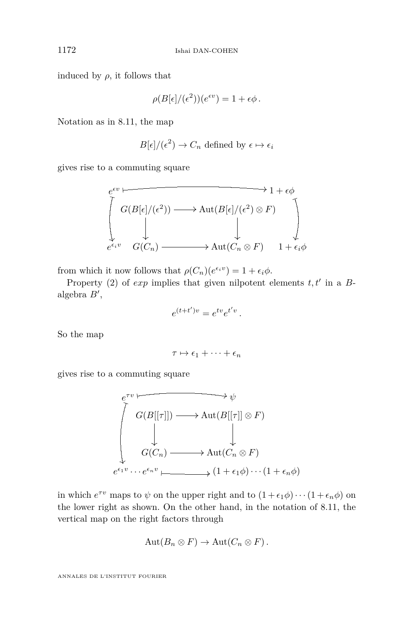induced by  $\rho$ , it follows that

$$
\rho(B[\epsilon]/(\epsilon^2))(e^{\epsilon v}) = 1 + \epsilon \phi.
$$

Notation as in [8.11,](#page-48-0) the map

$$
B[\epsilon]/(\epsilon^2) \to C_n
$$
 defined by  $\epsilon \mapsto \epsilon_i$ 

gives rise to a commuting square

$$
\begin{array}{ccc}\n e^{\epsilon v} & & \longrightarrow & 1 + \epsilon \phi \\
 \left[ G(B[\epsilon]/(\epsilon^2)) & \longrightarrow & \text{Aut}(B[\epsilon]/(\epsilon^2) \otimes F) \\
 & & \downarrow & \\
 e^{\epsilon_i v} & G(C_n) & \longrightarrow & \text{Aut}(C_n \otimes F) \\
 & & 1 + \epsilon_i \phi\n \end{array}
$$

from which it now follows that  $\rho(C_n)(e^{\epsilon_i v}) = 1 + \epsilon_i \phi$ .

Property (2) of  $exp$  implies that given nilpotent elements  $t, t'$  in a  $B$ algebra  $B'$ ,

$$
e^{(t+t')v} = e^{tv}e^{t'v}.
$$

So the map

$$
\tau \mapsto \epsilon_1 + \cdots + \epsilon_n
$$

gives rise to a commuting square

$$
e^{\tau v} \longrightarrow \psi
$$
  
\n
$$
G(B[[\tau]]) \longrightarrow \text{Aut}(B[[\tau]] \otimes F)
$$
  
\n
$$
\downarrow \qquad \qquad \downarrow
$$
  
\n
$$
G(C_n) \longrightarrow \text{Aut}(C_n \otimes F)
$$
  
\n
$$
e^{\epsilon_1 v} \cdots e^{\epsilon_n v} \longmapsto (1 + \epsilon_1 \phi) \cdots (1 + \epsilon_n \phi)
$$

in which  $e^{\tau v}$  maps to  $\psi$  on the upper right and to  $(1 + \epsilon_1 \phi) \cdots (1 + \epsilon_n \phi)$  on the lower right as shown. On the other hand, in the notation of [8.11,](#page-48-0) the vertical map on the right factors through

$$
Aut(B_n \otimes F) \to Aut(C_n \otimes F).
$$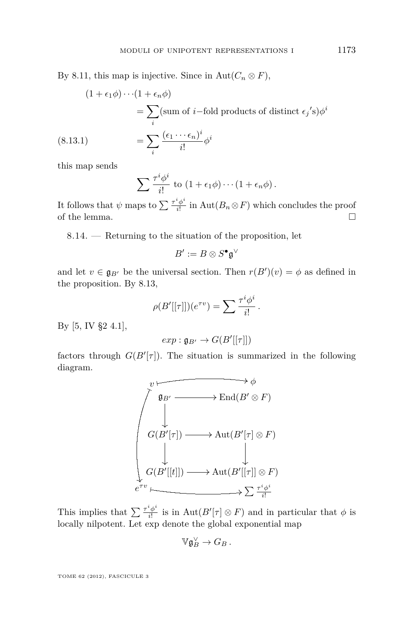<span id="page-51-0"></span>By [8.11,](#page-48-0) this map is injective. Since in Aut $(C_n \otimes F)$ ,

$$
(1 + \epsilon_1 \phi) \cdots (1 + \epsilon_n \phi)
$$
  
=  $\sum_i (\text{sum of } i \text{--fold products of distinct } \epsilon_j \text{'s}) \phi^i$   

$$
(8.13.1) \qquad \qquad = \sum_i \frac{(\epsilon_1 \cdots \epsilon_n)^i}{i!} \phi^i
$$

this map sends

$$
\sum \frac{\tau^i \phi^i}{i!} \text{ to } (1 + \epsilon_1 \phi) \cdots (1 + \epsilon_n \phi).
$$

It follows that  $\psi$  maps to  $\sum \frac{\tau^i \phi^i}{i!}$  $\frac{\varphi}{i!}$  in  $\mathrm{Aut}(B_n \otimes F)$  which concludes the proof of the lemma.  $\hfill \square$ 

8.14. — Returning to the situation of the proposition, let

$$
B':=B\otimes S^\bullet\mathfrak{g}^\vee
$$

and let  $v \in \mathfrak{g}_{B}$  be the universal section. Then  $r(B')(v) = \phi$  as defined in the proposition. By [8.13,](#page-49-0)

$$
\rho(B'[[\tau]])(e^{\tau v}) = \sum \frac{\tau^i \phi^i}{i!}.
$$

By [\[5,](#page-64-0) IV §2 4.1],

$$
exp: \mathfrak{g}_{B'} \to G(B'[[\tau]])
$$

factors through  $G(B'[\tau])$ . The situation is summarized in the following diagram.

<sup>g</sup>*B*<sup>0</sup> / *v* End(*B*<sup>0</sup> ⊗ *F*) *φ G*(*B*<sup>0</sup> [*<sup>τ</sup>* ]) / Aut(*B*<sup>0</sup> [*τ* ] ⊗ *F*) *G*(*B*<sup>0</sup> [[*t*]]) / *e τ v* Aut(*B*<sup>0</sup> [[*τ* ]] ⊗ *F*) P *<sup>τ</sup> iφ i i*! % - Q 0

This implies that  $\sum \frac{\tau^i \phi^i}{i!}$  $\frac{f^* \phi^*}{i!}$  is in Aut $(B'[\tau] \otimes F)$  and in particular that  $\phi$  is locally nilpotent. Let exp denote the global exponential map

$$
\mathbb{V}\mathfrak{g}^{\vee}_B \to G_B\,.
$$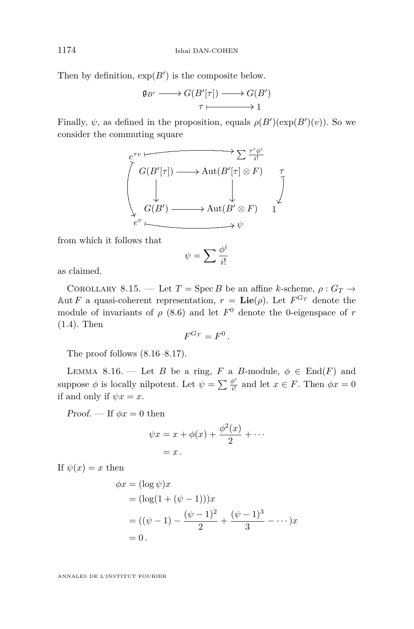<span id="page-52-0"></span>Then by definition,  $\exp(B')$  is the composite below.

$$
\mathfrak{g}_{B'} \longrightarrow G(B'[\tau]) \longrightarrow G(B')
$$
  

$$
\tau \longmapsto 1
$$

Finally,  $\psi$ , as defined in the proposition, equals  $\rho(B')(\exp(B')(v))$ . So we consider the commuting square

$$
\begin{array}{ccc}\n e^{\tau v} & \xrightarrow{\tau^i \phi^i} & \sum \frac{\tau^i \phi^i}{i!} \\
 & G(B'[\tau]) \longrightarrow \text{Aut}(B'[\tau] \otimes F) & \uparrow \\
 & & \downarrow & \downarrow \\
 & G(B') \longrightarrow \text{Aut}(B' \otimes F) & 1 \\
 & e^v \longmapsto \psi & \end{array}
$$

from which it follows that

$$
\psi = \sum \frac{\phi^i}{i!}
$$

as claimed.

COROLLARY 8.15. — Let  $T = \text{Spec } B$  be an affine *k*-scheme,  $\rho : G_T \rightarrow$ Aut *F* a quasi-coherent representation,  $r = \text{Lie}(\rho)$ . Let  $F^{G_T}$  denote the module of invariants of  $\rho$  [\(8.6\)](#page-46-0) and let  $F^0$  denote the 0-eigenspace of  $r$ [\(1.4\)](#page-10-0). Then

$$
F^{G_T}=F^0.
$$

The proof follows (8.16[–8.17\)](#page-53-0).

LEMMA 8.16. — Let *B* be a ring, *F* a *B*-module,  $\phi \in \text{End}(F)$  and suppose  $\phi$  is locally nilpotent. Let  $\psi = \sum \frac{\phi^i}{i!}$  $\frac{\partial^2}{\partial t^2}$  and let  $x \in F$ . Then  $\phi x = 0$ if and only if  $\psi x = x$ .

Proof. — If  $\phi x = 0$  then

$$
\psi x = x + \phi(x) + \frac{\phi^2(x)}{2} + \cdots
$$
  
= x.

If  $\psi(x) = x$  then

$$
\phi x = (\log \psi)x
$$
  
=  $(\log(1 + (\psi - 1)))x$   
=  $((\psi - 1) - \frac{(\psi - 1)^2}{2} + \frac{(\psi - 1)^3}{3} - \cdots)x$   
= 0.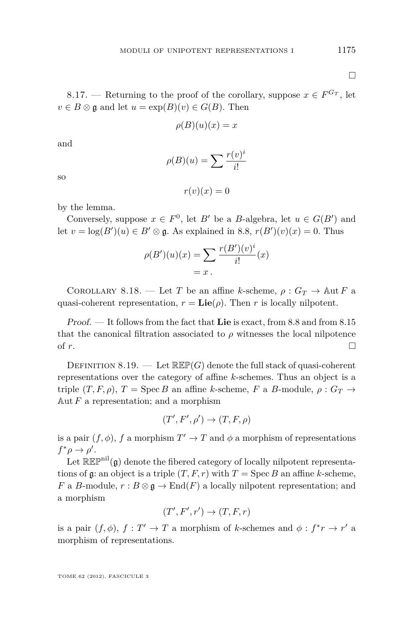<span id="page-53-0"></span>8.17. — Returning to the proof of the corollary, suppose  $x \in F^{G_T}$ , let  $v \in B \otimes \mathfrak{g}$  and let  $u = \exp(B)(v) \in G(B)$ . Then

$$
\rho(B)(u)(x) = x
$$

and

so

$$
\rho(B)(u) = \sum \frac{r(v)^i}{i!}
$$

 $r(v)(x) = 0$ 

by the lemma.

Conversely, suppose  $x \in F^0$ , let *B*<sup>*i*</sup> be a *B*-algebra, let  $u \in G(B')$  and let  $v = \log(B')(u) \in B' \otimes \mathfrak{g}$ . As explained in [8.8,](#page-47-0)  $r(B')(v)(x) = 0$ . Thus

$$
\rho(B')(u)(x) = \sum \frac{r(B')(v)^i}{i!}(x)
$$

$$
= x.
$$

COROLLARY 8.18. — Let *T* be an affine *k*-scheme,  $\rho: G_T \to \text{Aut } F$  a quasi-coherent representation,  $r = \text{Lie}(\rho)$ . Then *r* is locally nilpotent.

Proof. — It follows from the fact that **Lie** is exact, from [8.8](#page-47-0) and from [8.15](#page-52-0) that the canonical filtration associated to  $\rho$  witnesses the local nilpotence of  $r$ .

DEFINITION 8.19. — Let  $\mathbb{R}\mathbb{E}\mathbb{P}(G)$  denote the full stack of quasi-coherent representations over the category of affine *k*-schemes. Thus an object is a triple  $(T, F, \rho)$ ,  $T = \text{Spec } B$  an affine *k*-scheme, *F* a *B*-module,  $\rho : G_T \rightarrow$ Aut  $F$  a representation; and a morphism

$$
(T', F', \rho') \to (T, F, \rho)
$$

is a pair  $(f, \phi)$ , *f* a morphism  $T' \to T$  and  $\phi$  a morphism of representations  $f^*\rho \to \rho'$ .

Let  $\mathbb{R}\mathbb{E}\mathbb{P}^{\text{nil}}(\mathfrak{g})$  denote the fibered category of locally nilpotent representations of  $\mathfrak g$ : an object is a triple  $(T, F, r)$  with  $T = \operatorname{Spec} B$  an affine *k*-scheme, *F* a *B*-module,  $r : B \otimes \mathfrak{g} \to \text{End}(F)$  a locally nilpotent representation; and a morphism

$$
(T', F', r') \to (T, F, r)
$$

is a pair  $(f, \phi)$ ,  $f: T' \to T$  a morphism of *k*-schemes and  $\phi: f^*r \to r'$  a morphism of representations.

TOME 62 (2012), FASCICULE 3

 $\Box$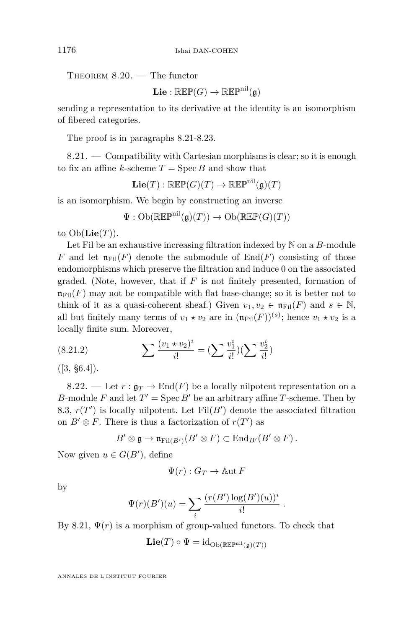THEOREM  $8.20.$  – The functor

 $\mathbf{Lie} : \mathbb{R}\mathbb{E}\mathbb{P}(G) \to \mathbb{R}\mathbb{E}\mathbb{P}^{\text{nil}}(\mathfrak{a})$ 

sending a representation to its derivative at the identity is an isomorphism of fibered categories.

The proof is in paragraphs 8.21[-8.23.](#page-55-0)

 $8.21.$  — Compatibility with Cartesian morphisms is clear; so it is enough to fix an affine *k*-scheme  $T = \text{Spec } B$  and show that

 $\text{Lie}(T) : \mathbb{R}\mathbb{E}\mathbb{P}(G)(T) \to \mathbb{R}\mathbb{E}\mathbb{P}^{\text{nil}}(\mathfrak{g})(T)$ 

is an isomorphism. We begin by constructing an inverse

$$
\Psi: \mathrm{Ob}(\mathbb{R}\mathbb{E}\mathbb{P}^{\mathrm{nil}}(\mathfrak{g})(T)) \to \mathrm{Ob}(\mathbb{R}\mathbb{E}\mathbb{P}(G)(T))
$$

to  $Ob(\mathbf{Lie}(T))$ .

Let Fil be an exhaustive increasing filtration indexed by N on a *B*-module *F* and let  $\mathfrak{n}_{\text{Fil}}(F)$  denote the submodule of End(*F*) consisting of those endomorphisms which preserve the filtration and induce 0 on the associated graded. (Note, however, that if *F* is not finitely presented, formation of  $\mathfrak{n}_{\text{Fil}}(F)$  may not be compatible with flat base-change; so it is better not to think of it as a quasi-coherent sheaf.) Given  $v_1, v_2 \in \mathfrak{n}_{\text{Fil}}(F)$  and  $s \in \mathbb{N}$ , all but finitely many terms of  $v_1 \star v_2$  are in  $(\mathfrak{n}_{\text{Fil}}(F))^{(s)}$ ; hence  $v_1 \star v_2$  is a locally finite sum. Moreover,

(8.21.2) 
$$
\sum \frac{(v_1 \star v_2)^i}{i!} = (\sum \frac{v_1^i}{i!}) (\sum \frac{v_2^i}{i!})
$$

 $([3, §6.4]).$  $([3, §6.4]).$  $([3, §6.4]).$ 

8.22. — Let  $r : \mathfrak{g}_T \to \text{End}(F)$  be a locally nilpotent representation on a *B*-module *F* and let  $T' = \text{Spec } B'$  be an arbitrary affine *T*-scheme. Then by 8.[3,](#page-45-0)  $r(T')$  is locally nilpotent. Let  $Fil(B')$  denote the associated filtration on  $B' \otimes F$ . There is thus a factorization of  $r(T')$  as

$$
B' \otimes \mathfrak{g} \to \mathfrak{n}_{\text{Fil}(B')} (B' \otimes F) \subset \text{End}_{B'}(B' \otimes F).
$$

Now given  $u \in G(B')$ , define

$$
\Psi(r): G_T \to \mathbb{A} \text{ut } F
$$

by

$$
\Psi(r)(B')(u) = \sum_{i} \frac{(r(B') \log(B')(u))^i}{i!}
$$

*.*

By 8.21,  $\Psi(r)$  is a morphism of group-valued functors. To check that

$$
\mathbf{Lie}(T) \circ \Psi = \mathrm{id}_{\mathrm{Ob}(\mathbb{R}\mathbb{E}\mathbb{P}^{\mathrm{nil}}(\mathfrak{g})(T))}
$$

<span id="page-54-0"></span>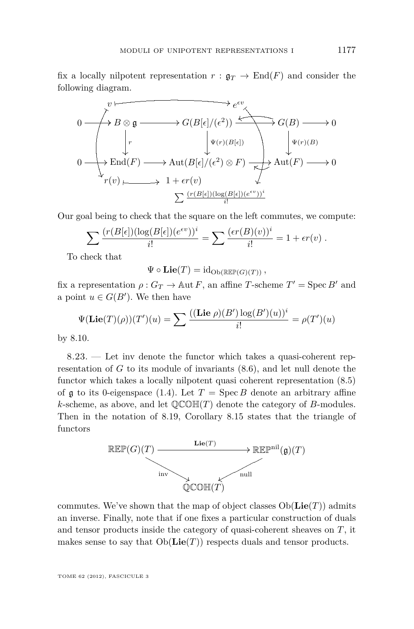<span id="page-55-0"></span>fix a locally nilpotent representation  $r : \mathfrak{g}_T \to \text{End}(F)$  and consider the following diagram.

$$
\begin{array}{ccc}\n & & \downarrow e^{\epsilon v} \\
 & \downarrow e^{\epsilon v} \\
 & \downarrow r & \downarrow \psi(r)(B[\epsilon]) \\
0 & \downarrow e^{\epsilon v} \\
 & \downarrow e^{\epsilon v} \\
 & \downarrow e^{\epsilon v}(B) & \downarrow e^{\epsilon v} \\
 & \downarrow e^{\epsilon v}(B) & \downarrow e^{\epsilon v}(B) \\
 & \downarrow e^{\epsilon v}(B) & \downarrow e^{\epsilon v}(B) \\
 & \downarrow e^{\epsilon v}(B) & \downarrow e^{\epsilon v}(B) \\
 & \downarrow e^{\epsilon v}(B) & \downarrow e^{\epsilon v}(B) \\
 & \downarrow e^{\epsilon v}(B) & \downarrow e^{\epsilon v}(B) \\
 & \downarrow e^{\epsilon v}(B) & \downarrow e^{\epsilon v}(B) \\
 & \downarrow e^{\epsilon v}(B) & \downarrow e^{\epsilon v}(B) & \downarrow e^{\epsilon v}(B) \\
 & \downarrow e^{\epsilon v}(B) & \downarrow e^{\epsilon v}(B) & \downarrow e^{\epsilon v}(B) & \downarrow e^{\epsilon v}(B) \\
 & \downarrow e^{\epsilon v}(B) & \downarrow e^{\epsilon v}(B) & \downarrow e^{\epsilon v}(B) & \downarrow e^{\epsilon v}(B) & \downarrow e^{\epsilon v}(B) & \downarrow e^{\epsilon v}(B) \\
 & \downarrow e^{\epsilon v}(B) & \downarrow e^{\epsilon v}(B) & \downarrow e^{\epsilon v}(B) & \downarrow e^{\epsilon v}(B) & \downarrow e^{\epsilon v}(B) & \downarrow e^{\epsilon v}(B) & \downarrow e^{\epsilon v}(B) & \downarrow e^{\epsilon v}(B) & \downarrow e^{\epsilon v}(B) & \downarrow e^{\epsilon v}(B) & \downarrow e^{\epsilon v}(B) & \downarrow e^{\epsilon v}(B) & \downarrow e^{\epsilon v}(B) & \downarrow e^{\epsilon v}(B) & \downarrow e^{\epsilon v}(B) & \downarrow e^{\epsilon v}(B) & \downarrow e^{\epsilon v}(B) & \downarrow e^{\epsilon v}(B) & \downarrow e^{\epsilon v}(B) & \downarrow e^{\epsilon v}(B) & \downarrow e^{\epsilon v}(B) & \downarrow e^{\epsilon v}(B) & \downarrow e^{\epsilon v}(B) & \downarrow e^{\epsilon v}(B) & \downarrow e^{\epsilon v}(B) & \downarrow e^{\epsilon v}(B) & \downarrow e^{\epsilon v}(B) & \downarrow e^{\epsilon v}(B) & \downarrow e^{\epsilon v}(B) & \downarrow e^{\epsilon
$$

Our goal being to check that the square on the left commutes, we compute:

$$
\sum \frac{(r(B[\epsilon])(\log(B[\epsilon])(e^{\epsilon v}))^i)}{i!} = \sum \frac{(\epsilon r(B)(v))^i}{i!} = 1 + \epsilon r(v).
$$

To check that

$$
\Psi \circ \mathbf{Lie}(T) = \mathrm{id}_{\mathrm{Ob}(\mathbb{R}\mathbb{E}\mathbb{P}(G)(T))},
$$

fix a representation  $\rho: G_T \to \text{Aut } F$ , an affine *T*-scheme  $T' = \text{Spec } B'$  and a point  $u \in G(B')$ . We then have

$$
\Psi(\mathbf{Lie}(T)(\rho))(T')(u) = \sum \frac{((\mathbf{Lie}\ \rho)(B')\log(B')(u))^i}{i!} = \rho(T')(u)
$$

by [8.10.](#page-48-0)

8.23. — Let inv denote the functor which takes a quasi-coherent representation of *G* to its module of invariants [\(8.6\)](#page-46-0), and let null denote the functor which takes a locally nilpotent quasi coherent representation [\(8.5\)](#page-46-0) of  $\frak{g}$  to its 0-eigenspace [\(1.4\)](#page-10-0). Let  $T = \text{Spec } B$  denote an arbitrary affine *k*-scheme, as above, and let  $\mathbb{QCOH}(T)$  denote the category of *B*-modules. Then in the notation of [8.19,](#page-53-0) Corollary [8.15](#page-52-0) states that the triangle of functors



commutes. We've shown that the map of object classes  $Ob(\mathbf{Lie}(T))$  admits an inverse. Finally, note that if one fixes a particular construction of duals and tensor products inside the category of quasi-coherent sheaves on *T*, it makes sense to say that  $Ob(\mathbf{Lie}(T))$  respects duals and tensor products.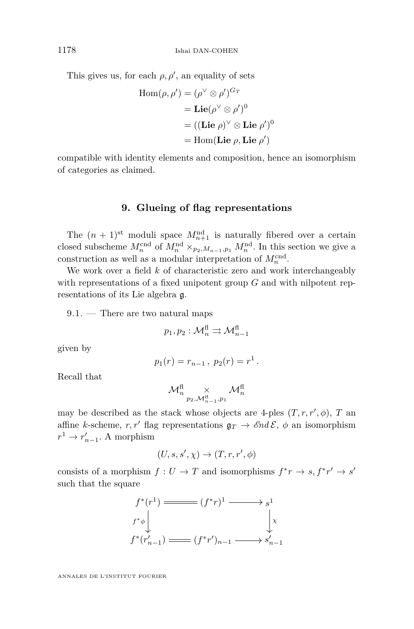<span id="page-56-0"></span>This gives us, for each  $\rho, \rho'$ , an equality of sets

$$
Hom(\rho, \rho') = (\rho^{\vee} \otimes \rho')^{G_T}
$$
  
= Lie( $\rho^{\vee} \otimes \rho'$ )<sup>0</sup>  
= ((Lie  $\rho$ )<sup>V</sup>  $\otimes$  Lie  $\rho'$ )<sup>0</sup>  
= Hom(Lie  $\rho$ , Lie  $\rho'$ )

compatible with identity elements and composition, hence an isomorphism of categories as claimed.

#### **9. Glueing of flag representations**

The  $(n+1)$ <sup>st</sup> moduli space  $M_{n+1}^{\text{nd}}$  is naturally fibered over a certain closed subscheme  $M_n^{\text{end}}$  of  $M_n^{\text{nd}} \times_{p_2, M_{n-1}, p_1} M_n^{\text{nd}}$ . In this section we give a construction as well as a modular interpretation of  $M_n^{\text{cnd}}$ .

We work over a field *k* of characteristic zero and work interchangeably with representations of a fixed unipotent group *G* and with nilpotent representations of its Lie algebra g.

9.1. — There are two natural maps

$$
p_1, p_2: \mathcal{M}_n^{\text{fl}} \rightrightarrows \mathcal{M}_{n-1}^{\text{fl}}
$$

given by

$$
p_1(r) = r_{n-1}, \ p_2(r) = r^1.
$$

Recall that

$$
\mathcal{M}^{\text{fl}}_{n} \underset{p_2, \mathcal{M}^{\text{fl}}_{n-1}, p_1}{\times} \mathcal{M}^{\text{fl}}_{n}
$$

may be described as the stack whose objects are 4-ples  $(T, r, r', \phi)$ , *T* and affine *k*-scheme,  $r, r'$  flag representations  $\mathfrak{g}_T \to \mathcal{E}nd\mathcal{E}, \phi$  an isomorphism  $r^1 \to r'_{n-1}$ . A morphism

$$
(U, s, s', \chi) \to (T, r, r', \phi)
$$

consists of a morphism  $f: U \to T$  and isomorphisms  $f^*r \to s, f^*r' \to s'$ such that the square

$$
f^*(r^1) \xrightarrow{f^*(r^1)} (f^*r)^1 \xrightarrow{g^1} s^1
$$
  

$$
f^*\phi \downarrow \qquad \qquad \downarrow x
$$
  

$$
f^*(r'_{n-1}) \xrightarrow{f^*(r'_{n-1})} (f^*r')_{n-1} \xrightarrow{g'_{n-1}}
$$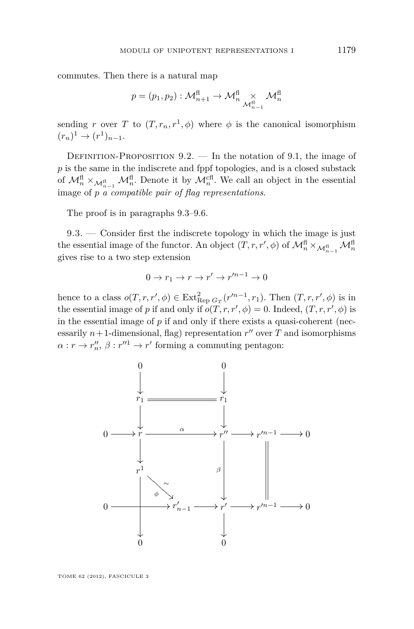<span id="page-57-0"></span>commutes. Then there is a natural map

$$
p = (p_1, p_2) : \mathcal{M}^{\text{fl}}_{n+1} \to \mathcal{M}^{\text{fl}}_{n} \underset{\mathcal{M}^{\text{fl}}_{n-1}}{\times} \mathcal{M}^{\text{fl}}_{n}
$$

sending *r* over *T* to  $(T, r_n, r^1, \phi)$  where  $\phi$  is the canonical isomorphism  $(r_n)^1 \to (r^1)_{n-1}.$ 

DEFINITION-PROPOSITION  $9.2.$  — In the notation of [9.1,](#page-56-0) the image of *p* is the same in the indiscrete and fppf topologies, and is a closed substack of  $\mathcal{M}_n^{\text{fl}} \times_{\mathcal{M}_{n-1}^{\text{fl}}} \mathcal{M}_n^{\text{fl}}$ . Denote it by  $\mathcal{M}_n^{\text{cl}}$ . We call an object in the essential image of *p a compatible pair of flag representations*.

The proof is in paragraphs 9.3[–9.6.](#page-59-0)

9.3. — Consider first the indiscrete topology in which the image is just the essential image of the functor. An object  $(T, r, r', \phi)$  of  $\mathcal{M}^{\text{fl}}_n \times_{\mathcal{M}^{\text{fl}}_{n-1}} \mathcal{M}^{\text{fl}}_n$ gives rise to a two step extension

$$
0 \to r_1 \to r \to r' \to r'^{n-1} \to 0
$$

hence to a class  $o(T, r, r', \phi) \in \text{Ext}_{\text{Rep } G_T}^2(r'^{n-1}, r_1)$ . Then  $(T, r, r', \phi)$  is in the essential image of *p* if and only if  $o(T, r, r', \phi) = 0$ . Indeed,  $(T, r, r', \phi)$  is in the essential image of *p* if and only if there exists a quasi-coherent (necessarily  $n+1$ -dimensional, flag) representation  $r''$  over  $T$  and isomorphisms  $\alpha: r \to r''_n, \beta: r''^1 \to r'$  forming a commuting pentagon:

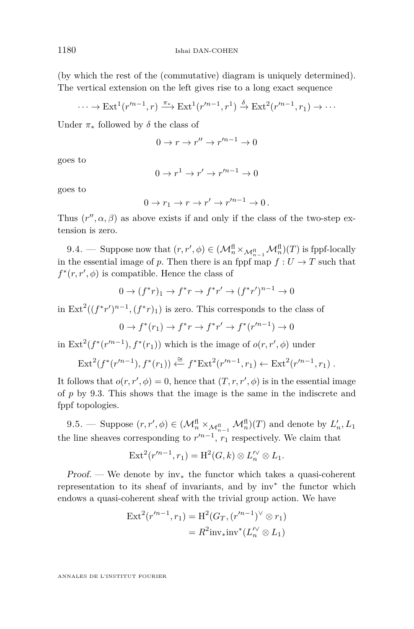(by which the rest of the (commutative) diagram is uniquely determined). The vertical extension on the left gives rise to a long exact sequence

$$
\cdots \to \text{Ext}^1(r'^{n-1}, r) \xrightarrow{\pi_*} \text{Ext}^1(r'^{n-1}, r^1) \xrightarrow{\delta} \text{Ext}^2(r'^{n-1}, r_1) \to \cdots
$$

Under  $\pi_*$  followed by  $\delta$  the class of

$$
0 \to r \to r'' \to r'^{n-1} \to 0
$$

goes to

$$
0 \to r^1 \to r' \to r'^{n-1} \to 0
$$

goes to

$$
0 \to r_1 \to r \to r' \to r'^{n-1} \to 0.
$$

Thus  $(r'', \alpha, \beta)$  as above exists if and only if the class of the two-step extension is zero.

9.4. — Suppose now that  $(r, r', \phi) \in (\mathcal{M}^{\text{fl}}_n \times_{\mathcal{M}^{\text{fl}}_{n-1}} \mathcal{M}^{\text{fl}}_n)(T)$  is fppf-locally in the essential image of *p*. Then there is an fppf map  $f: U \to T$  such that  $f^*(r, r', \phi)$  is compatible. Hence the class of

$$
0 \to (f^*r)_1 \to f^*r \to f^*r' \to (f^*r')^{n-1} \to 0
$$

in  $\text{Ext}^2((f^*r')^{n-1}, (f^*r)_1)$  is zero. This corresponds to the class of

$$
0 \to f^*(r_1) \to f^*r \to f^*r' \to f^*(r'^{n-1}) \to 0
$$

in  $\text{Ext}^2(f^*(r'^{n-1}), f^*(r_1))$  which is the image of  $o(r, r', \phi)$  under

$$
\text{Ext}^2(f^*(r'^{n-1}), f^*(r_1)) \xleftarrow{\cong} f^* \text{Ext}^2(r'^{n-1}, r_1) \leftarrow \text{Ext}^2(r'^{n-1}, r_1) .
$$

It follows that  $o(r, r', \phi) = 0$ , hence that  $(T, r, r', \phi)$  is in the essential image of *p* by [9.3.](#page-57-0) This shows that the image is the same in the indiscrete and fppf topologies.

9.5. — Suppose  $(r, r', \phi) \in (\mathcal{M}_n^{\text{fl}} \times_{\mathcal{M}_{n-1}^{\text{fl}}} \mathcal{M}_n^{\text{fl}})(T)$  and denote by  $L'_n, L_1$ the line sheaves corresponding to  $r'^{n-1}$ ,  $r_1$  respectively. We claim that

$$
Ext2(r'n-1,r1) = H2(G,k) \otimes L'n \otimes L1.
$$

Proof. — We denote by  $\text{inv}_{*}$  the functor which takes a quasi-coherent representation to its sheaf of invariants, and by inv<sup>∗</sup> the functor which endows a quasi-coherent sheaf with the trivial group action. We have

$$
Ext^{2}(r'^{n-1}, r_{1}) = H^{2}(G_{T}, (r'^{n-1})^{\vee} \otimes r_{1})
$$
  
=  $R^{2}inv_{*}inv^{*}(L''_{n} \otimes L_{1})$ 

<span id="page-58-0"></span>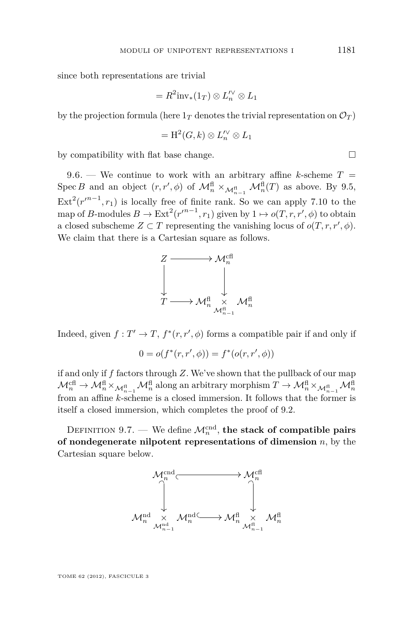<span id="page-59-0"></span>since both representations are trivial

$$
=R^2\text{inv}_*(1_T)\otimes L_n^{\prime\vee}\otimes L_1
$$

by the projection formula (here  $1_T$  denotes the trivial representation on  $\mathcal{O}_T$ )

$$
= \mathrm{H}^2(G,k) \otimes L_n^{\prime\vee} \otimes L_1
$$

by compatibility with flat base change.  $\Box$ 

9.6. — We continue to work with an arbitrary affine *k*-scheme  $T =$ Spec *B* and an object  $(r, r', \phi)$  of  $\mathcal{M}_n^{\text{fl}} \times_{\mathcal{M}_{n-1}^{\text{fl}}} \mathcal{M}_n^{\text{fl}}(T)$  as above. By [9.5,](#page-58-0)  $\text{Ext}^2(r^{n-1}, r_1)$  is locally free of finite rank. So we can apply [7.10](#page-39-0) to the map of *B*-modules  $B \to \text{Ext}^2(r^{m-1}, r_1)$  given by  $1 \mapsto o(T, r, r', \phi)$  to obtain a closed subscheme  $Z \subset T$  representing the vanishing locus of  $o(T, r, r', \phi)$ . We claim that there is a Cartesian square as follows.



Indeed, given  $f: T' \to T$ ,  $f^*(r, r', \phi)$  forms a compatible pair if and only if

$$
0 = o(f^*(r, r', \phi)) = f^*(o(r, r', \phi))
$$

if and only if *f* factors through *Z*. We've shown that the pullback of our map  $\mathcal{M}_n^{\text{cf}} \to \mathcal{M}_n^{\text{fi}} \times_{\mathcal{M}_{n-1}^{\text{fi}}} \mathcal{M}_n^{\text{fi}}$  along an arbitrary morphism  $T \to \mathcal{M}_n^{\text{fi}} \times_{\mathcal{M}_{n-1}^{\text{fi}}} \mathcal{M}_n^{\text{fi}}$ from an affine *k*-scheme is a closed immersion. It follows that the former is itself a closed immersion, which completes the proof of [9.2.](#page-57-0)

DEFINITION 9.7. — We define  $\mathcal{M}_n^{\text{cnd}}$ , the stack of compatible pairs **of nondegenerate nilpotent representations of dimension** *n*, by the Cartesian square below.

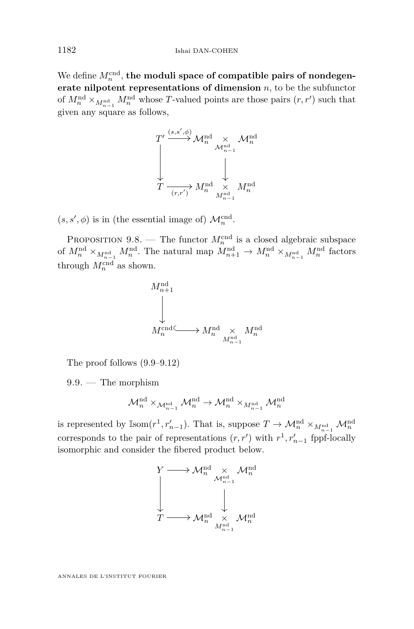We define  $M_n^{\text{cnd}}$ , the moduli space of compatible pairs of nondegen**erate nilpotent representations of dimension** *n*, to be the subfunctor of  $M_n^{\text{nd}} \times_{M_{n-1}^{\text{nd}}} M_n^{\text{nd}}$  whose *T*-valued points are those pairs  $(r, r')$  such that given any square as follows,



 $(s, s', \phi)$  is in (the essential image of)  $\mathcal{M}_n^{\text{cnd}}$ .

PROPOSITION 9.8. — The functor  $M_n^{\text{end}}$  is a closed algebraic subspace of  $M_n^{\text{nd}} \times_{M_{n-1}^{\text{nd}}} M_n^{\text{nd}}$ . The natural map  $M_{n+1}^{\text{nd}} \to M_n^{\text{nd}} \times_{M_{n-1}^{\text{nd}}} M_n^{\text{nd}}$  factors through  $M_n^{\text{cnd}}$  as shown.

$$
\begin{array}{ccc}M_{n+1}^{\mathrm{nd}} & & \\ & & \\ & & \\ M_n^{\mathrm{end}} & \longrightarrow M_n^{\mathrm{nd}} & \times & M_n^{\mathrm{nd}} \\ & & M_{n-1}^{\mathrm{end}} & \end{array}
$$

The proof follows (9.9[–9.12\)](#page-64-0)

9.9. — The morphism

$$
\mathcal{M}^{\mathrm{nd}}_n \times_{\mathcal{M}^{\mathrm{nd}}_{n-1}} \mathcal{M}^{\mathrm{nd}}_n \to \mathcal{M}^{\mathrm{nd}}_n \times_{M^{\mathrm{nd}}_{n-1}} \mathcal{M}^{\mathrm{nd}}_n
$$

is represented by  $\mathbb{I}$ som $(r^1, r'_{n-1})$ . That is, suppose  $T \to \mathcal{M}_n^{\text{nd}} \times_{M_{n-1}^{\text{nd}}} \mathcal{M}_n^{\text{nd}}$ corresponds to the pair of representations  $(r, r')$  with  $r<sup>1</sup>, r'<sub>n-1</sub>$  fppf-locally isomorphic and consider the fibered product below.

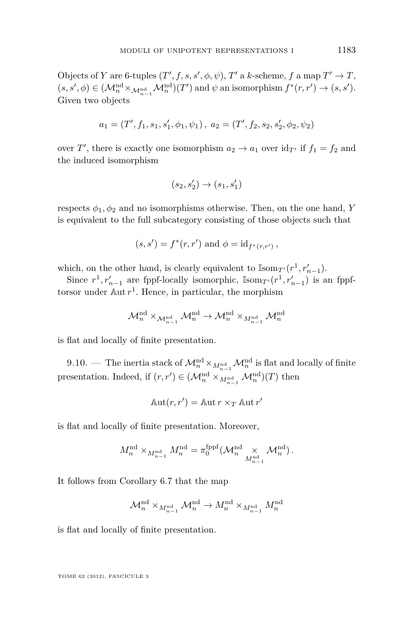Objects of *Y* are 6-tuples  $(T', f, s, s', \phi, \psi)$ , *T'* a *k*-scheme, *f* a map  $T' \to T$ ,  $(s, s', \phi) \in (\mathcal{M}_n^{\text{nd}} \times_{\mathcal{M}_{n-1}^{\text{nd}}} \mathcal{M}_n^{\text{nd}})(T')$  and  $\psi$  an isomorphism  $f^*(r, r') \to (s, s').$ Given two objects

$$
a_1 = (T', f_1, s_1, s_1', \phi_1, \psi_1), \ a_2 = (T', f_2, s_2, s_2', \phi_2, \psi_2)
$$

over *T'*, there is exactly one isomorphism  $a_2 \to a_1$  over  $\mathrm{id}_{T'}$  if  $f_1 = f_2$  and the induced isomorphism

$$
(s_2,s_2')\rightarrow (s_1,s_1')
$$

respects  $\phi_1, \phi_2$  and no isomorphisms otherwise. Then, on the one hand, *Y* is equivalent to the full subcategory consisting of those objects such that

$$
(s, s') = f^*(r, r')
$$
 and  $\phi = id_{f^*(r, r')}$ ,

which, on the other hand, is clearly equivalent to  $\mathbb{Isom}_{T'}(r^1, r'_{n-1})$ .

Since  $r^1, r'_{n-1}$  are fppf-locally isomorphic,  $\mathbb{I}^{\text{som}}(r^1, r'_{n-1})$  is an fppftorsor under Aut *r* 1 . Hence, in particular, the morphism

$$
\mathcal{M}^{\mathrm{nd}}_n \times_{\mathcal{M}^{\mathrm{nd}}_{n-1}} \mathcal{M}^{\mathrm{nd}}_n \to \mathcal{M}^{\mathrm{nd}}_n \times_{M^{\mathrm{nd}}_{n-1}} \mathcal{M}^{\mathrm{nd}}_n
$$

is flat and locally of finite presentation.

9.10. — The inertia stack of  $\mathcal{M}^{\text{nd}}_{n} \times_{M^{\text{nd}}_{n-1}} \mathcal{M}^{\text{nd}}_{n}$  is flat and locally of finite presentation. Indeed, if  $(r, r') \in (\mathcal{M}_n^{\text{nd}} \times_{M_{n-1}^{\text{nd}}} \mathcal{M}_n^{\text{nd}})(T)$  then

$$
Aut(r, r') = Aut r \times_T Aut r'
$$

is flat and locally of finite presentation. Moreover,

$$
M_n^{\mathrm{nd}}\times_{M_{n-1}^{\mathrm{nd}}}M_n^{\mathrm{nd}}=\pi_0^\mathrm{fppf}(\mathcal{M}_n^{\mathrm{nd}}\underset{M_{n-1}^{\mathrm{nd}}} \times \mathcal{M}_n^{\mathrm{nd}})\,.
$$

It follows from Corollary [6.7](#page-35-0) that the map

$$
\mathcal{M}^{\mathrm{nd}}_n \times_{M^{\mathrm{nd}}_{n-1}} \mathcal{M}^{\mathrm{nd}}_n \to M^{\mathrm{nd}}_n \times_{M^{\mathrm{nd}}_{n-1}} M^{\mathrm{nd}}_n
$$

is flat and locally of finite presentation.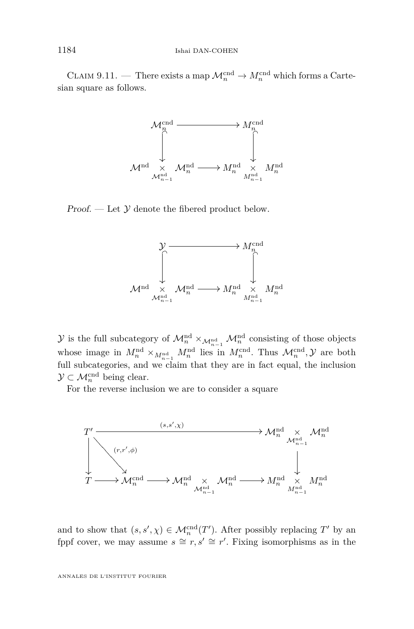CLAIM 9.11. — There exists a map  $\mathcal{M}_n^{\text{cnd}} \to M_n^{\text{cnd}}$  which forms a Cartesian square as follows.



Proof.  $\mathcal{L} = \text{Let } \mathcal{Y}$  denote the fibered product below.



 $\mathcal{Y}$  is the full subcategory of  $\mathcal{M}^{\text{nd}}_{n} \times_{\mathcal{M}^{\text{nd}}_{n-1}} \mathcal{M}^{\text{nd}}_{n}$  consisting of those objects whose image in  $M_n^{\text{nd}} \times_{M_{n-1}^{\text{nd}}} M_n^{\text{nd}}$  lies in  $M_n^{\text{cnd}}$ . Thus  $\mathcal{M}_n^{\text{cnd}}$ ,  $\mathcal{Y}$  are both full subcategories, and we claim that they are in fact equal, the inclusion  $\mathcal{Y} \subset \mathcal{M}_n^{\text{cnd}}$  being clear.

For the reverse inclusion we are to consider a square



and to show that  $(s, s', \chi) \in \mathcal{M}_n^{\text{cnd}}(T')$ . After possibly replacing  $T'$  by an fppf cover, we may assume  $s \cong r, s' \cong r'$ . Fixing isomorphisms as in the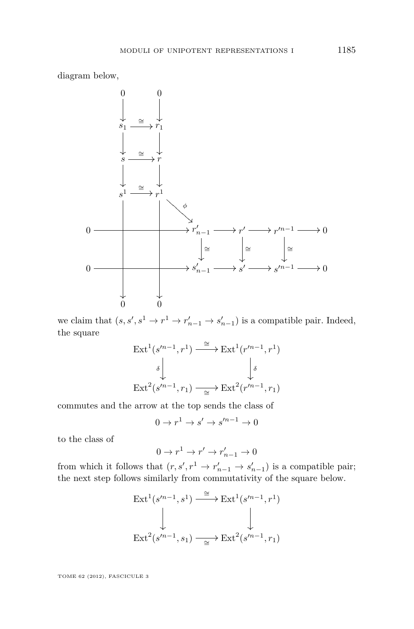diagram below,



we claim that  $(s, s', s^1 \to r^1 \to r'_{n-1} \to s'_{n-1})$  is a compatible pair. Indeed, the square

$$
\operatorname{Ext}^1(s'^{n-1}, r^1) \xrightarrow{\cong} \operatorname{Ext}^1(r'^{n-1}, r^1)
$$

$$
\begin{array}{c} \uparrow \\ \downarrow \\ \operatorname{Ext}^2(s'^{n-1}, r_1) \xrightarrow{\cong} \operatorname{Ext}^2(r'^{n-1}, r_1) \end{array}
$$

commutes and the arrow at the top sends the class of

$$
0 \to r^1 \to s' \to s'^{n-1} \to 0
$$

to the class of

$$
0 \to r^1 \to r' \to r'_{n-1} \to 0
$$

from which it follows that  $(r, s', r^1 \rightarrow r'_{n-1} \rightarrow s'_{n-1})$  is a compatible pair; the next step follows similarly from commutativity of the square below.

$$
\operatorname{Ext}^1(s'^{n-1}, s^1) \xrightarrow{\cong} \operatorname{Ext}^1(s'^{n-1}, r^1)
$$
  
\n
$$
\downarrow \qquad \qquad \downarrow
$$
\n
$$
\operatorname{Ext}^2(s'^{n-1}, s_1) \xrightarrow{\cong} \operatorname{Ext}^2(s'^{n-1}, r_1)
$$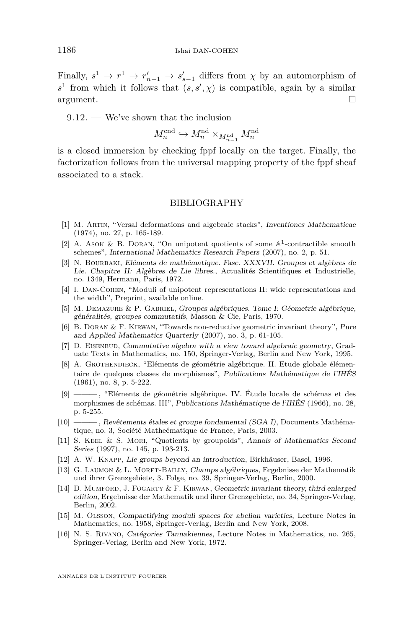<span id="page-64-0"></span>Finally,  $s^1 \to r^1 \to r'_{n-1} \to s'_{s-1}$  differs from  $\chi$  by an automorphism of  $s<sup>1</sup>$  from which it follows that  $(s, s', \chi)$  is compatible, again by a similar  $\Box$ argument.

9.12. — We've shown that the inclusion

$$
M_n^{\text{cnd}} \hookrightarrow M_n^{\text{nd}} \times_{M_{n-1}^{\text{nd}}} M_n^{\text{nd}}
$$

is a closed immersion by checking fppf locally on the target. Finally, the factorization follows from the universal mapping property of the fppf sheaf associated to a stack.

#### BIBLIOGRAPHY

- [1] M. Artin, "Versal deformations and algebraic stacks", Inventiones Mathematicae (1974), no. 27, p. 165-189.
- [2] A. ASOK & B. DORAN, "On unipotent quotients of some  $\mathbb{A}^1$ -contractible smooth schemes", International Mathematics Research Papers (2007), no. 2, p. 51.
- [3] N. Bourbaki, Eléments de mathématique. Fasc. XXXVII. Groupes et algèbres de Lie. Chapitre II: Algèbres de Lie libres., Actualités Scientifiques et Industrielle, no. 1349, Hermann, Paris, 1972.
- [4] I. DAN-COHEN, "Moduli of unipotent representations II: wide representations and the width", Preprint, available online.
- [5] M. Demazure & P. Gabriel, Groupes algébriques. Tome I: Géometrie algébrique, généralités, groupes commutatifs, Masson & Cie, Paris, 1970.
- [6] B. Doran & F. Kirwan, "Towards non-reductive geometric invariant theory", Pure and Applied Mathematics Quarterly (2007), no. 3, p. 61-105.
- [7] D. EISENBUD, Commutative algebra with a view toward algebraic geometry, Graduate Texts in Mathematics, no. 150, Springer-Verlag, Berlin and New York, 1995.
- [8] A. Grothendieck, "Eléments de géométrie algébrique. II. Etude globale élémentaire de quelques classes de morphismes", Publications Mathématique de l'IHÉS (1961), no. 8, p. 5-222.
- [9] ——— , "Eléments de géométrie algébrique. IV. Étude locale de schémas et des morphismes de schémas. III", Publications Mathématique de l'IHÉS (1966), no. 28, p. 5-255.
- [10] ——— , Revêtements étales et groupe fondamental (SGA I), Documents Mathématique, no. 3, Société Matheématique de France, Paris, 2003.
- [11] S. Keel & S. Mori, "Quotients by groupoids", Annals of Mathematics Second Series (1997), no. 145, p. 193-213.
- [12] A. W. Knapp, Lie groups beyond an introduction, Birkhäuser, Basel, 1996.
- [13] G. Laumon & L. Moret-Bailly, Champs algébriques, Ergebnisse der Mathematik und ihrer Grenzgebiete, 3. Folge, no. 39, Springer-Verlag, Berlin, 2000.
- [14] D. Mumford, J. Fogarty & F. Kirwan, Geometric invariant theory, third enlarged edition, Ergebnisse der Mathematik und ihrer Grenzgebiete, no. 34, Springer-Verlag, Berlin, 2002.
- [15] M. Olsson, Compactifying moduli spaces for abelian varieties, Lecture Notes in Mathematics, no. 1958, Springer-Verlag, Berlin and New York, 2008.
- [16] N. S. Rivano, Catégories Tannakiennes, Lecture Notes in Mathematics, no. 265, Springer-Verlag, Berlin and New York, 1972.